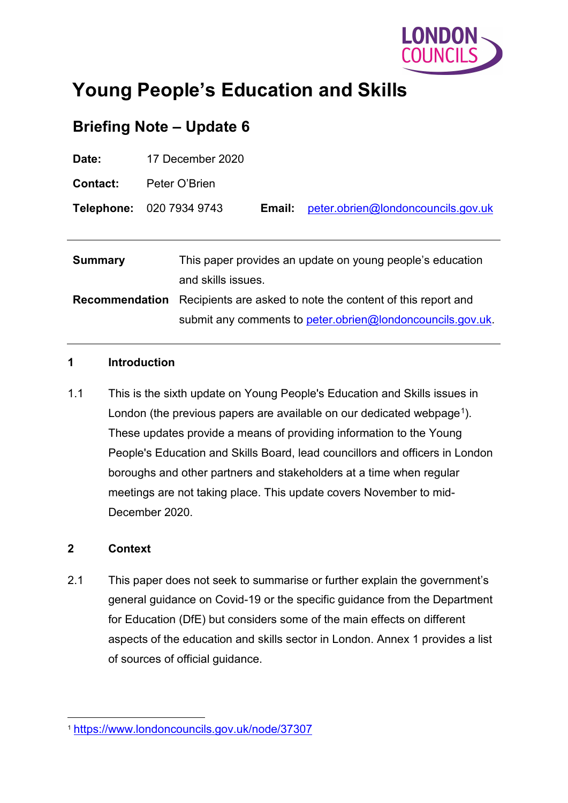

# **Young People's Education and Skills**

# **Briefing Note – Update 6**

| Date:                 | 17 December 2020                                                                |        |                                    |
|-----------------------|---------------------------------------------------------------------------------|--------|------------------------------------|
| <b>Contact:</b>       | Peter O'Brien                                                                   |        |                                    |
|                       | <b>Telephone: 020 7934 9743</b>                                                 | Email: | peter.obrien@londoncouncils.gov.uk |
|                       |                                                                                 |        |                                    |
| <b>Summary</b>        | This paper provides an update on young people's education<br>and skills issues. |        |                                    |
| <b>Recommendation</b> | Recipients are asked to note the content of this report and                     |        |                                    |
|                       | submit any comments to peter.obrien@londoncouncils.gov.uk.                      |        |                                    |

#### **1 Introduction**

1.1 This is the sixth update on Young People's Education and Skills issues in London (the previous papers are available on our dedicated webpage<sup>[1](#page-0-0)</sup>). These updates provide a means of providing information to the Young People's Education and Skills Board, lead councillors and officers in London boroughs and other partners and stakeholders at a time when regular meetings are not taking place. This update covers November to mid-December 2020.

#### **2 Context**

2.1 This paper does not seek to summarise or further explain the government's general guidance on Covid-19 or the specific guidance from the Department for Education (DfE) but considers some of the main effects on different aspects of the education and skills sector in London. Annex 1 provides a list of sources of official guidance.

<span id="page-0-0"></span> <sup>1</sup> <https://www.londoncouncils.gov.uk/node/37307>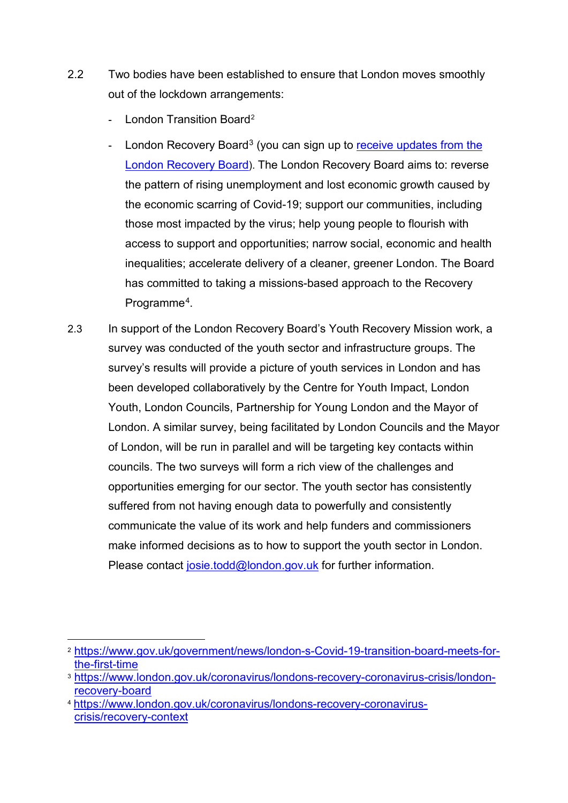- 2.2 Two bodies have been established to ensure that London moves smoothly out of the lockdown arrangements:
	- London Transition Board<sup>[2](#page-1-0)</sup>
	- London Recovery Board<sup>[3](#page-1-1)</sup> (you can sign up to receive updates from the [London Recovery Board\)](https://www.london.gov.uk/sign-receive-updates-london-recovery-board). The London Recovery Board aims to: reverse the pattern of rising unemployment and lost economic growth caused by the economic scarring of Covid-19; support our communities, including those most impacted by the virus; help young people to flourish with access to support and opportunities; narrow social, economic and health inequalities; accelerate delivery of a cleaner, greener London. The Board has committed to taking a missions-based approach to the Recovery Programme<sup>4</sup>.
- 2.3 In support of the London Recovery Board's Youth Recovery Mission work, a survey was conducted of the youth sector and infrastructure groups. The survey's results will provide a picture of youth services in London and has been developed collaboratively by the Centre for Youth Impact, London Youth, London Councils, Partnership for Young London and the Mayor of London. A similar survey, being facilitated by London Councils and the Mayor of London, will be run in parallel and will be targeting key contacts within councils. The two surveys will form a rich view of the challenges and opportunities emerging for our sector. The youth sector has consistently suffered from not having enough data to powerfully and consistently communicate the value of its work and help funders and commissioners make informed decisions as to how to support the youth sector in London. Please contact [josie.todd@london.gov.uk](mailto:josie.todd@london.gov.uk) for further information.

<span id="page-1-0"></span> <sup>2</sup> [https://www.gov.uk/government/news/london-s-Covid-19-transition-board-meets-for](https://www.gov.uk/government/news/london-s-Covid-19-transition-board-meets-for-the-first-time)[the-first-time](https://www.gov.uk/government/news/london-s-Covid-19-transition-board-meets-for-the-first-time)

<span id="page-1-1"></span><sup>3</sup> [https://www.london.gov.uk/coronavirus/londons-recovery-coronavirus-crisis/london](https://www.london.gov.uk/coronavirus/londons-recovery-coronavirus-crisis/london-recovery-board)[recovery-board](https://www.london.gov.uk/coronavirus/londons-recovery-coronavirus-crisis/london-recovery-board)

<span id="page-1-2"></span><sup>4</sup> [https://www.london.gov.uk/coronavirus/londons-recovery-coronavirus](https://www.london.gov.uk/coronavirus/londons-recovery-coronavirus-crisis/recovery-context)[crisis/recovery-context](https://www.london.gov.uk/coronavirus/londons-recovery-coronavirus-crisis/recovery-context)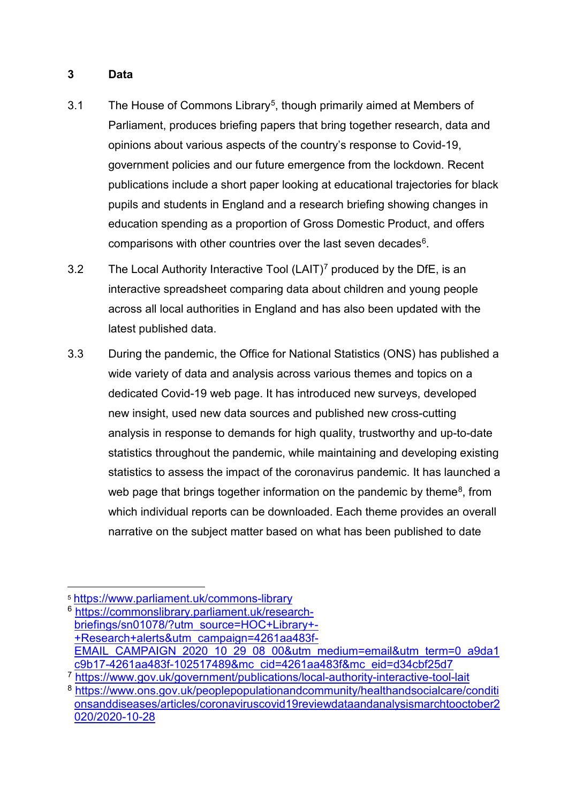#### **3 Data**

- 3.1 The House of Commons Library<sup>5</sup>, though primarily aimed at Members of Parliament, produces briefing papers that bring together research, data and opinions about various aspects of the country's response to Covid-19, government policies and our future emergence from the lockdown. Recent publications include a short paper looking at educational trajectories for black pupils and students in England and a research briefing showing changes in education spending as a proportion of Gross Domestic Product, and offers comparisons with other countries over the last seven decades<sup>6</sup>.
- 3.2 The Local Authority Interactive Tool  $(LAIT)<sup>7</sup>$  produced by the DfE, is an interactive spreadsheet comparing data about children and young people across all local authorities in England and has also been updated with the latest published data.
- 3.3 During the pandemic, the Office for National Statistics (ONS) has published a wide variety of data and analysis across various themes and topics on a dedicated Covid-19 web page. It has introduced new surveys, developed new insight, used new data sources and published new cross-cutting analysis in response to demands for high quality, trustworthy and up-to-date statistics throughout the pandemic, while maintaining and developing existing statistics to assess the impact of the coronavirus pandemic. It has launched a web page that brings together information on the pandemic by theme<sup>8</sup>, from which individual reports can be downloaded. Each theme provides an overall narrative on the subject matter based on what has been published to date

<span id="page-2-0"></span> <sup>5</sup> <https://www.parliament.uk/commons-library>

<span id="page-2-1"></span><sup>6</sup> [https://commonslibrary.parliament.uk/research](https://commonslibrary.parliament.uk/research-briefings/sn01078/?utm_source=HOC+Library+-+Research+alerts&utm_campaign=4261aa483f-EMAIL_CAMPAIGN_2020_10_29_08_00&utm_medium=email&utm_term=0_a9da1c9b17-4261aa483f-102517489&mc_cid=4261aa483f&mc_eid=d34cbf25d7)[briefings/sn01078/?utm\\_source=HOC+Library+-](https://commonslibrary.parliament.uk/research-briefings/sn01078/?utm_source=HOC+Library+-+Research+alerts&utm_campaign=4261aa483f-EMAIL_CAMPAIGN_2020_10_29_08_00&utm_medium=email&utm_term=0_a9da1c9b17-4261aa483f-102517489&mc_cid=4261aa483f&mc_eid=d34cbf25d7) [+Research+alerts&utm\\_campaign=4261aa483f-](https://commonslibrary.parliament.uk/research-briefings/sn01078/?utm_source=HOC+Library+-+Research+alerts&utm_campaign=4261aa483f-EMAIL_CAMPAIGN_2020_10_29_08_00&utm_medium=email&utm_term=0_a9da1c9b17-4261aa483f-102517489&mc_cid=4261aa483f&mc_eid=d34cbf25d7)[EMAIL\\_CAMPAIGN\\_2020\\_10\\_29\\_08\\_00&utm\\_medium=email&utm\\_term=0\\_a9da1](https://commonslibrary.parliament.uk/research-briefings/sn01078/?utm_source=HOC+Library+-+Research+alerts&utm_campaign=4261aa483f-EMAIL_CAMPAIGN_2020_10_29_08_00&utm_medium=email&utm_term=0_a9da1c9b17-4261aa483f-102517489&mc_cid=4261aa483f&mc_eid=d34cbf25d7) [c9b17-4261aa483f-102517489&mc\\_cid=4261aa483f&mc\\_eid=d34cbf25d7](https://commonslibrary.parliament.uk/research-briefings/sn01078/?utm_source=HOC+Library+-+Research+alerts&utm_campaign=4261aa483f-EMAIL_CAMPAIGN_2020_10_29_08_00&utm_medium=email&utm_term=0_a9da1c9b17-4261aa483f-102517489&mc_cid=4261aa483f&mc_eid=d34cbf25d7)

<span id="page-2-2"></span><sup>7</sup> <https://www.gov.uk/government/publications/local-authority-interactive-tool-lait>

<span id="page-2-3"></span><sup>8</sup>[.https://www.ons.gov.uk/peoplepopulationandcommunity/healthandsocialcare/conditi](https://www.ons.gov.uk/peoplepopulationandcommunity/healthandsocialcare/conditionsanddiseases/articles/coronaviruscovid19reviewdataandanalysismarchtooctober2020/2020-10-28) [onsanddiseases/articles/coronaviruscovid19reviewdataandanalysismarchtooctober2](https://www.ons.gov.uk/peoplepopulationandcommunity/healthandsocialcare/conditionsanddiseases/articles/coronaviruscovid19reviewdataandanalysismarchtooctober2020/2020-10-28) [020/2020-10-28](https://www.ons.gov.uk/peoplepopulationandcommunity/healthandsocialcare/conditionsanddiseases/articles/coronaviruscovid19reviewdataandanalysismarchtooctober2020/2020-10-28)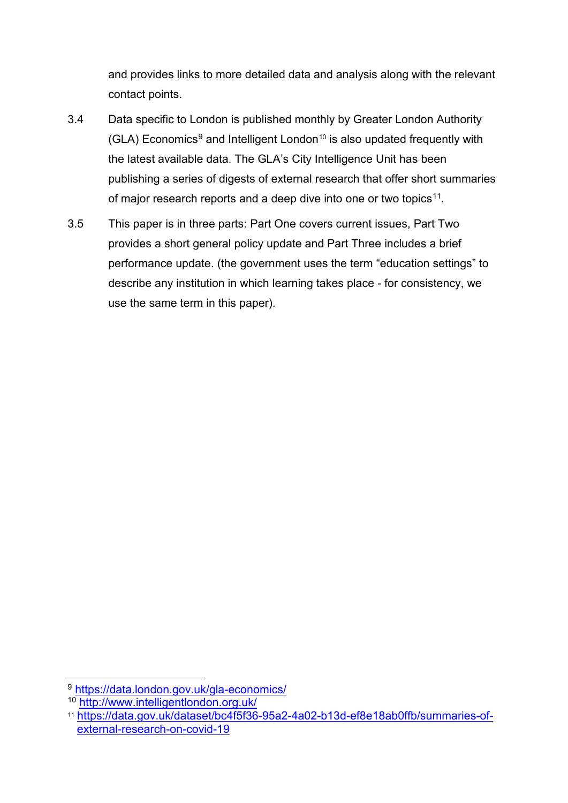and provides links to more detailed data and analysis along with the relevant contact points.

- 3.4 Data specific to London is published monthly by Greater London Authority  $(GLA)$  Economics<sup>[9](#page-3-0)</sup> and Intelligent London<sup>10</sup> is also updated frequently with the latest available data. The GLA's City Intelligence Unit has been publishing a series of digests of external research that offer short summaries of major research reports and a deep dive into one or two topics<sup>[11](#page-3-2)</sup>.
- 3.5 This paper is in three parts: Part One covers current issues, Part Two provides a short general policy update and Part Three includes a brief performance update. (the government uses the term "education settings" to describe any institution in which learning takes place - for consistency, we use the same term in this paper).

<span id="page-3-0"></span> <sup>9</sup> <https://data.london.gov.uk/gla-economics/>

<span id="page-3-1"></span><sup>10</sup> <http://www.intelligentlondon.org.uk/>

<span id="page-3-2"></span><sup>11</sup> [https://data.gov.uk/dataset/bc4f5f36-95a2-4a02-b13d-ef8e18ab0ffb/summaries-of](https://data.gov.uk/dataset/bc4f5f36-95a2-4a02-b13d-ef8e18ab0ffb/summaries-of-external-research-on-covid-19)[external-research-on-covid-19](https://data.gov.uk/dataset/bc4f5f36-95a2-4a02-b13d-ef8e18ab0ffb/summaries-of-external-research-on-covid-19)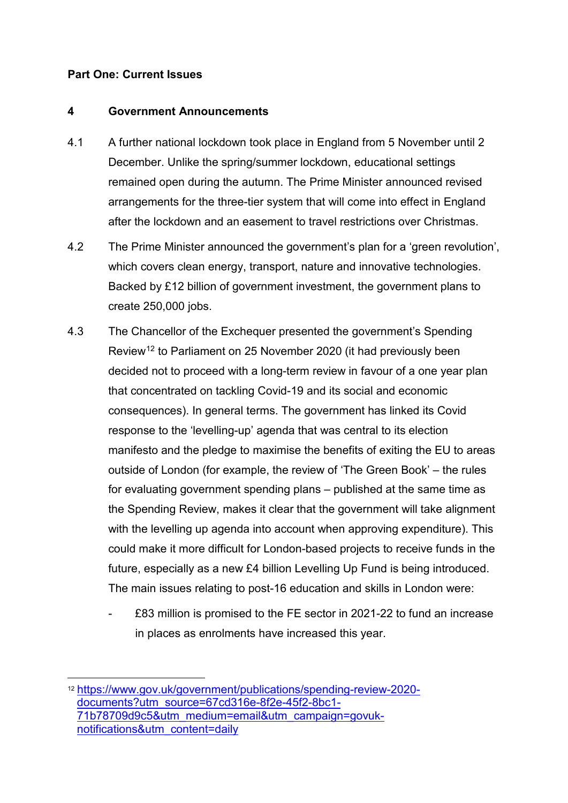#### **Part One: Current Issues**

#### **4 Government Announcements**

- 4.1 A further national lockdown took place in England from 5 November until 2 December. Unlike the spring/summer lockdown, educational settings remained open during the autumn. The Prime Minister announced revised arrangements for the three-tier system that will come into effect in England after the lockdown and an easement to travel restrictions over Christmas.
- 4.2 The Prime Minister announced the government's plan for a 'green revolution', which covers clean energy, transport, nature and innovative technologies. Backed by £12 billion of government investment, the government plans to create 250,000 jobs.
- 4.3 The Chancellor of the Exchequer presented the government's Spending Review<sup>[12](#page-4-0)</sup> to Parliament on 25 November 2020 (it had previously been decided not to proceed with a long-term review in favour of a one year plan that concentrated on tackling Covid-19 and its social and economic consequences). In general terms. The government has linked its Covid response to the 'levelling-up' agenda that was central to its election manifesto and the pledge to maximise the benefits of exiting the EU to areas outside of London (for example, the review of 'The Green Book' – the rules for evaluating government spending plans – published at the same time as the Spending Review, makes it clear that the government will take alignment with the levelling up agenda into account when approving expenditure). This could make it more difficult for London-based projects to receive funds in the future, especially as a new £4 billion Levelling Up Fund is being introduced. The main issues relating to post-16 education and skills in London were:
	- £83 million is promised to the FE sector in 2021-22 to fund an increase in places as enrolments have increased this year.

<span id="page-4-0"></span> <sup>12</sup> [https://www.gov.uk/government/publications/spending-review-2020](https://www.gov.uk/government/publications/spending-review-2020-documents?utm_source=67cd316e-8f2e-45f2-8bc1-71b78709d9c5&utm_medium=email&utm_campaign=govuk-notifications&utm_content=daily) [documents?utm\\_source=67cd316e-8f2e-45f2-8bc1-](https://www.gov.uk/government/publications/spending-review-2020-documents?utm_source=67cd316e-8f2e-45f2-8bc1-71b78709d9c5&utm_medium=email&utm_campaign=govuk-notifications&utm_content=daily) [71b78709d9c5&utm\\_medium=email&utm\\_campaign=govuk](https://www.gov.uk/government/publications/spending-review-2020-documents?utm_source=67cd316e-8f2e-45f2-8bc1-71b78709d9c5&utm_medium=email&utm_campaign=govuk-notifications&utm_content=daily)[notifications&utm\\_content=daily](https://www.gov.uk/government/publications/spending-review-2020-documents?utm_source=67cd316e-8f2e-45f2-8bc1-71b78709d9c5&utm_medium=email&utm_campaign=govuk-notifications&utm_content=daily)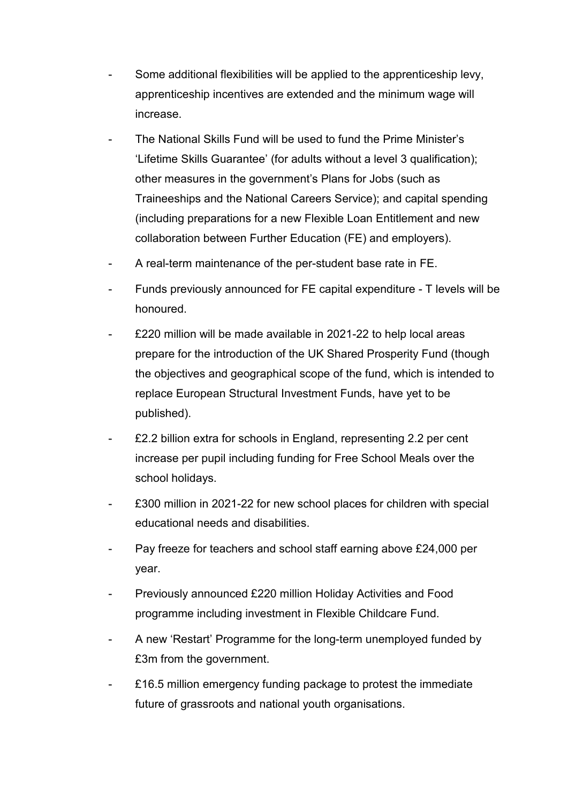- Some additional flexibilities will be applied to the apprenticeship levy, apprenticeship incentives are extended and the minimum wage will increase.
- The National Skills Fund will be used to fund the Prime Minister's 'Lifetime Skills Guarantee' (for adults without a level 3 qualification); other measures in the government's Plans for Jobs (such as Traineeships and the National Careers Service); and capital spending (including preparations for a new Flexible Loan Entitlement and new collaboration between Further Education (FE) and employers).
- A real-term maintenance of the per-student base rate in FE.
- Funds previously announced for FE capital expenditure T levels will be honoured.
- £220 million will be made available in 2021-22 to help local areas prepare for the introduction of the UK Shared Prosperity Fund (though the objectives and geographical scope of the fund, which is intended to replace European Structural Investment Funds, have yet to be published).
- £2.2 billion extra for schools in England, representing 2.2 per cent increase per pupil including funding for Free School Meals over the school holidays.
- £300 million in 2021-22 for new school places for children with special educational needs and disabilities.
- Pay freeze for teachers and school staff earning above £24,000 per year.
- Previously announced £220 million Holiday Activities and Food programme including investment in Flexible Childcare Fund.
- A new 'Restart' Programme for the long-term unemployed funded by £3m from the government.
- £16.5 million emergency funding package to protest the immediate future of grassroots and national youth organisations.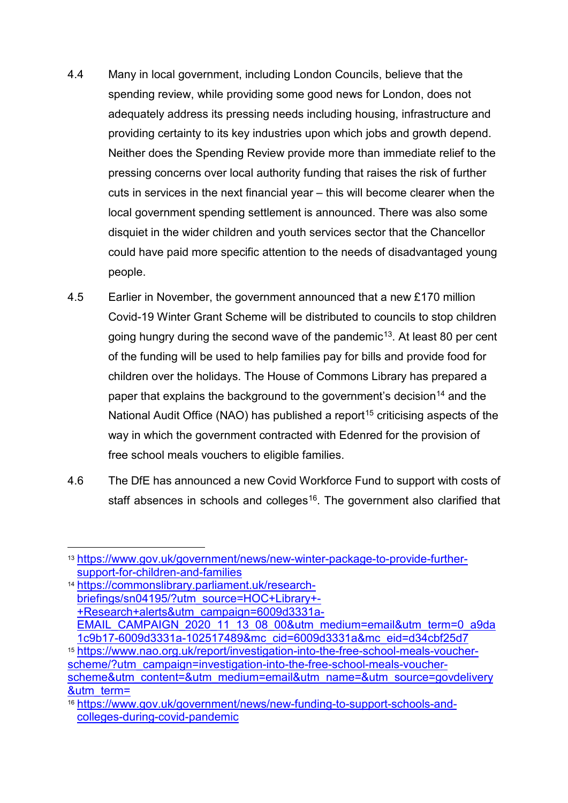- 4.4 Many in local government, including London Councils, believe that the spending review, while providing some good news for London, does not adequately address its pressing needs including housing, infrastructure and providing certainty to its key industries upon which jobs and growth depend. Neither does the Spending Review provide more than immediate relief to the pressing concerns over local authority funding that raises the risk of further cuts in services in the next financial year – this will become clearer when the local government spending settlement is announced. There was also some disquiet in the wider children and youth services sector that the Chancellor could have paid more specific attention to the needs of disadvantaged young people.
- 4.5 Earlier in November, the government announced that a new £170 million Covid-19 Winter Grant Scheme will be distributed to councils to stop children going hungry during the second wave of the pandemic<sup>[13](#page-6-0)</sup>. At least 80 per cent of the funding will be used to help families pay for bills and provide food for children over the holidays. The House of Commons Library has prepared a paper that explains the background to the government's decision<sup>[14](#page-6-1)</sup> and the National Audit Office (NAO) has published a report<sup>[15](#page-6-2)</sup> criticising aspects of the way in which the government contracted with Edenred for the provision of free school meals vouchers to eligible families.
- 4.6 The DfE has announced a new Covid Workforce Fund to support with costs of staff absences in schools and colleges<sup>[16](#page-6-3)</sup>. The government also clarified that

<span id="page-6-1"></span><sup>14</sup> [https://commonslibrary.parliament.uk/research](https://commonslibrary.parliament.uk/research-briefings/sn04195/?utm_source=HOC+Library+-+Research+alerts&utm_campaign=6009d3331a-EMAIL_CAMPAIGN_2020_11_13_08_00&utm_medium=email&utm_term=0_a9da1c9b17-6009d3331a-102517489&mc_cid=6009d3331a&mc_eid=d34cbf25d7)[briefings/sn04195/?utm\\_source=HOC+Library+-](https://commonslibrary.parliament.uk/research-briefings/sn04195/?utm_source=HOC+Library+-+Research+alerts&utm_campaign=6009d3331a-EMAIL_CAMPAIGN_2020_11_13_08_00&utm_medium=email&utm_term=0_a9da1c9b17-6009d3331a-102517489&mc_cid=6009d3331a&mc_eid=d34cbf25d7) [+Research+alerts&utm\\_campaign=6009d3331a-](https://commonslibrary.parliament.uk/research-briefings/sn04195/?utm_source=HOC+Library+-+Research+alerts&utm_campaign=6009d3331a-EMAIL_CAMPAIGN_2020_11_13_08_00&utm_medium=email&utm_term=0_a9da1c9b17-6009d3331a-102517489&mc_cid=6009d3331a&mc_eid=d34cbf25d7)[EMAIL\\_CAMPAIGN\\_2020\\_11\\_13\\_08\\_00&utm\\_medium=email&utm\\_term=0\\_a9da](https://commonslibrary.parliament.uk/research-briefings/sn04195/?utm_source=HOC+Library+-+Research+alerts&utm_campaign=6009d3331a-EMAIL_CAMPAIGN_2020_11_13_08_00&utm_medium=email&utm_term=0_a9da1c9b17-6009d3331a-102517489&mc_cid=6009d3331a&mc_eid=d34cbf25d7) [1c9b17-6009d3331a-102517489&mc\\_cid=6009d3331a&mc\\_eid=d34cbf25d7](https://commonslibrary.parliament.uk/research-briefings/sn04195/?utm_source=HOC+Library+-+Research+alerts&utm_campaign=6009d3331a-EMAIL_CAMPAIGN_2020_11_13_08_00&utm_medium=email&utm_term=0_a9da1c9b17-6009d3331a-102517489&mc_cid=6009d3331a&mc_eid=d34cbf25d7) <sup>15</sup> [https://www.nao.org.uk/report/investigation-into-the-free-school-meals-voucher](https://www.nao.org.uk/report/investigation-into-the-free-school-meals-voucher-scheme/?utm_campaign=investigation-into-the-free-school-meals-voucher-scheme&utm_content=&utm_medium=email&utm_name=&utm_source=govdelivery&utm_term=)[scheme/?utm\\_campaign=investigation-into-the-free-school-meals-voucher](https://www.nao.org.uk/report/investigation-into-the-free-school-meals-voucher-scheme/?utm_campaign=investigation-into-the-free-school-meals-voucher-scheme&utm_content=&utm_medium=email&utm_name=&utm_source=govdelivery&utm_term=)[scheme&utm\\_content=&utm\\_medium=email&utm\\_name=&utm\\_source=govdelivery](https://www.nao.org.uk/report/investigation-into-the-free-school-meals-voucher-scheme/?utm_campaign=investigation-into-the-free-school-meals-voucher-scheme&utm_content=&utm_medium=email&utm_name=&utm_source=govdelivery&utm_term=) [&utm\\_term=](https://www.nao.org.uk/report/investigation-into-the-free-school-meals-voucher-scheme/?utm_campaign=investigation-into-the-free-school-meals-voucher-scheme&utm_content=&utm_medium=email&utm_name=&utm_source=govdelivery&utm_term=)

<span id="page-6-0"></span> <sup>13</sup> [https://www.gov.uk/government/news/new-winter-package-to-provide-further](https://www.gov.uk/government/news/new-winter-package-to-provide-further-support-for-children-and-families)[support-for-children-and-families](https://www.gov.uk/government/news/new-winter-package-to-provide-further-support-for-children-and-families)

<span id="page-6-3"></span><span id="page-6-2"></span><sup>16</sup> [https://www.gov.uk/government/news/new-funding-to-support-schools-and](https://www.gov.uk/government/news/new-funding-to-support-schools-and-colleges-during-covid-pandemic)[colleges-during-covid-pandemic](https://www.gov.uk/government/news/new-funding-to-support-schools-and-colleges-during-covid-pandemic)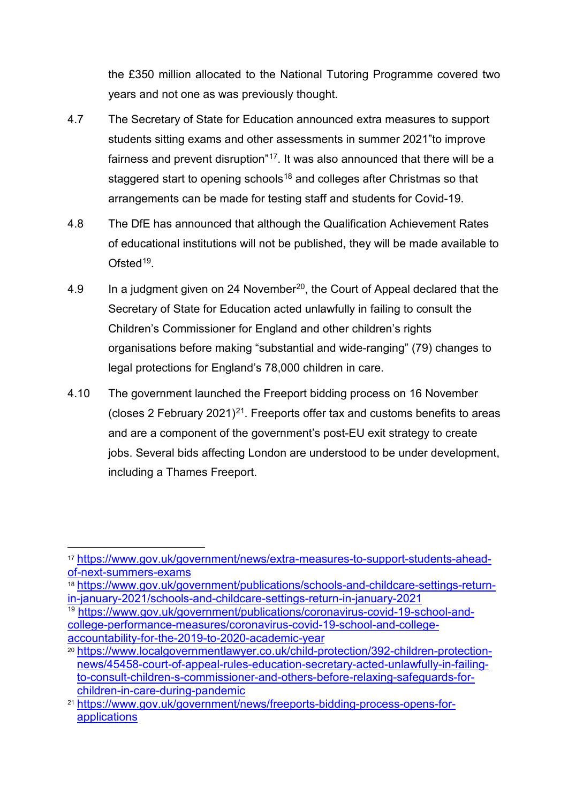the £350 million allocated to the National Tutoring Programme covered two years and not one as was previously thought.

- 4.7 The Secretary of State for Education announced extra measures to support students sitting exams and other assessments in summer 2021"to improve fairness and prevent disruption"<sup>[17](#page-7-0)</sup>. It was also announced that there will be a staggered start to opening schools<sup>18</sup> and colleges after Christmas so that arrangements can be made for testing staff and students for Covid-19.
- 4.8 The DfE has announced that although the Qualification Achievement Rates of educational institutions will not be published, they will be made available to Ofsted<sup>[19](#page-7-2)</sup>.
- 4.9 In a judgment given on 24 November<sup>20</sup>, the Court of Appeal declared that the Secretary of State for Education acted unlawfully in failing to consult the Children's Commissioner for England and other children's rights organisations before making "substantial and wide-ranging" (79) changes to legal protections for England's 78,000 children in care.
- 4.10 The government launched the Freeport bidding process on 16 November (closes 2 February 20[21](#page-7-4))<sup>21</sup>. Freeports offer tax and customs benefits to areas and are a component of the government's post-EU exit strategy to create jobs. Several bids affecting London are understood to be under development, including a Thames Freeport.

<span id="page-7-2"></span><sup>19</sup> [https://www.gov.uk/government/publications/coronavirus-covid-19-school-and](https://www.gov.uk/government/publications/coronavirus-covid-19-school-and-college-performance-measures/coronavirus-covid-19-school-and-college-accountability-for-the-2019-to-2020-academic-year)[college-performance-measures/coronavirus-covid-19-school-and-college](https://www.gov.uk/government/publications/coronavirus-covid-19-school-and-college-performance-measures/coronavirus-covid-19-school-and-college-accountability-for-the-2019-to-2020-academic-year)[accountability-for-the-2019-to-2020-academic-year](https://www.gov.uk/government/publications/coronavirus-covid-19-school-and-college-performance-measures/coronavirus-covid-19-school-and-college-accountability-for-the-2019-to-2020-academic-year)

<span id="page-7-0"></span> <sup>17</sup> [https://www.gov.uk/government/news/extra-measures-to-support-students-ahead](https://www.gov.uk/government/news/extra-measures-to-support-students-ahead-of-next-summers-exams)[of-next-summers-exams](https://www.gov.uk/government/news/extra-measures-to-support-students-ahead-of-next-summers-exams)

<span id="page-7-1"></span><sup>18</sup> [https://www.gov.uk/government/publications/schools-and-childcare-settings-return](https://www.gov.uk/government/publications/schools-and-childcare-settings-return-in-january-2021/schools-and-childcare-settings-return-in-january-2021)[in-january-2021/schools-and-childcare-settings-return-in-january-2021](https://www.gov.uk/government/publications/schools-and-childcare-settings-return-in-january-2021/schools-and-childcare-settings-return-in-january-2021)

<span id="page-7-3"></span><sup>20</sup> [https://www.localgovernmentlawyer.co.uk/child-protection/392-children-protection](https://www.localgovernmentlawyer.co.uk/child-protection/392-children-protection-news/45458-court-of-appeal-rules-education-secretary-acted-unlawfully-in-failing-to-consult-children-s-commissioner-and-others-before-relaxing-safeguards-for-children-in-care-during-pandemic)[news/45458-court-of-appeal-rules-education-secretary-acted-unlawfully-in-failing](https://www.localgovernmentlawyer.co.uk/child-protection/392-children-protection-news/45458-court-of-appeal-rules-education-secretary-acted-unlawfully-in-failing-to-consult-children-s-commissioner-and-others-before-relaxing-safeguards-for-children-in-care-during-pandemic)[to-consult-children-s-commissioner-and-others-before-relaxing-safeguards-for](https://www.localgovernmentlawyer.co.uk/child-protection/392-children-protection-news/45458-court-of-appeal-rules-education-secretary-acted-unlawfully-in-failing-to-consult-children-s-commissioner-and-others-before-relaxing-safeguards-for-children-in-care-during-pandemic)[children-in-care-during-pandemic](https://www.localgovernmentlawyer.co.uk/child-protection/392-children-protection-news/45458-court-of-appeal-rules-education-secretary-acted-unlawfully-in-failing-to-consult-children-s-commissioner-and-others-before-relaxing-safeguards-for-children-in-care-during-pandemic)

<span id="page-7-4"></span><sup>21</sup> [https://www.gov.uk/government/news/freeports-bidding-process-opens-for](https://www.gov.uk/government/news/freeports-bidding-process-opens-for-applications)**[applications](https://www.gov.uk/government/news/freeports-bidding-process-opens-for-applications)**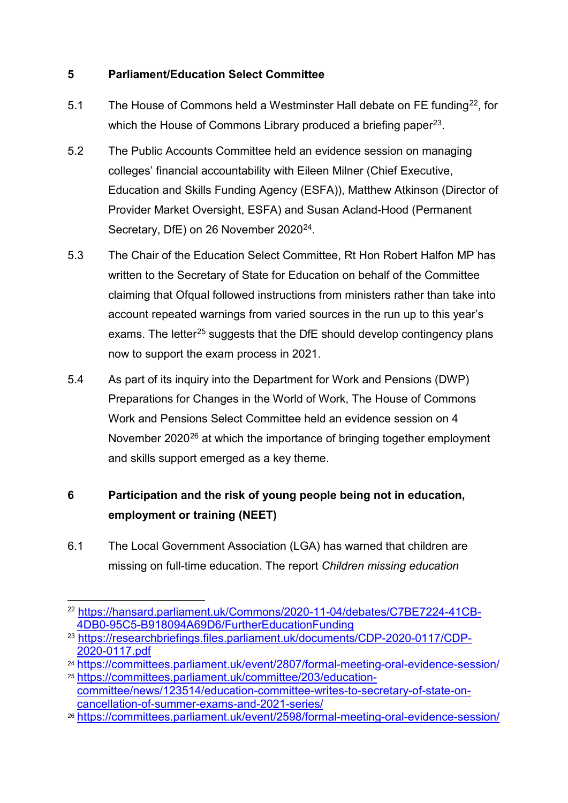# **5 Parliament/Education Select Committee**

- 5.1 The House of Commons held a Westminster Hall debate on FE funding<sup>[22](#page-8-0)</sup>, for which the House of Commons Library produced a briefing paper<sup>[23](#page-8-1)</sup>.
- 5.2 The Public Accounts Committee held an evidence session on managing colleges' financial accountability with Eileen Milner (Chief Executive, Education and Skills Funding Agency (ESFA)), Matthew Atkinson (Director of Provider Market Oversight, ESFA) and Susan Acland-Hood (Permanent Secretary, DfE) on 26 November 2020<sup>[24](#page-8-2)</sup>.
- 5.3 The Chair of the Education Select Committee, Rt Hon Robert Halfon MP has written to the Secretary of State for Education on behalf of the Committee claiming that Ofqual followed instructions from ministers rather than take into account repeated warnings from varied sources in the run up to this year's exams. The letter<sup>[25](#page-8-3)</sup> suggests that the DfE should develop contingency plans now to support the exam process in 2021.
- 5.4 As part of its inquiry into the Department for Work and Pensions (DWP) Preparations for Changes in the World of Work, The House of Commons Work and Pensions Select Committee held an evidence session on 4 November  $2020^{26}$  at which the importance of bringing together employment and skills support emerged as a key theme.

# **6 Participation and the risk of young people being not in education, employment or training (NEET)**

6.1 The Local Government Association (LGA) has warned that children are missing on full-time education. The report *Children missing education* 

<span id="page-8-0"></span> <sup>22</sup> [https://hansard.parliament.uk/Commons/2020-11-04/debates/C7BE7224-41CB-](https://hansard.parliament.uk/Commons/2020-11-04/debates/C7BE7224-41CB-4DB0-95C5-B918094A69D6/FurtherEducationFunding)[4DB0-95C5-B918094A69D6/FurtherEducationFunding](https://hansard.parliament.uk/Commons/2020-11-04/debates/C7BE7224-41CB-4DB0-95C5-B918094A69D6/FurtherEducationFunding)

<span id="page-8-1"></span><sup>23</sup> [https://researchbriefings.files.parliament.uk/documents/CDP-2020-0117/CDP-](https://researchbriefings.files.parliament.uk/documents/CDP-2020-0117/CDP-2020-0117.pdf)[2020-0117.pdf](https://researchbriefings.files.parliament.uk/documents/CDP-2020-0117/CDP-2020-0117.pdf)

<span id="page-8-3"></span><span id="page-8-2"></span><sup>24</sup> <https://committees.parliament.uk/event/2807/formal-meeting-oral-evidence-session/> <sup>25</sup> [https://committees.parliament.uk/committee/203/education-](https://committees.parliament.uk/committee/203/education-committee/news/123514/education-committee-writes-to-secretary-of-state-on-cancellation-of-summer-exams-and-2021-series/)

[committee/news/123514/education-committee-writes-to-secretary-of-state-on](https://committees.parliament.uk/committee/203/education-committee/news/123514/education-committee-writes-to-secretary-of-state-on-cancellation-of-summer-exams-and-2021-series/)[cancellation-of-summer-exams-and-2021-series/](https://committees.parliament.uk/committee/203/education-committee/news/123514/education-committee-writes-to-secretary-of-state-on-cancellation-of-summer-exams-and-2021-series/)

<span id="page-8-4"></span><sup>26</sup> <https://committees.parliament.uk/event/2598/formal-meeting-oral-evidence-session/>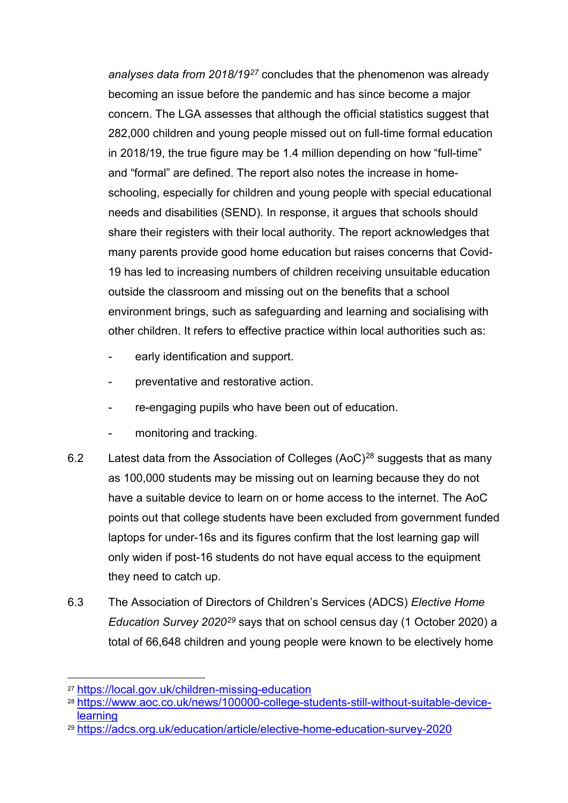*analyses data from 2018/19[27](#page-9-0)* concludes that the phenomenon was already becoming an issue before the pandemic and has since become a major concern. The LGA assesses that although the official statistics suggest that 282,000 children and young people missed out on full-time formal education in 2018/19, the true figure may be 1.4 million depending on how "full-time" and "formal" are defined. The report also notes the increase in homeschooling, especially for children and young people with special educational needs and disabilities (SEND). In response, it argues that schools should share their registers with their local authority. The report acknowledges that many parents provide good home education but raises concerns that Covid-19 has led to increasing numbers of children receiving unsuitable education outside the classroom and missing out on the benefits that a school environment brings, such as safeguarding and learning and socialising with other children. It refers to effective practice within local authorities such as:

- early identification and support.
- preventative and restorative action.
- re-engaging pupils who have been out of education.
- monitoring and tracking.
- 6.2 Latest data from the Association of Colleges  $(AoC)^{28}$  $(AoC)^{28}$  $(AoC)^{28}$  suggests that as many as 100,000 students may be missing out on learning because they do not have a suitable device to learn on or home access to the internet. The AoC points out that college students have been excluded from government funded laptops for under-16s and its figures confirm that the lost learning gap will only widen if post-16 students do not have equal access to the equipment they need to catch up.
- 6.3 The Association of Directors of Children's Services (ADCS) *Elective Home Education Survey 2020[29](#page-9-2)* says that on school census day (1 October 2020) a total of 66,648 children and young people were known to be electively home

<span id="page-9-0"></span> <sup>27</sup> <https://local.gov.uk/children-missing-education>

<span id="page-9-1"></span><sup>28</sup> [https://www.aoc.co.uk/news/100000-college-students-still-without-suitable-device](https://www.aoc.co.uk/news/100000-college-students-still-without-suitable-device-learning)[learning](https://www.aoc.co.uk/news/100000-college-students-still-without-suitable-device-learning)

<span id="page-9-2"></span><sup>29</sup> <https://adcs.org.uk/education/article/elective-home-education-survey-2020>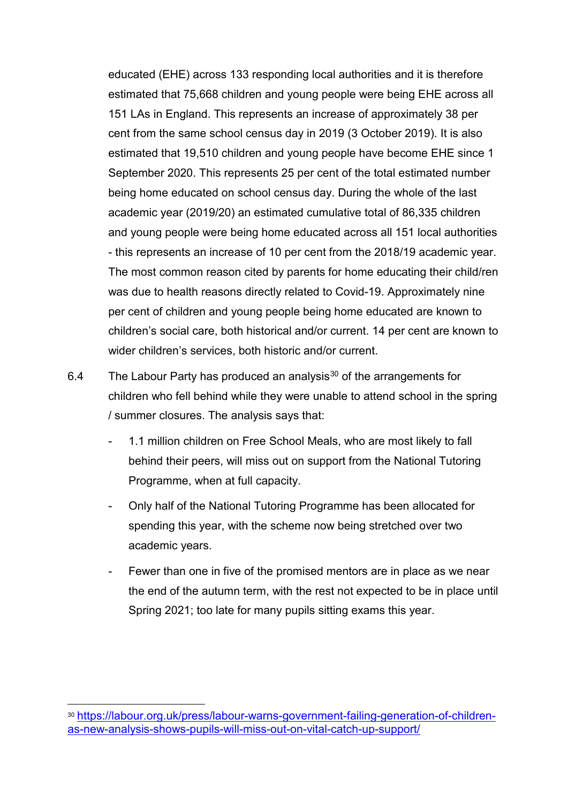educated (EHE) across 133 responding local authorities and it is therefore estimated that 75,668 children and young people were being EHE across all 151 LAs in England. This represents an increase of approximately 38 per cent from the same school census day in 2019 (3 October 2019). It is also estimated that 19,510 children and young people have become EHE since 1 September 2020. This represents 25 per cent of the total estimated number being home educated on school census day. During the whole of the last academic year (2019/20) an estimated cumulative total of 86,335 children and young people were being home educated across all 151 local authorities - this represents an increase of 10 per cent from the 2018/19 academic year. The most common reason cited by parents for home educating their child/ren was due to health reasons directly related to Covid-19. Approximately nine per cent of children and young people being home educated are known to children's social care, both historical and/or current. 14 per cent are known to wider children's services, both historic and/or current.

- 6.4 The Labour Party has produced an analysis<sup>[30](#page-10-0)</sup> of the arrangements for children who fell behind while they were unable to attend school in the spring / summer closures. The analysis says that:
	- 1.1 million children on Free School Meals, who are most likely to fall behind their peers, will miss out on support from the National Tutoring Programme, when at full capacity.
	- Only half of the National Tutoring Programme has been allocated for spending this year, with the scheme now being stretched over two academic years.
	- Fewer than one in five of the promised mentors are in place as we near the end of the autumn term, with the rest not expected to be in place until Spring 2021; too late for many pupils sitting exams this year.

<span id="page-10-0"></span> <sup>30</sup> [https://labour.org.uk/press/labour-warns-government-failing-generation-of-children](https://labour.org.uk/press/labour-warns-government-failing-generation-of-children-as-new-analysis-shows-pupils-will-miss-out-on-vital-catch-up-support/)[as-new-analysis-shows-pupils-will-miss-out-on-vital-catch-up-support/](https://labour.org.uk/press/labour-warns-government-failing-generation-of-children-as-new-analysis-shows-pupils-will-miss-out-on-vital-catch-up-support/)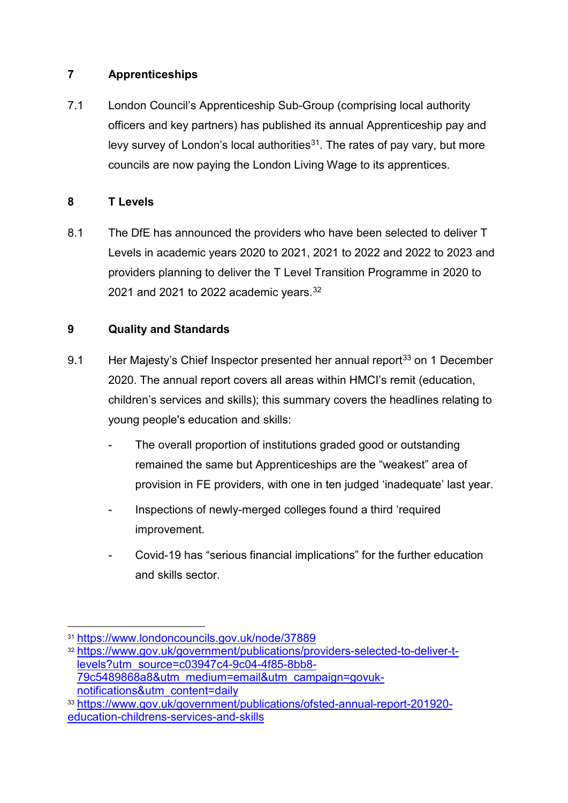# **7 Apprenticeships**

7.1 London Council's Apprenticeship Sub-Group (comprising local authority officers and key partners) has published its annual Apprenticeship pay and levy survey of London's local authorities<sup>[31](#page-11-0)</sup>. The rates of pay vary, but more councils are now paying the London Living Wage to its apprentices.

# **8 T Levels**

8.1 The DfE has announced the providers who have been selected to deliver T Levels in academic years 2020 to 2021, 2021 to 2022 and 2022 to 2023 and providers planning to deliver the T Level Transition Programme in 2020 to 2021 and 2021 to 2022 academic years.  $32$ 

# **9 Quality and Standards**

- 9.1 Her Majesty's Chief Inspector presented her annual report<sup>[33](#page-11-2)</sup> on 1 December 2020. The annual report covers all areas within HMCI's remit (education, children's services and skills); this summary covers the headlines relating to young people's education and skills:
	- The overall proportion of institutions graded good or outstanding remained the same but Apprenticeships are the "weakest" area of provision in FE providers, with one in ten judged 'inadequate' last year.
	- Inspections of newly-merged colleges found a third 'required improvement.
	- Covid-19 has "serious financial implications" for the further education and skills sector.

<span id="page-11-0"></span> <sup>31</sup> <https://www.londoncouncils.gov.uk/node/37889>

<span id="page-11-1"></span><sup>32</sup> [https://www.gov.uk/government/publications/providers-selected-to-deliver-t](https://www.gov.uk/government/publications/providers-selected-to-deliver-t-levels?utm_source=c03947c4-9c04-4f85-8bb8-79c5489868a8&utm_medium=email&utm_campaign=govuk-notifications&utm_content=daily)[levels?utm\\_source=c03947c4-9c04-4f85-8bb8-](https://www.gov.uk/government/publications/providers-selected-to-deliver-t-levels?utm_source=c03947c4-9c04-4f85-8bb8-79c5489868a8&utm_medium=email&utm_campaign=govuk-notifications&utm_content=daily) [79c5489868a8&utm\\_medium=email&utm\\_campaign=govuk](https://www.gov.uk/government/publications/providers-selected-to-deliver-t-levels?utm_source=c03947c4-9c04-4f85-8bb8-79c5489868a8&utm_medium=email&utm_campaign=govuk-notifications&utm_content=daily)[notifications&utm\\_content=daily](https://www.gov.uk/government/publications/providers-selected-to-deliver-t-levels?utm_source=c03947c4-9c04-4f85-8bb8-79c5489868a8&utm_medium=email&utm_campaign=govuk-notifications&utm_content=daily)

<span id="page-11-2"></span><sup>33</sup> https://www.gov.uk/government/publications/ofsted-annual-report-201920 education-childrens-services-and-skills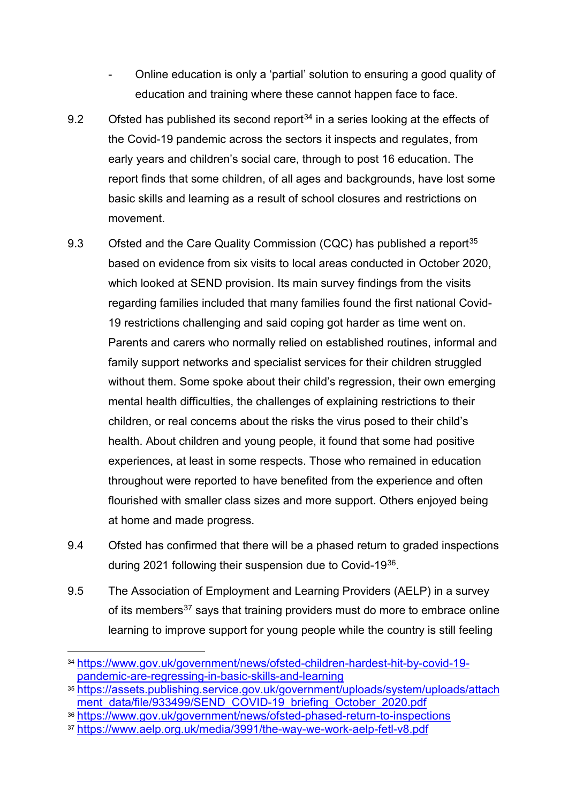- Online education is only a 'partial' solution to ensuring a good quality of education and training where these cannot happen face to face.
- 9.2 Ofsted has published its second report $34$  in a series looking at the effects of the Covid-19 pandemic across the sectors it inspects and regulates, from early years and children's social care, through to post 16 education. The report finds that some children, of all ages and backgrounds, have lost some basic skills and learning as a result of school closures and restrictions on movement.
- 9.3 Ofsted and the Care Quality Commission (CQC) has published a report<sup>[35](#page-12-1)</sup> based on evidence from six visits to local areas conducted in October 2020, which looked at SEND provision. Its main survey findings from the visits regarding families included that many families found the first national Covid-19 restrictions challenging and said coping got harder as time went on. Parents and carers who normally relied on established routines, informal and family support networks and specialist services for their children struggled without them. Some spoke about their child's regression, their own emerging mental health difficulties, the challenges of explaining restrictions to their children, or real concerns about the risks the virus posed to their child's health. About children and young people, it found that some had positive experiences, at least in some respects. Those who remained in education throughout were reported to have benefited from the experience and often flourished with smaller class sizes and more support. Others enjoyed being at home and made progress.
- 9.4 Ofsted has confirmed that there will be a phased return to graded inspections during 2021 following their suspension due to Covid-19[36](#page-12-2).
- 9.5 The Association of Employment and Learning Providers (AELP) in a survey of its members<sup>[37](#page-12-3)</sup> says that training providers must do more to embrace online learning to improve support for young people while the country is still feeling

<span id="page-12-0"></span> <sup>34</sup> [https://www.gov.uk/government/news/ofsted-children-hardest-hit-by-covid-19](https://www.gov.uk/government/news/ofsted-children-hardest-hit-by-covid-19-pandemic-are-regressing-in-basic-skills-and-learning) [pandemic-are-regressing-in-basic-skills-and-learning](https://www.gov.uk/government/news/ofsted-children-hardest-hit-by-covid-19-pandemic-are-regressing-in-basic-skills-and-learning)

<span id="page-12-1"></span><sup>35</sup>[.https://assets.publishing.service.gov.uk/government/uploads/system/uploads/attach](https://assets.publishing.service.gov.uk/government/uploads/system/uploads/attachment_data/file/933499/SEND_COVID-19_briefing_October_2020.pdf) [ment\\_data/file/933499/SEND\\_COVID-19\\_briefing\\_October\\_2020.pdf](https://assets.publishing.service.gov.uk/government/uploads/system/uploads/attachment_data/file/933499/SEND_COVID-19_briefing_October_2020.pdf)

<span id="page-12-2"></span><sup>36</sup> <https://www.gov.uk/government/news/ofsted-phased-return-to-inspections>

<span id="page-12-3"></span><sup>37</sup> <https://www.aelp.org.uk/media/3991/the-way-we-work-aelp-fetl-v8.pdf>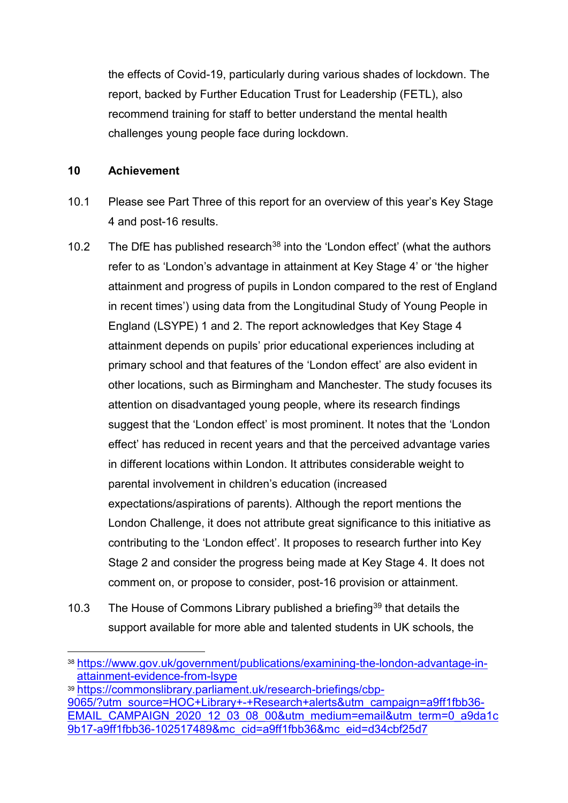the effects of Covid-19, particularly during various shades of lockdown. The report, backed by Further Education Trust for Leadership (FETL), also recommend training for staff to better understand the mental health challenges young people face during lockdown.

#### **10 Achievement**

- 10.1 Please see Part Three of this report for an overview of this year's Key Stage 4 and post-16 results.
- 10.2 The DfE has published research<sup>38</sup> into the 'London effect' (what the authors refer to as 'London's advantage in attainment at Key Stage 4' or 'the higher attainment and progress of pupils in London compared to the rest of England in recent times') using data from the Longitudinal Study of Young People in England (LSYPE) 1 and 2. The report acknowledges that Key Stage 4 attainment depends on pupils' prior educational experiences including at primary school and that features of the 'London effect' are also evident in other locations, such as Birmingham and Manchester. The study focuses its attention on disadvantaged young people, where its research findings suggest that the 'London effect' is most prominent. It notes that the 'London effect' has reduced in recent years and that the perceived advantage varies in different locations within London. It attributes considerable weight to parental involvement in children's education (increased expectations/aspirations of parents). Although the report mentions the London Challenge, it does not attribute great significance to this initiative as contributing to the 'London effect'. It proposes to research further into Key Stage 2 and consider the progress being made at Key Stage 4. It does not comment on, or propose to consider, post-16 provision or attainment.
- 10.3 The House of Commons Library published a briefing<sup>39</sup> that details the support available for more able and talented students in UK schools, the

<span id="page-13-0"></span> <sup>38</sup> [https://www.gov.uk/government/publications/examining-the-london-advantage-in](https://www.gov.uk/government/publications/examining-the-london-advantage-in-attainment-evidence-from-lsype)[attainment-evidence-from-lsype](https://www.gov.uk/government/publications/examining-the-london-advantage-in-attainment-evidence-from-lsype)

<span id="page-13-1"></span><sup>39</sup> [https://commonslibrary.parliament.uk/research-briefings/cbp-](https://commonslibrary.parliament.uk/research-briefings/cbp-9065/?utm_source=HOC+Library+-+Research+alerts&utm_campaign=a9ff1fbb36-EMAIL_CAMPAIGN_2020_12_03_08_00&utm_medium=email&utm_term=0_a9da1c9b17-a9ff1fbb36-102517489&mc_cid=a9ff1fbb36&mc_eid=d34cbf25d7)[9065/?utm\\_source=HOC+Library+-+Research+alerts&utm\\_campaign=a9ff1fbb36-](https://commonslibrary.parliament.uk/research-briefings/cbp-9065/?utm_source=HOC+Library+-+Research+alerts&utm_campaign=a9ff1fbb36-EMAIL_CAMPAIGN_2020_12_03_08_00&utm_medium=email&utm_term=0_a9da1c9b17-a9ff1fbb36-102517489&mc_cid=a9ff1fbb36&mc_eid=d34cbf25d7) [EMAIL\\_CAMPAIGN\\_2020\\_12\\_03\\_08\\_00&utm\\_medium=email&utm\\_term=0\\_a9da1c](https://commonslibrary.parliament.uk/research-briefings/cbp-9065/?utm_source=HOC+Library+-+Research+alerts&utm_campaign=a9ff1fbb36-EMAIL_CAMPAIGN_2020_12_03_08_00&utm_medium=email&utm_term=0_a9da1c9b17-a9ff1fbb36-102517489&mc_cid=a9ff1fbb36&mc_eid=d34cbf25d7) [9b17-a9ff1fbb36-102517489&mc\\_cid=a9ff1fbb36&mc\\_eid=d34cbf25d7](https://commonslibrary.parliament.uk/research-briefings/cbp-9065/?utm_source=HOC+Library+-+Research+alerts&utm_campaign=a9ff1fbb36-EMAIL_CAMPAIGN_2020_12_03_08_00&utm_medium=email&utm_term=0_a9da1c9b17-a9ff1fbb36-102517489&mc_cid=a9ff1fbb36&mc_eid=d34cbf25d7)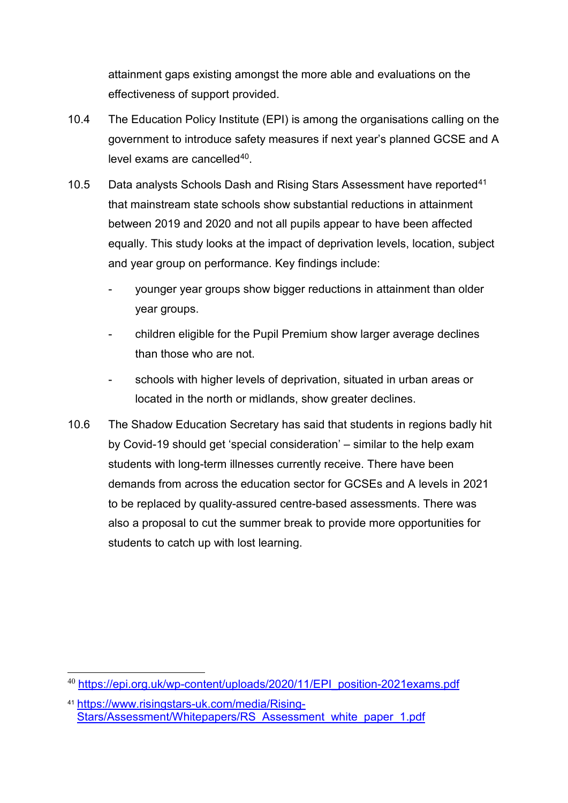attainment gaps existing amongst the more able and evaluations on the effectiveness of support provided.

- 10.4 The Education Policy Institute (EPI) is among the organisations calling on the government to introduce safety measures if next year's planned GCSE and A level exams are cancelled<sup>[40](#page-14-0)</sup>.
- 10.5 Data analysts Schools Dash and Rising Stars Assessment have reported<sup>[41](#page-14-1)</sup> that mainstream state schools show substantial reductions in attainment between 2019 and 2020 and not all pupils appear to have been affected equally. This study looks at the impact of deprivation levels, location, subject and year group on performance. Key findings include:
	- younger year groups show bigger reductions in attainment than older year groups.
	- children eligible for the Pupil Premium show larger average declines than those who are not.
	- schools with higher levels of deprivation, situated in urban areas or located in the north or midlands, show greater declines.
- 10.6 The Shadow Education Secretary has said that students in regions badly hit by Covid-19 should get 'special consideration' – similar to the help exam students with long-term illnesses currently receive. There have been demands from across the education sector for GCSEs and A levels in 2021 to be replaced by quality-assured centre-based assessments. There was also a proposal to cut the summer break to provide more opportunities for students to catch up with lost learning.

<span id="page-14-0"></span><sup>40</sup> [https://epi.org.uk/wp-content/uploads/2020/11/EPI\\_position-2021exams.pdf](https://epi.org.uk/wp-content/uploads/2020/11/EPI_position-2021exams.pdf)

<span id="page-14-1"></span><sup>41</sup> [https://www.risingstars-uk.com/media/Rising-](https://www.risingstars-uk.com/media/Rising-Stars/Assessment/Whitepapers/RS_Assessment_white_paper_1.pdf)[Stars/Assessment/Whitepapers/RS\\_Assessment\\_white\\_paper\\_1.pdf](https://www.risingstars-uk.com/media/Rising-Stars/Assessment/Whitepapers/RS_Assessment_white_paper_1.pdf)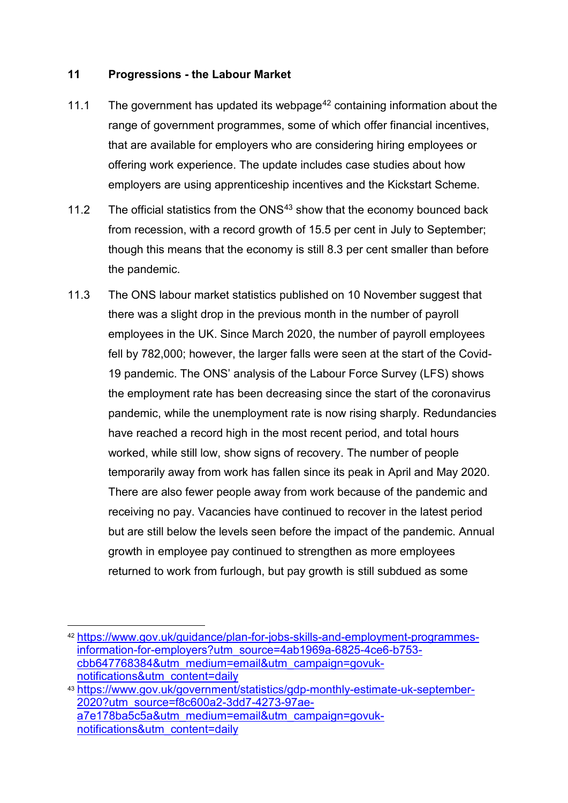#### **11 Progressions - the Labour Market**

- 11.1 The government has updated its webpage<sup>[42](#page-15-0)</sup> containing information about the range of government programmes, some of which offer financial incentives, that are available for employers who are considering hiring employees or offering work experience. The update includes case studies about how employers are using apprenticeship incentives and the Kickstart Scheme.
- 11.2 The official statistics from the  $\text{ONS}^{43}$  $\text{ONS}^{43}$  $\text{ONS}^{43}$  show that the economy bounced back from recession, with a record growth of 15.5 per cent in July to September; though this means that the economy is still 8.3 per cent smaller than before the pandemic.
- 11.3 The ONS labour market statistics published on 10 November suggest that there was a slight drop in the previous month in the number of payroll employees in the UK. Since March 2020, the number of payroll employees fell by 782,000; however, the larger falls were seen at the start of the Covid-19 pandemic. The ONS' analysis of the Labour Force Survey (LFS) shows the employment rate has been decreasing since the start of the coronavirus pandemic, while the unemployment rate is now rising sharply. Redundancies have reached a record high in the most recent period, and total hours worked, while still low, show signs of recovery. The number of people temporarily away from work has fallen since its peak in April and May 2020. There are also fewer people away from work because of the pandemic and receiving no pay. Vacancies have continued to recover in the latest period but are still below the levels seen before the impact of the pandemic. Annual growth in employee pay continued to strengthen as more employees returned to work from furlough, but pay growth is still subdued as some

<span id="page-15-0"></span> <sup>42</sup> [https://www.gov.uk/guidance/plan-for-jobs-skills-and-employment-programmes](https://www.gov.uk/guidance/plan-for-jobs-skills-and-employment-programmes-information-for-employers?utm_source=4ab1969a-6825-4ce6-b753-cbb647768384&utm_medium=email&utm_campaign=govuk-notifications&utm_content=daily)[information-for-employers?utm\\_source=4ab1969a-6825-4ce6-b753](https://www.gov.uk/guidance/plan-for-jobs-skills-and-employment-programmes-information-for-employers?utm_source=4ab1969a-6825-4ce6-b753-cbb647768384&utm_medium=email&utm_campaign=govuk-notifications&utm_content=daily) [cbb647768384&utm\\_medium=email&utm\\_campaign=govuk](https://www.gov.uk/guidance/plan-for-jobs-skills-and-employment-programmes-information-for-employers?utm_source=4ab1969a-6825-4ce6-b753-cbb647768384&utm_medium=email&utm_campaign=govuk-notifications&utm_content=daily)[notifications&utm\\_content=daily](https://www.gov.uk/guidance/plan-for-jobs-skills-and-employment-programmes-information-for-employers?utm_source=4ab1969a-6825-4ce6-b753-cbb647768384&utm_medium=email&utm_campaign=govuk-notifications&utm_content=daily)

<span id="page-15-1"></span><sup>43</sup> [https://www.gov.uk/government/statistics/gdp-monthly-estimate-uk-september-](https://www.gov.uk/government/statistics/gdp-monthly-estimate-uk-september-2020?utm_source=f8c600a2-3dd7-4273-97ae-a7e178ba5c5a&utm_medium=email&utm_campaign=govuk-notifications&utm_content=daily)[2020?utm\\_source=f8c600a2-3dd7-4273-97ae](https://www.gov.uk/government/statistics/gdp-monthly-estimate-uk-september-2020?utm_source=f8c600a2-3dd7-4273-97ae-a7e178ba5c5a&utm_medium=email&utm_campaign=govuk-notifications&utm_content=daily)[a7e178ba5c5a&utm\\_medium=email&utm\\_campaign=govuk](https://www.gov.uk/government/statistics/gdp-monthly-estimate-uk-september-2020?utm_source=f8c600a2-3dd7-4273-97ae-a7e178ba5c5a&utm_medium=email&utm_campaign=govuk-notifications&utm_content=daily)[notifications&utm\\_content=daily](https://www.gov.uk/government/statistics/gdp-monthly-estimate-uk-september-2020?utm_source=f8c600a2-3dd7-4273-97ae-a7e178ba5c5a&utm_medium=email&utm_campaign=govuk-notifications&utm_content=daily)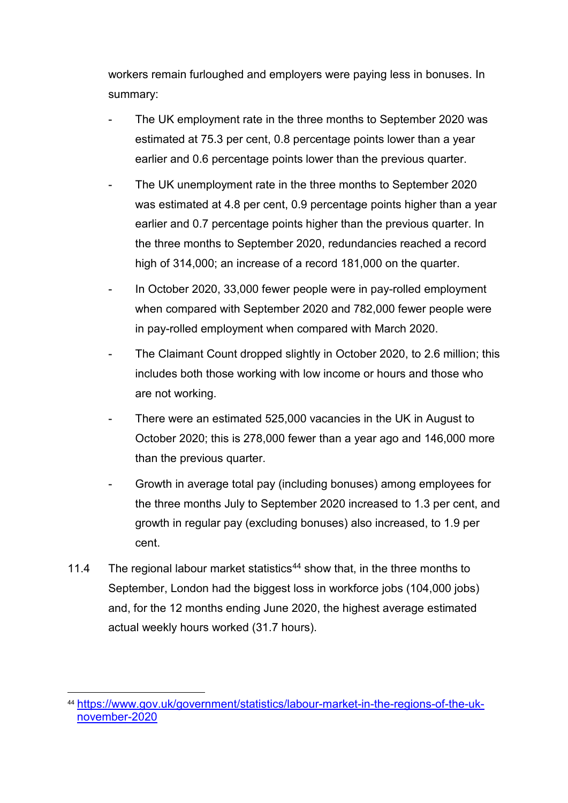workers remain furloughed and employers were paying less in bonuses. In summary:

- The UK employment rate in the three months to September 2020 was estimated at 75.3 per cent, 0.8 percentage points lower than a year earlier and 0.6 percentage points lower than the previous quarter.
- The UK unemployment rate in the three months to September 2020 was estimated at 4.8 per cent, 0.9 percentage points higher than a year earlier and 0.7 percentage points higher than the previous quarter. In the three months to September 2020, redundancies reached a record high of 314,000; an increase of a record 181,000 on the quarter.
- In October 2020, 33,000 fewer people were in pay-rolled employment when compared with September 2020 and 782,000 fewer people were in pay-rolled employment when compared with March 2020.
- The Claimant Count dropped slightly in October 2020, to 2.6 million; this includes both those working with low income or hours and those who are not working.
- There were an estimated 525,000 vacancies in the UK in August to October 2020; this is 278,000 fewer than a year ago and 146,000 more than the previous quarter.
- Growth in average total pay (including bonuses) among employees for the three months July to September 2020 increased to 1.3 per cent, and growth in regular pay (excluding bonuses) also increased, to 1.9 per cent.
- 11.4 The regional labour market statistics<sup>[44](#page-16-0)</sup> show that, in the three months to September, London had the biggest loss in workforce jobs (104,000 jobs) and, for the 12 months ending June 2020, the highest average estimated actual weekly hours worked (31.7 hours).

<span id="page-16-0"></span> <sup>44</sup> [https://www.gov.uk/government/statistics/labour-market-in-the-regions-of-the-uk](https://www.gov.uk/government/statistics/labour-market-in-the-regions-of-the-uk-november-2020)[november-2020](https://www.gov.uk/government/statistics/labour-market-in-the-regions-of-the-uk-november-2020)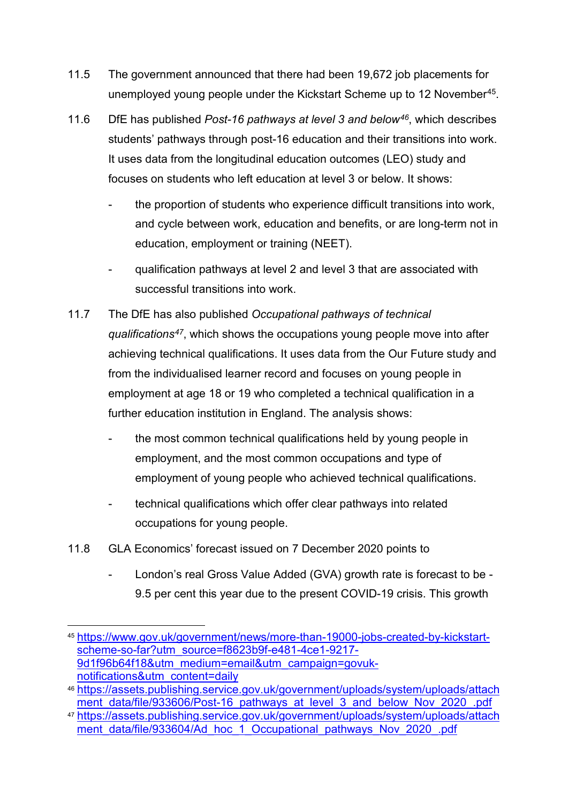- 11.5 The government announced that there had been 19,672 job placements for unemployed young people under the Kickstart Scheme up to 12 November[45.](#page-17-0)
- 11.6 DfE has published *Post-16 pathways at level 3 and below[46](#page-17-1)*, which describes students' pathways through post-16 education and their transitions into work. It uses data from the longitudinal education outcomes (LEO) study and focuses on students who left education at level 3 or below. It shows:
	- the proportion of students who experience difficult transitions into work. and cycle between work, education and benefits, or are long-term not in education, employment or training (NEET).
	- qualification pathways at level 2 and level 3 that are associated with successful transitions into work.
- 11.7 The DfE has also published *Occupational pathways of technical qualifications[47](#page-17-2)*, which shows the occupations young people move into after achieving technical qualifications. It uses data from the Our Future study and from the individualised learner record and focuses on young people in employment at age 18 or 19 who completed a technical qualification in a further education institution in England. The analysis shows:
	- the most common technical qualifications held by young people in employment, and the most common occupations and type of employment of young people who achieved technical qualifications.
	- technical qualifications which offer clear pathways into related occupations for young people.
- 11.8 GLA Economics' forecast issued on 7 December 2020 points to
	- London's real Gross Value Added (GVA) growth rate is forecast to be 9.5 per cent this year due to the present COVID-19 crisis. This growth

<span id="page-17-0"></span> <sup>45</sup> [https://www.gov.uk/government/news/more-than-19000-jobs-created-by-kickstart](https://www.gov.uk/government/news/more-than-19000-jobs-created-by-kickstart-scheme-so-far?utm_source=f8623b9f-e481-4ce1-9217-9d1f96b64f18&utm_medium=email&utm_campaign=govuk-notifications&utm_content=daily)[scheme-so-far?utm\\_source=f8623b9f-e481-4ce1-9217-](https://www.gov.uk/government/news/more-than-19000-jobs-created-by-kickstart-scheme-so-far?utm_source=f8623b9f-e481-4ce1-9217-9d1f96b64f18&utm_medium=email&utm_campaign=govuk-notifications&utm_content=daily) [9d1f96b64f18&utm\\_medium=email&utm\\_campaign=govuk](https://www.gov.uk/government/news/more-than-19000-jobs-created-by-kickstart-scheme-so-far?utm_source=f8623b9f-e481-4ce1-9217-9d1f96b64f18&utm_medium=email&utm_campaign=govuk-notifications&utm_content=daily)[notifications&utm\\_content=daily](https://www.gov.uk/government/news/more-than-19000-jobs-created-by-kickstart-scheme-so-far?utm_source=f8623b9f-e481-4ce1-9217-9d1f96b64f18&utm_medium=email&utm_campaign=govuk-notifications&utm_content=daily)

<span id="page-17-1"></span><sup>46</sup>[.https://assets.publishing.service.gov.uk/government/uploads/system/uploads/attach](https://assets.publishing.service.gov.uk/government/uploads/system/uploads/attachment_data/file/933606/Post-16_pathways_at_level_3_and_below_Nov_2020_.pdf) ment data/file/933606/Post-16 pathways at level 3 and below Nov 2020 .pdf

<span id="page-17-2"></span><sup>47</sup>[.https://assets.publishing.service.gov.uk/government/uploads/system/uploads/attach](https://assets.publishing.service.gov.uk/government/uploads/system/uploads/attachment_data/file/933604/Ad_hoc_1_Occupational_pathways_Nov_2020_.pdf) [ment\\_data/file/933604/Ad\\_hoc\\_1\\_Occupational\\_pathways\\_Nov\\_2020\\_.pdf](https://assets.publishing.service.gov.uk/government/uploads/system/uploads/attachment_data/file/933604/Ad_hoc_1_Occupational_pathways_Nov_2020_.pdf)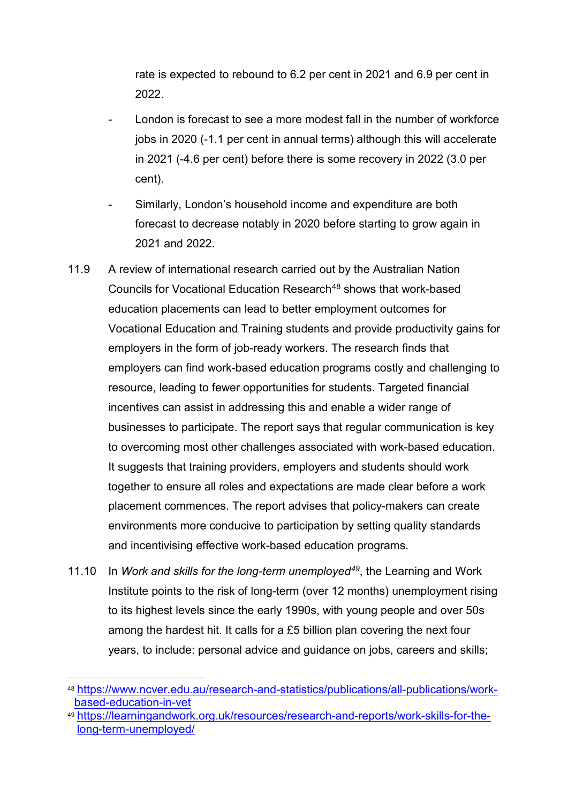rate is expected to rebound to 6.2 per cent in 2021 and 6.9 per cent in 2022.

- London is forecast to see a more modest fall in the number of workforce jobs in 2020 (-1.1 per cent in annual terms) although this will accelerate in 2021 (-4.6 per cent) before there is some recovery in 2022 (3.0 per cent).
- Similarly, London's household income and expenditure are both forecast to decrease notably in 2020 before starting to grow again in 2021 and 2022.
- 11.9 A review of international research carried out by the Australian Nation Councils for Vocational Education Research<sup>[48](#page-18-0)</sup> shows that work-based education placements can lead to better employment outcomes for Vocational Education and Training students and provide productivity gains for employers in the form of job-ready workers. The research finds that employers can find work-based education programs costly and challenging to resource, leading to fewer opportunities for students. Targeted financial incentives can assist in addressing this and enable a wider range of businesses to participate. The report says that regular communication is key to overcoming most other challenges associated with work-based education. It suggests that training providers, employers and students should work together to ensure all roles and expectations are made clear before a work placement commences. The report advises that policy-makers can create environments more conducive to participation by setting quality standards and incentivising effective work-based education programs.
- 11.10 In *Work and skills for the long-term unemployed[49](#page-18-1)*, the Learning and Work Institute points to the risk of long-term (over 12 months) unemployment rising to its highest levels since the early 1990s, with young people and over 50s among the hardest hit. It calls for a £5 billion plan covering the next four years, to include: personal advice and guidance on jobs, careers and skills;

<span id="page-18-0"></span> <sup>48</sup> [https://www.ncver.edu.au/research-and-statistics/publications/all-publications/work](https://www.ncver.edu.au/research-and-statistics/publications/all-publications/work-based-education-in-vet)[based-education-in-vet](https://www.ncver.edu.au/research-and-statistics/publications/all-publications/work-based-education-in-vet)

<span id="page-18-1"></span><sup>49</sup> [https://learningandwork.org.uk/resources/research-and-reports/work-skills-for-the](https://learningandwork.org.uk/resources/research-and-reports/work-skills-for-the-long-term-unemployed/)[long-term-unemployed/](https://learningandwork.org.uk/resources/research-and-reports/work-skills-for-the-long-term-unemployed/)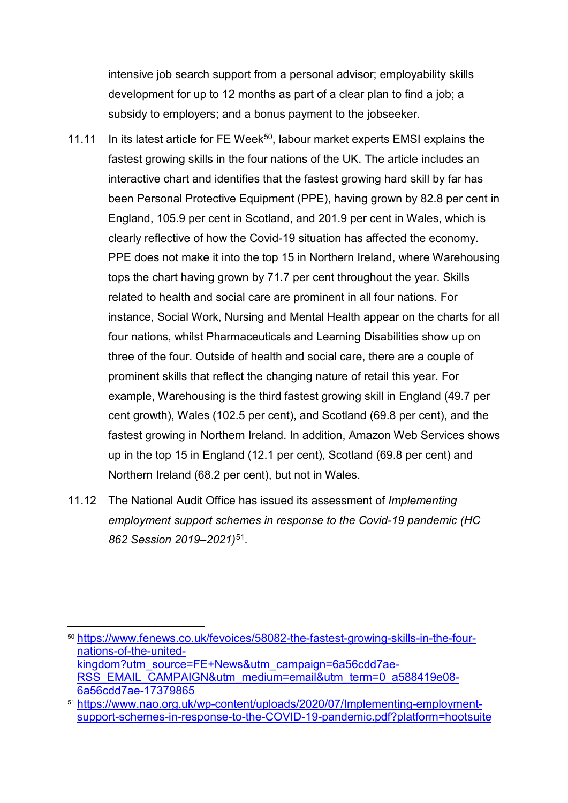intensive job search support from a personal advisor; employability skills development for up to 12 months as part of a clear plan to find a job; a subsidy to employers; and a bonus payment to the jobseeker.

- 11.11 In its latest article for FE Week<sup>50</sup>, labour market experts EMSI explains the fastest growing skills in the four nations of the UK. The article includes an interactive chart and identifies that the fastest growing hard skill by far has been Personal Protective Equipment (PPE), having grown by 82.8 per cent in England, 105.9 per cent in Scotland, and 201.9 per cent in Wales, which is clearly reflective of how the Covid-19 situation has affected the economy. PPE does not make it into the top 15 in Northern Ireland, where Warehousing tops the chart having grown by 71.7 per cent throughout the year. Skills related to health and social care are prominent in all four nations. For instance, Social Work, Nursing and Mental Health appear on the charts for all four nations, whilst Pharmaceuticals and Learning Disabilities show up on three of the four. Outside of health and social care, there are a couple of prominent skills that reflect the changing nature of retail this year. For example, Warehousing is the third fastest growing skill in England (49.7 per cent growth), Wales (102.5 per cent), and Scotland (69.8 per cent), and the fastest growing in Northern Ireland. In addition, Amazon Web Services shows up in the top 15 in England (12.1 per cent), Scotland (69.8 per cent) and Northern Ireland (68.2 per cent), but not in Wales.
- 11.12 The National Audit Office has issued its assessment of *Implementing employment support schemes in response to the Covid-19 pandemic (HC 862 Session 2019–2021)*[51](#page-19-1).

<span id="page-19-0"></span> <sup>50</sup> [https://www.fenews.co.uk/fevoices/58082-the-fastest-growing-skills-in-the-four](https://www.fenews.co.uk/fevoices/58082-the-fastest-growing-skills-in-the-four-nations-of-the-united-kingdom?utm_source=FE+News&utm_campaign=6a56cdd7ae-RSS_EMAIL_CAMPAIGN&utm_medium=email&utm_term=0_a588419e08-6a56cdd7ae-17379865)[nations-of-the-united](https://www.fenews.co.uk/fevoices/58082-the-fastest-growing-skills-in-the-four-nations-of-the-united-kingdom?utm_source=FE+News&utm_campaign=6a56cdd7ae-RSS_EMAIL_CAMPAIGN&utm_medium=email&utm_term=0_a588419e08-6a56cdd7ae-17379865)[kingdom?utm\\_source=FE+News&utm\\_campaign=6a56cdd7ae-](https://www.fenews.co.uk/fevoices/58082-the-fastest-growing-skills-in-the-four-nations-of-the-united-kingdom?utm_source=FE+News&utm_campaign=6a56cdd7ae-RSS_EMAIL_CAMPAIGN&utm_medium=email&utm_term=0_a588419e08-6a56cdd7ae-17379865)[RSS\\_EMAIL\\_CAMPAIGN&utm\\_medium=email&utm\\_term=0\\_a588419e08-](https://www.fenews.co.uk/fevoices/58082-the-fastest-growing-skills-in-the-four-nations-of-the-united-kingdom?utm_source=FE+News&utm_campaign=6a56cdd7ae-RSS_EMAIL_CAMPAIGN&utm_medium=email&utm_term=0_a588419e08-6a56cdd7ae-17379865) [6a56cdd7ae-17379865](https://www.fenews.co.uk/fevoices/58082-the-fastest-growing-skills-in-the-four-nations-of-the-united-kingdom?utm_source=FE+News&utm_campaign=6a56cdd7ae-RSS_EMAIL_CAMPAIGN&utm_medium=email&utm_term=0_a588419e08-6a56cdd7ae-17379865)

<span id="page-19-1"></span><sup>51</sup> [https://www.nao.org.uk/wp-content/uploads/2020/07/Implementing-employment](https://www.nao.org.uk/wp-content/uploads/2020/07/Implementing-employment-support-schemes-in-response-to-the-COVID-19-pandemic.pdf?platform=hootsuite)[support-schemes-in-response-to-the-COVID-19-pandemic.pdf?platform=hootsuite](https://www.nao.org.uk/wp-content/uploads/2020/07/Implementing-employment-support-schemes-in-response-to-the-COVID-19-pandemic.pdf?platform=hootsuite)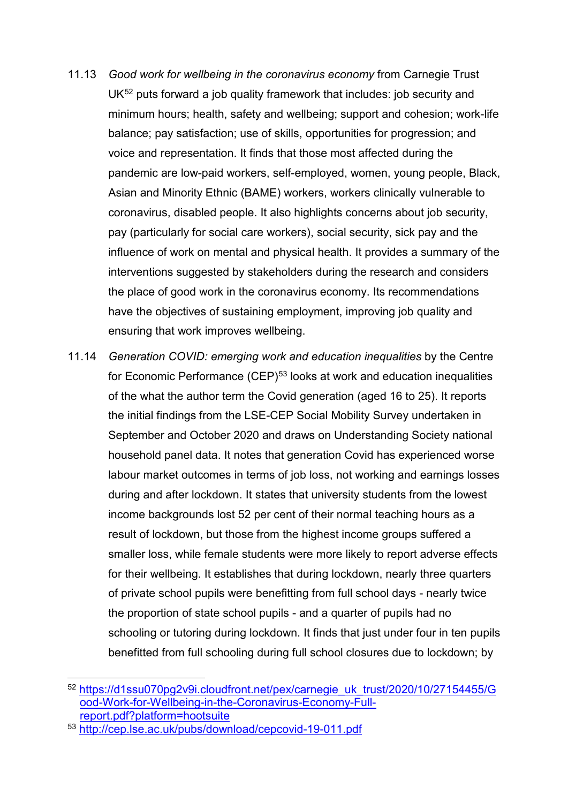- 11.13 *Good work for wellbeing in the coronavirus economy* from Carnegie Trust UK<sup>[52](#page-20-0)</sup> puts forward a job quality framework that includes: job security and minimum hours; health, safety and wellbeing; support and cohesion; work-life balance; pay satisfaction; use of skills, opportunities for progression; and voice and representation. It finds that those most affected during the pandemic are low-paid workers, self-employed, women, young people, Black, Asian and Minority Ethnic (BAME) workers, workers clinically vulnerable to coronavirus, disabled people. It also highlights concerns about job security, pay (particularly for social care workers), social security, sick pay and the influence of work on mental and physical health. It provides a summary of the interventions suggested by stakeholders during the research and considers the place of good work in the coronavirus economy. Its recommendations have the objectives of sustaining employment, improving job quality and ensuring that work improves wellbeing.
- 11.14 *Generation COVID: emerging work and education inequalities* by the Centre for Economic Performance (CEP)<sup>[53](#page-20-1)</sup> looks at work and education inequalities of the what the author term the Covid generation (aged 16 to 25). It reports the initial findings from the LSE-CEP Social Mobility Survey undertaken in September and October 2020 and draws on Understanding Society national household panel data. It notes that generation Covid has experienced worse labour market outcomes in terms of job loss, not working and earnings losses during and after lockdown. It states that university students from the lowest income backgrounds lost 52 per cent of their normal teaching hours as a result of lockdown, but those from the highest income groups suffered a smaller loss, while female students were more likely to report adverse effects for their wellbeing. It establishes that during lockdown, nearly three quarters of private school pupils were benefitting from full school days - nearly twice the proportion of state school pupils - and a quarter of pupils had no schooling or tutoring during lockdown. It finds that just under four in ten pupils benefitted from full schooling during full school closures due to lockdown; by

<span id="page-20-0"></span><sup>52</sup> https://d1ssu070pg2v9i.cloudfront.net/pex/carnegie\_uk\_trust/2020/10/27154455/G [ood-Work-for-Wellbeing-in-the-Coronavirus-Economy-Full](https://d1ssu070pg2v9i.cloudfront.net/pex/carnegie_uk_trust/2020/10/27154455/Good-Work-for-Wellbeing-in-the-Coronavirus-Economy-Full-report.pdf?platform=hootsuite)[report.pdf?platform=hootsuite](https://d1ssu070pg2v9i.cloudfront.net/pex/carnegie_uk_trust/2020/10/27154455/Good-Work-for-Wellbeing-in-the-Coronavirus-Economy-Full-report.pdf?platform=hootsuite)

<span id="page-20-1"></span><sup>53</sup> <http://cep.lse.ac.uk/pubs/download/cepcovid-19-011.pdf>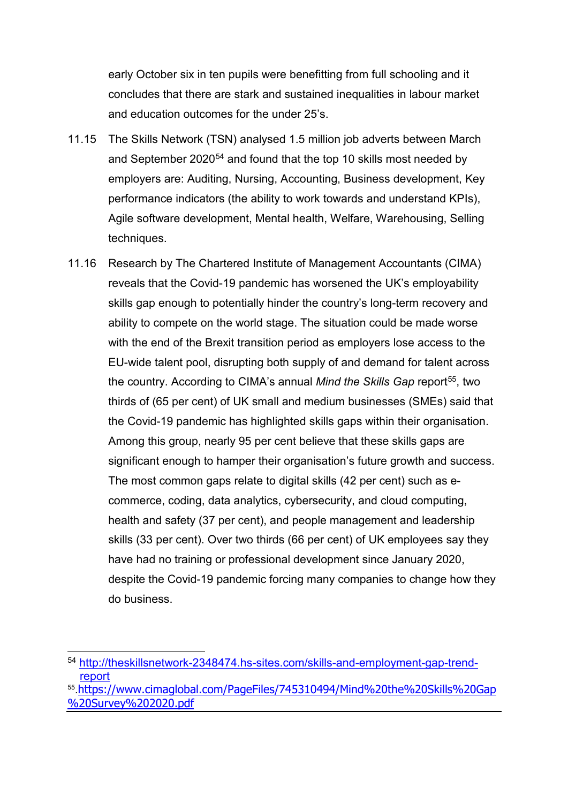early October six in ten pupils were benefitting from full schooling and it concludes that there are stark and sustained inequalities in labour market and education outcomes for the under 25's.

- 11.15 The Skills Network (TSN) analysed 1.5 million job adverts between March and September 2020<sup>[54](#page-21-0)</sup> and found that the top 10 skills most needed by employers are: Auditing, Nursing, Accounting, Business development, Key performance indicators (the ability to work towards and understand KPIs), Agile software development, Mental health, Welfare, Warehousing, Selling techniques.
- 11.16 Research by The Chartered Institute of Management Accountants (CIMA) reveals that the Covid-19 pandemic has worsened the UK's employability skills gap enough to potentially hinder the country's long-term recovery and ability to compete on the world stage. The situation could be made worse with the end of the Brexit transition period as employers lose access to the EU-wide talent pool, disrupting both supply of and demand for talent across the country. According to CIMA's annual *Mind the Skills Gap* report<sup>[55](#page-21-1)</sup>, two thirds of (65 per cent) of UK small and medium businesses (SMEs) said that the Covid-19 pandemic has highlighted skills gaps within their organisation. Among this group, nearly 95 per cent believe that these skills gaps are significant enough to hamper their organisation's future growth and success. The most common gaps relate to digital skills (42 per cent) such as ecommerce, coding, data analytics, cybersecurity, and cloud computing, health and safety (37 per cent), and people management and leadership skills (33 per cent). Over two thirds (66 per cent) of UK employees say they have had no training or professional development since January 2020, despite the Covid-19 pandemic forcing many companies to change how they do business.

<span id="page-21-0"></span> <sup>54</sup> [http://theskillsnetwork-2348474.hs-sites.com/skills-and-employment-gap-trend](http://theskillsnetwork-2348474.hs-sites.com/skills-and-employment-gap-trend-report)[report](http://theskillsnetwork-2348474.hs-sites.com/skills-and-employment-gap-trend-report)

<span id="page-21-1"></span><sup>55.</sup>[https://www.cimaglobal.com/PageFiles/745310494/Mind%20the%20Skills%20Gap](https://www.cimaglobal.com/PageFiles/745310494/Mind%20the%20Skills%20Gap%20Survey%202020.pdf) [%20Survey%202020.pdf](https://www.cimaglobal.com/PageFiles/745310494/Mind%20the%20Skills%20Gap%20Survey%202020.pdf)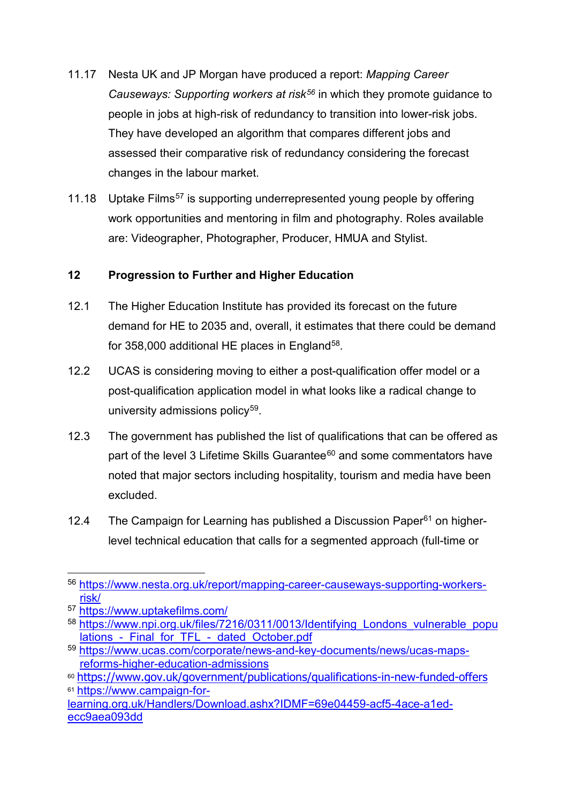- 11.17 Nesta UK and JP Morgan have produced a report: *Mapping Career Causeways: Supporting workers at risk[56](#page-22-0)* in which they promote guidance to people in jobs at high-risk of redundancy to transition into lower-risk jobs. They have developed an algorithm that compares different jobs and assessed their comparative risk of redundancy considering the forecast changes in the labour market.
- 11.18 Uptake Films<sup>[57](#page-22-1)</sup> is supporting underrepresented young people by offering work opportunities and mentoring in film and photography. Roles available are: Videographer, Photographer, Producer, HMUA and Stylist.

# **12 Progression to Further and Higher Education**

- 12.1 The Higher Education Institute has provided its forecast on the future demand for HE to 2035 and, overall, it estimates that there could be demand for  $358,000$  $358,000$  $358,000$  additional HE places in England<sup>58</sup>.
- 12.2 UCAS is considering moving to either a post-qualification offer model or a post-qualification application model in what looks like a radical change to university admissions policy<sup>59</sup>.
- 12.3 The government has published the list of qualifications that can be offered as part of the level 3 Lifetime Skills Guarantee<sup>[60](#page-22-4)</sup> and some commentators have noted that major sectors including hospitality, tourism and media have been excluded.
- 12.4 The Campaign for Learning has published a Discussion Paper $61$  on higherlevel technical education that calls for a segmented approach (full-time or

<span id="page-22-0"></span> <sup>56</sup> [https://www.nesta.org.uk/report/mapping-career-causeways-supporting-workers](https://www.nesta.org.uk/report/mapping-career-causeways-supporting-workers-risk/)[risk/](https://www.nesta.org.uk/report/mapping-career-causeways-supporting-workers-risk/)

<span id="page-22-1"></span><sup>57</sup> <https://www.uptakefilms.com/>

<span id="page-22-2"></span><sup>58</sup> https://www.npi.org.uk/files/7216/0311/0013/Identifying Londons vulnerable popu lations - Final for TFL - dated October.pdf

<span id="page-22-3"></span><sup>59</sup> [https://www.ucas.com/corporate/news-and-key-documents/news/ucas-maps](https://www.ucas.com/corporate/news-and-key-documents/news/ucas-maps-reforms-higher-education-admissions)[reforms-higher-education-admissions](https://www.ucas.com/corporate/news-and-key-documents/news/ucas-maps-reforms-higher-education-admissions)

<span id="page-22-5"></span><span id="page-22-4"></span><sup>60</sup> <https://www.gov.uk/government/publications/qualifications-in-new-funded-offers> <sup>61</sup> [https://www.campaign-for-](https://www.campaign-for-learning.org.uk/Handlers/Download.ashx?IDMF=69e04459-acf5-4ace-a1ed-ecc9aea093dd)

[learning.org.uk/Handlers/Download.ashx?IDMF=69e04459-acf5-4ace-a1ed](https://www.campaign-for-learning.org.uk/Handlers/Download.ashx?IDMF=69e04459-acf5-4ace-a1ed-ecc9aea093dd)[ecc9aea093dd](https://www.campaign-for-learning.org.uk/Handlers/Download.ashx?IDMF=69e04459-acf5-4ace-a1ed-ecc9aea093dd)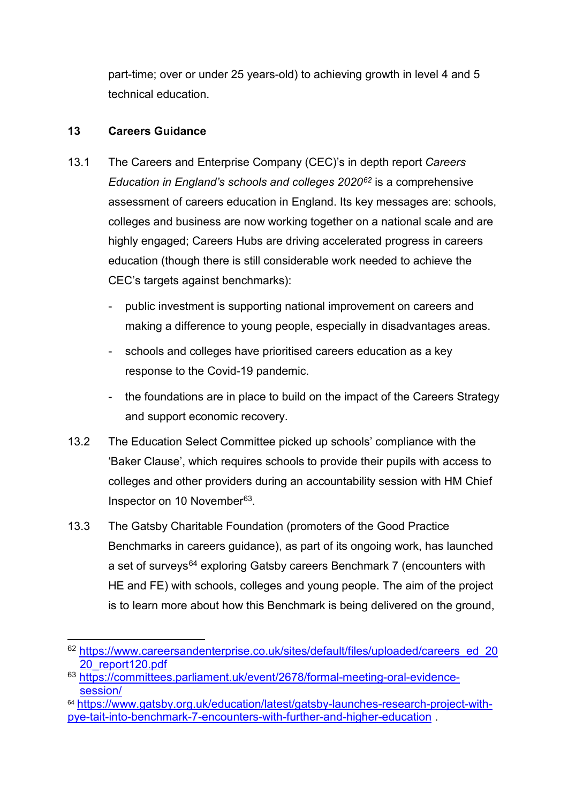part-time; over or under 25 years-old) to achieving growth in level 4 and 5 technical education.

# **13 Careers Guidance**

- 13.1 The Careers and Enterprise Company (CEC)'s in depth report *Careers Education in England's schools and colleges 2020[62](#page-23-0)* is a comprehensive assessment of careers education in England. Its key messages are: schools, colleges and business are now working together on a national scale and are highly engaged; Careers Hubs are driving accelerated progress in careers education (though there is still considerable work needed to achieve the CEC's targets against benchmarks):
	- public investment is supporting national improvement on careers and making a difference to young people, especially in disadvantages areas.
	- schools and colleges have prioritised careers education as a key response to the Covid-19 pandemic.
	- the foundations are in place to build on the impact of the Careers Strategy and support economic recovery.
- 13.2 The Education Select Committee picked up schools' compliance with the 'Baker Clause', which requires schools to provide their pupils with access to colleges and other providers during an accountability session with HM Chief Inspector on 10 November<sup>63</sup>.
- 13.3 The Gatsby Charitable Foundation (promoters of the Good Practice Benchmarks in careers guidance), as part of its ongoing work, has launched a set of surveys<sup>[64](#page-23-2)</sup> exploring Gatsby careers Benchmark 7 (encounters with HE and FE) with schools, colleges and young people. The aim of the project is to learn more about how this Benchmark is being delivered on the ground,

<span id="page-23-0"></span><sup>62</sup> https://www.careersandenterprise.co.uk/sites/default/files/uploaded/careers\_ed\_20 [20\\_report120.pdf](https://www.careersandenterprise.co.uk/sites/default/files/uploaded/careers_ed_2020_report120.pdf)

<span id="page-23-1"></span><sup>63</sup> [https://committees.parliament.uk/event/2678/formal-meeting-oral-evidence](https://committees.parliament.uk/event/2678/formal-meeting-oral-evidence-session/)[session/](https://committees.parliament.uk/event/2678/formal-meeting-oral-evidence-session/)

<span id="page-23-2"></span><sup>64</sup> [https://www.gatsby.org.uk/education/latest/gatsby-launches-research-project-with](https://www.gatsby.org.uk/education/latest/gatsby-launches-research-project-with-pye-tait-into-benchmark-7-encounters-with-further-and-higher-education)[pye-tait-into-benchmark-7-encounters-with-further-and-higher-education](https://www.gatsby.org.uk/education/latest/gatsby-launches-research-project-with-pye-tait-into-benchmark-7-encounters-with-further-and-higher-education) .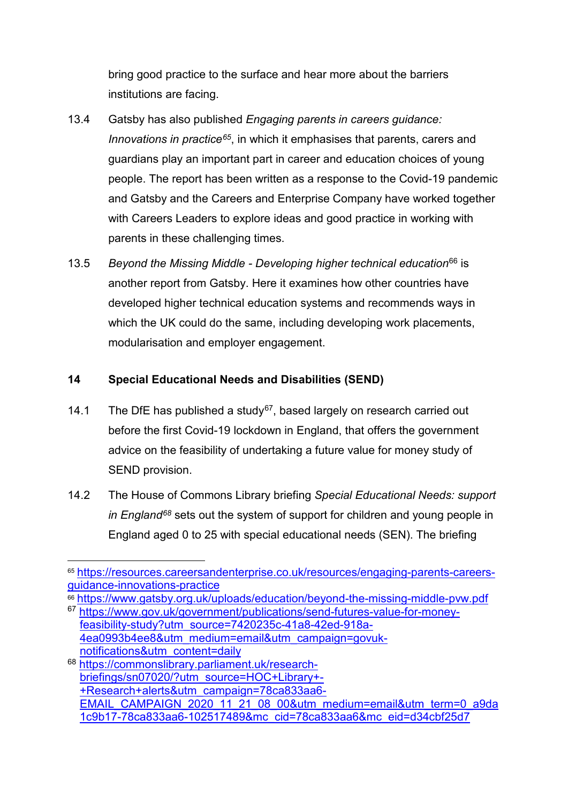bring good practice to the surface and hear more about the barriers institutions are facing.

- 13.4 Gatsby has also published *Engaging parents in careers guidance: Innovations in practice[65](#page-24-0)*, in which it emphasises that parents, carers and guardians play an important part in career and education choices of young people. The report has been written as a response to the Covid-19 pandemic and Gatsby and the Careers and Enterprise Company have worked together with Careers Leaders to explore ideas and good practice in working with parents in these challenging times.
- 13.5 *Beyond the Missing Middle - Developing higher technical education*[66](#page-24-1) is another report from Gatsby. Here it examines how other countries have developed higher technical education systems and recommends ways in which the UK could do the same, including developing work placements, modularisation and employer engagement.

# **14 Special Educational Needs and Disabilities (SEND)**

- 14.1 The DfE has published a study<sup>67</sup>, based largely on research carried out before the first Covid-19 lockdown in England, that offers the government advice on the feasibility of undertaking a future value for money study of SEND provision.
- 14.2 The House of Commons Library briefing *Special Educational Needs: support in England[68](#page-24-3)* sets out the system of support for children and young people in England aged 0 to 25 with special educational needs (SEN). The briefing

<span id="page-24-0"></span> <sup>65</sup> [https://resources.careersandenterprise.co.uk/resources/engaging-parents-careers](https://resources.careersandenterprise.co.uk/resources/engaging-parents-careers-guidance-innovations-practice)[guidance-innovations-practice](https://resources.careersandenterprise.co.uk/resources/engaging-parents-careers-guidance-innovations-practice)

<span id="page-24-1"></span><sup>66</sup> <https://www.gatsby.org.uk/uploads/education/beyond-the-missing-middle-pvw.pdf>

<span id="page-24-2"></span><sup>67</sup>[.https://www.gov.uk/government/publications/send-futures-value-for-money](https://www.gov.uk/government/publications/send-futures-value-for-money-feasibility-study?utm_source=7420235c-41a8-42ed-918a-4ea0993b4ee8&utm_medium=email&utm_campaign=govuk-notifications&utm_content=daily)[feasibility-study?utm\\_source=7420235c-41a8-42ed-918a-](https://www.gov.uk/government/publications/send-futures-value-for-money-feasibility-study?utm_source=7420235c-41a8-42ed-918a-4ea0993b4ee8&utm_medium=email&utm_campaign=govuk-notifications&utm_content=daily)[4ea0993b4ee8&utm\\_medium=email&utm\\_campaign=govuk](https://www.gov.uk/government/publications/send-futures-value-for-money-feasibility-study?utm_source=7420235c-41a8-42ed-918a-4ea0993b4ee8&utm_medium=email&utm_campaign=govuk-notifications&utm_content=daily)[notifications&utm\\_content=daily](https://www.gov.uk/government/publications/send-futures-value-for-money-feasibility-study?utm_source=7420235c-41a8-42ed-918a-4ea0993b4ee8&utm_medium=email&utm_campaign=govuk-notifications&utm_content=daily)

<span id="page-24-3"></span><sup>68</sup> [https://commonslibrary.parliament.uk/research](https://commonslibrary.parliament.uk/research-briefings/sn07020/?utm_source=HOC+Library+-+Research+alerts&utm_campaign=78ca833aa6-EMAIL_CAMPAIGN_2020_11_21_08_00&utm_medium=email&utm_term=0_a9da1c9b17-78ca833aa6-102517489&mc_cid=78ca833aa6&mc_eid=d34cbf25d7)[briefings/sn07020/?utm\\_source=HOC+Library+-](https://commonslibrary.parliament.uk/research-briefings/sn07020/?utm_source=HOC+Library+-+Research+alerts&utm_campaign=78ca833aa6-EMAIL_CAMPAIGN_2020_11_21_08_00&utm_medium=email&utm_term=0_a9da1c9b17-78ca833aa6-102517489&mc_cid=78ca833aa6&mc_eid=d34cbf25d7) [+Research+alerts&utm\\_campaign=78ca833aa6-](https://commonslibrary.parliament.uk/research-briefings/sn07020/?utm_source=HOC+Library+-+Research+alerts&utm_campaign=78ca833aa6-EMAIL_CAMPAIGN_2020_11_21_08_00&utm_medium=email&utm_term=0_a9da1c9b17-78ca833aa6-102517489&mc_cid=78ca833aa6&mc_eid=d34cbf25d7) [EMAIL\\_CAMPAIGN\\_2020\\_11\\_21\\_08\\_00&utm\\_medium=email&utm\\_term=0\\_a9da](https://commonslibrary.parliament.uk/research-briefings/sn07020/?utm_source=HOC+Library+-+Research+alerts&utm_campaign=78ca833aa6-EMAIL_CAMPAIGN_2020_11_21_08_00&utm_medium=email&utm_term=0_a9da1c9b17-78ca833aa6-102517489&mc_cid=78ca833aa6&mc_eid=d34cbf25d7) [1c9b17-78ca833aa6-102517489&mc\\_cid=78ca833aa6&mc\\_eid=d34cbf25d7](https://commonslibrary.parliament.uk/research-briefings/sn07020/?utm_source=HOC+Library+-+Research+alerts&utm_campaign=78ca833aa6-EMAIL_CAMPAIGN_2020_11_21_08_00&utm_medium=email&utm_term=0_a9da1c9b17-78ca833aa6-102517489&mc_cid=78ca833aa6&mc_eid=d34cbf25d7)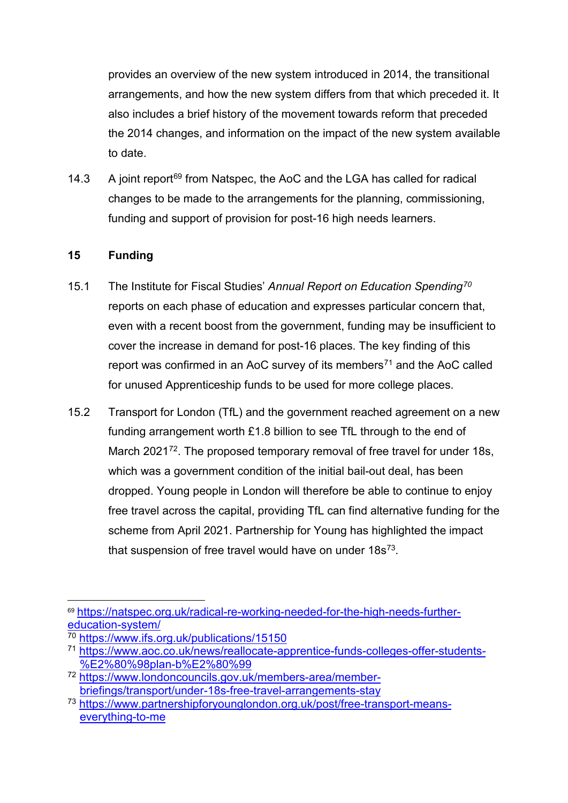provides an overview of the new system introduced in 2014, the transitional arrangements, and how the new system differs from that which preceded it. It also includes a brief history of the movement towards reform that preceded the 2014 changes, and information on the impact of the new system available to date.

14.3 A joint report<sup>[69](#page-25-0)</sup> from Natspec, the AoC and the LGA has called for radical changes to be made to the arrangements for the planning, commissioning, funding and support of provision for post-16 high needs learners.

# **15 Funding**

- 15.1 The Institute for Fiscal Studies' *Annual Report on Education Spending[70](#page-25-1)* reports on each phase of education and expresses particular concern that, even with a recent boost from the government, funding may be insufficient to cover the increase in demand for post-16 places. The key finding of this report was confirmed in an AoC survey of its members<sup>[71](#page-25-2)</sup> and the AoC called for unused Apprenticeship funds to be used for more college places.
- 15.2 Transport for London (TfL) and the government reached agreement on a new funding arrangement worth £1.8 billion to see TfL through to the end of March 2021<sup>[72](#page-25-3)</sup>. The proposed temporary removal of free travel for under 18s, which was a government condition of the initial bail-out deal, has been dropped. Young people in London will therefore be able to continue to enjoy free travel across the capital, providing TfL can find alternative funding for the scheme from April 2021. Partnership for Young has highlighted the impact that suspension of free travel would have on under  $18s^{73}$  $18s^{73}$  $18s^{73}$ .

<span id="page-25-0"></span> <sup>69</sup> [https://natspec.org.uk/radical-re-working-needed-for-the-high-needs-further](https://natspec.org.uk/radical-re-working-needed-for-the-high-needs-further-education-system/)[education-system/](https://natspec.org.uk/radical-re-working-needed-for-the-high-needs-further-education-system/)

<span id="page-25-1"></span><sup>70</sup> <https://www.ifs.org.uk/publications/15150>

<span id="page-25-2"></span><sup>71</sup> [https://www.aoc.co.uk/news/reallocate-apprentice-funds-colleges-offer-students-](https://www.aoc.co.uk/news/reallocate-apprentice-funds-colleges-offer-students-%E2%80%98plan-b%E2%80%99) [%E2%80%98plan-b%E2%80%99](https://www.aoc.co.uk/news/reallocate-apprentice-funds-colleges-offer-students-%E2%80%98plan-b%E2%80%99)

<span id="page-25-3"></span><sup>72</sup> [https://www.londoncouncils.gov.uk/members-area/member](https://www.londoncouncils.gov.uk/members-area/member-briefings/transport/under-18s-free-travel-arrangements-stay)[briefings/transport/under-18s-free-travel-arrangements-stay](https://www.londoncouncils.gov.uk/members-area/member-briefings/transport/under-18s-free-travel-arrangements-stay)

<span id="page-25-4"></span><sup>73</sup> [https://www.partnershipforyounglondon.org.uk/post/free-transport-means](https://www.partnershipforyounglondon.org.uk/post/free-transport-means-everything-to-me)[everything-to-me](https://www.partnershipforyounglondon.org.uk/post/free-transport-means-everything-to-me)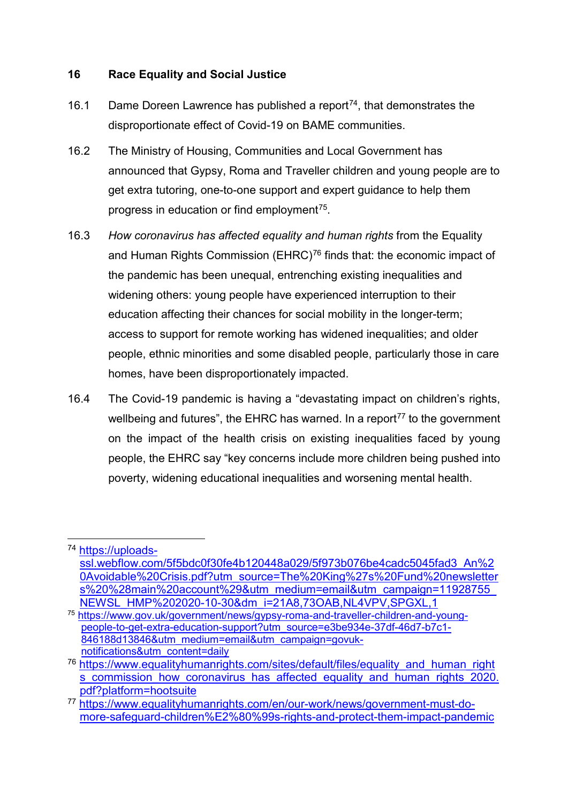#### **16 Race Equality and Social Justice**

- 16.1 Dame Doreen Lawrence has published a report<sup>[74](#page-26-0)</sup>, that demonstrates the disproportionate effect of Covid-19 on BAME communities.
- 16.2 The Ministry of Housing, Communities and Local Government has announced that Gypsy, Roma and Traveller children and young people are to get extra tutoring, one-to-one support and expert guidance to help them progress in education or find employment<sup> $75$ </sup>.
- 16.3 *How coronavirus has affected equality and human rights* from the Equality and Human Rights Commission (EHRC)<sup>[76](#page-26-2)</sup> finds that: the economic impact of the pandemic has been unequal, entrenching existing inequalities and widening others: young people have experienced interruption to their education affecting their chances for social mobility in the longer-term; access to support for remote working has widened inequalities; and older people, ethnic minorities and some disabled people, particularly those in care homes, have been disproportionately impacted.
- 16.4 The Covid-19 pandemic is having a "devastating impact on children's rights, wellbeing and futures", the EHRC has warned. In a report<sup>[77](#page-26-3)</sup> to the government on the impact of the health crisis on existing inequalities faced by young people, the EHRC say "key concerns include more children being pushed into poverty, widening educational inequalities and worsening mental health.

<span id="page-26-0"></span> <sup>74</sup> [https://uploads](https://uploads-ssl.webflow.com/5f5bdc0f30fe4b120448a029/5f973b076be4cadc5045fad3_An%20Avoidable%20Crisis.pdf?utm_source=The%20King%27s%20Fund%20newsletters%20%28main%20account%29&utm_medium=email&utm_campaign=11928755_NEWSL_HMP%202020-10-30&dm_i=21A8,73OAB,NL4VPV,SPGXL,1)[ssl.webflow.com/5f5bdc0f30fe4b120448a029/5f973b076be4cadc5045fad3\\_An%2](https://uploads-ssl.webflow.com/5f5bdc0f30fe4b120448a029/5f973b076be4cadc5045fad3_An%20Avoidable%20Crisis.pdf?utm_source=The%20King%27s%20Fund%20newsletters%20%28main%20account%29&utm_medium=email&utm_campaign=11928755_NEWSL_HMP%202020-10-30&dm_i=21A8,73OAB,NL4VPV,SPGXL,1) [0Avoidable%20Crisis.pdf?utm\\_source=The%20King%27s%20Fund%20newsletter](https://uploads-ssl.webflow.com/5f5bdc0f30fe4b120448a029/5f973b076be4cadc5045fad3_An%20Avoidable%20Crisis.pdf?utm_source=The%20King%27s%20Fund%20newsletters%20%28main%20account%29&utm_medium=email&utm_campaign=11928755_NEWSL_HMP%202020-10-30&dm_i=21A8,73OAB,NL4VPV,SPGXL,1) [s%20%28main%20account%29&utm\\_medium=email&utm\\_campaign=11928755\\_](https://uploads-ssl.webflow.com/5f5bdc0f30fe4b120448a029/5f973b076be4cadc5045fad3_An%20Avoidable%20Crisis.pdf?utm_source=The%20King%27s%20Fund%20newsletters%20%28main%20account%29&utm_medium=email&utm_campaign=11928755_NEWSL_HMP%202020-10-30&dm_i=21A8,73OAB,NL4VPV,SPGXL,1) [NEWSL\\_HMP%202020-10-30&dm\\_i=21A8,73OAB,NL4VPV,SPGXL,1](https://uploads-ssl.webflow.com/5f5bdc0f30fe4b120448a029/5f973b076be4cadc5045fad3_An%20Avoidable%20Crisis.pdf?utm_source=The%20King%27s%20Fund%20newsletters%20%28main%20account%29&utm_medium=email&utm_campaign=11928755_NEWSL_HMP%202020-10-30&dm_i=21A8,73OAB,NL4VPV,SPGXL,1)

<span id="page-26-1"></span><sup>75</sup> [https://www.gov.uk/government/news/gypsy-roma-and-traveller-children-and-young](https://www.gov.uk/government/news/gypsy-roma-and-traveller-children-and-young-%20people-to-get-extra-education-support?utm_source=e3be934e-37df-46d7-b7c1-846188d13846&utm_medium=email&utm_campaign=govuk-notifications&utm_content=daily)[people-to-get-extra-education-support?utm\\_source=e3be934e-37df-46d7-b7c1-](https://www.gov.uk/government/news/gypsy-roma-and-traveller-children-and-young-%20people-to-get-extra-education-support?utm_source=e3be934e-37df-46d7-b7c1-846188d13846&utm_medium=email&utm_campaign=govuk-notifications&utm_content=daily) [846188d13846&utm\\_medium=email&utm\\_campaign=govuk](https://www.gov.uk/government/news/gypsy-roma-and-traveller-children-and-young-%20people-to-get-extra-education-support?utm_source=e3be934e-37df-46d7-b7c1-846188d13846&utm_medium=email&utm_campaign=govuk-notifications&utm_content=daily)[notifications&utm\\_content=daily](https://www.gov.uk/government/news/gypsy-roma-and-traveller-children-and-young-%20people-to-get-extra-education-support?utm_source=e3be934e-37df-46d7-b7c1-846188d13846&utm_medium=email&utm_campaign=govuk-notifications&utm_content=daily)

<span id="page-26-2"></span><sup>&</sup>lt;sup>76</sup> https://www.equalityhumanrights.com/sites/default/files/equality\_and\_human\_right s commission how coronavirus has affected equality and human rights 2020. [pdf?platform=hootsuite](https://www.equalityhumanrights.com/sites/default/files/equality_and_human_rights_commission_how_coronavirus_has_affected_equality_and_human_rights_2020.pdf?platform=hootsuite)

<span id="page-26-3"></span><sup>77</sup> [https://www.equalityhumanrights.com/en/our-work/news/government-must-do](https://www.equalityhumanrights.com/en/our-work/news/government-must-do-more-safeguard-children%E2%80%99s-rights-and-protect-them-impact-pandemic)[more-safeguard-children%E2%80%99s-rights-and-protect-them-impact-pandemic](https://www.equalityhumanrights.com/en/our-work/news/government-must-do-more-safeguard-children%E2%80%99s-rights-and-protect-them-impact-pandemic)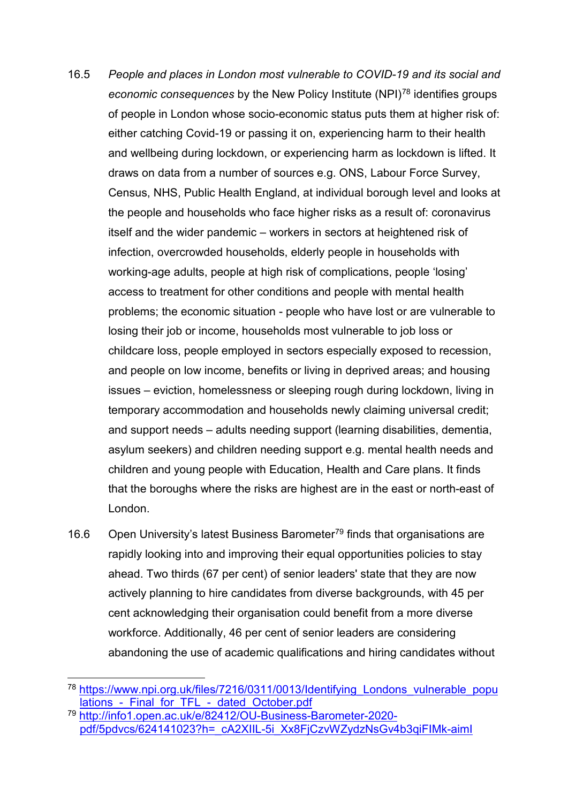- 16.5 *People and places in London most vulnerable to COVID-19 and its social and economic consequences* by the New Policy Institute (NPI)[78](#page-27-0) identifies groups of people in London whose socio-economic status puts them at higher risk of: either catching Covid-19 or passing it on, experiencing harm to their health and wellbeing during lockdown, or experiencing harm as lockdown is lifted. It draws on data from a number of sources e.g. ONS, Labour Force Survey, Census, NHS, Public Health England, at individual borough level and looks at the people and households who face higher risks as a result of: coronavirus itself and the wider pandemic – workers in sectors at heightened risk of infection, overcrowded households, elderly people in households with working-age adults, people at high risk of complications, people 'losing' access to treatment for other conditions and people with mental health problems; the economic situation - people who have lost or are vulnerable to losing their job or income, households most vulnerable to job loss or childcare loss, people employed in sectors especially exposed to recession, and people on low income, benefits or living in deprived areas; and housing issues – eviction, homelessness or sleeping rough during lockdown, living in temporary accommodation and households newly claiming universal credit; and support needs – adults needing support (learning disabilities, dementia, asylum seekers) and children needing support e.g. mental health needs and children and young people with Education, Health and Care plans. It finds that the boroughs where the risks are highest are in the east or north-east of London.
- 16.6 Open University's latest Business Barometer<sup>79</sup> finds that organisations are rapidly looking into and improving their equal opportunities policies to stay ahead. Two thirds (67 per cent) of senior leaders' state that they are now actively planning to hire candidates from diverse backgrounds, with 45 per cent acknowledging their organisation could benefit from a more diverse workforce. Additionally, 46 per cent of senior leaders are considering abandoning the use of academic qualifications and hiring candidates without

<span id="page-27-0"></span> <sup>78</sup>[.https://www.npi.org.uk/files/7216/0311/0013/Identifying\\_Londons\\_vulnerable\\_popu](https://www.npi.org.uk/files/7216/0311/0013/Identifying_Londons_vulnerable_populations_-_Final_for_TFL_-_dated_October.pdf) lations - Final for TFL - dated October.pdf

<span id="page-27-1"></span><sup>79</sup> [http://info1.open.ac.uk/e/82412/OU-Business-Barometer-2020](http://info1.open.ac.uk/e/82412/OU-Business-Barometer-2020-pdf/5pdvcs/624141023?h=_cA2XIIL-5i_Xx8FjCzvWZydzNsGv4b3qiFIMk-aimI) [pdf/5pdvcs/624141023?h=\\_cA2XIIL-5i\\_Xx8FjCzvWZydzNsGv4b3qiFIMk-aimI](http://info1.open.ac.uk/e/82412/OU-Business-Barometer-2020-pdf/5pdvcs/624141023?h=_cA2XIIL-5i_Xx8FjCzvWZydzNsGv4b3qiFIMk-aimI)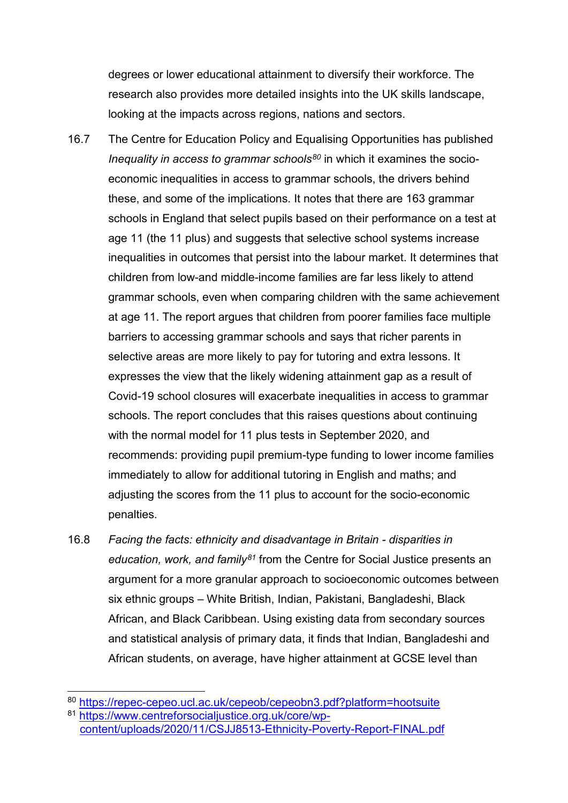degrees or lower educational attainment to diversify their workforce. The research also provides more detailed insights into the UK skills landscape, looking at the impacts across regions, nations and sectors.

- 16.7 The Centre for Education Policy and Equalising Opportunities has published *Inequality in access to grammar schools[80](#page-28-0)* in which it examines the socioeconomic inequalities in access to grammar schools, the drivers behind these, and some of the implications. It notes that there are 163 grammar schools in England that select pupils based on their performance on a test at age 11 (the 11 plus) and suggests that selective school systems increase inequalities in outcomes that persist into the labour market. It determines that children from low-and middle-income families are far less likely to attend grammar schools, even when comparing children with the same achievement at age 11. The report argues that children from poorer families face multiple barriers to accessing grammar schools and says that richer parents in selective areas are more likely to pay for tutoring and extra lessons. It expresses the view that the likely widening attainment gap as a result of Covid-19 school closures will exacerbate inequalities in access to grammar schools. The report concludes that this raises questions about continuing with the normal model for 11 plus tests in September 2020, and recommends: providing pupil premium-type funding to lower income families immediately to allow for additional tutoring in English and maths; and adjusting the scores from the 11 plus to account for the socio-economic penalties.
- 16.8 *Facing the facts: ethnicity and disadvantage in Britain - disparities in education, work, and family[81](#page-28-1)* from the Centre for Social Justice presents an argument for a more granular approach to socioeconomic outcomes between six ethnic groups – White British, Indian, Pakistani, Bangladeshi, Black African, and Black Caribbean. Using existing data from secondary sources and statistical analysis of primary data, it finds that Indian, Bangladeshi and African students, on average, have higher attainment at GCSE level than

<span id="page-28-0"></span> <sup>80</sup> <https://repec-cepeo.ucl.ac.uk/cepeob/cepeobn3.pdf?platform=hootsuite>

<span id="page-28-1"></span><sup>81</sup> [https://www.centreforsocialjustice.org.uk/core/wp-](https://www.centreforsocialjustice.org.uk/core/wp-content/uploads/2020/11/CSJJ8513-Ethnicity-Poverty-Report-FINAL.pdf)

[content/uploads/2020/11/CSJJ8513-Ethnicity-Poverty-Report-FINAL.pdf](https://www.centreforsocialjustice.org.uk/core/wp-content/uploads/2020/11/CSJJ8513-Ethnicity-Poverty-Report-FINAL.pdf)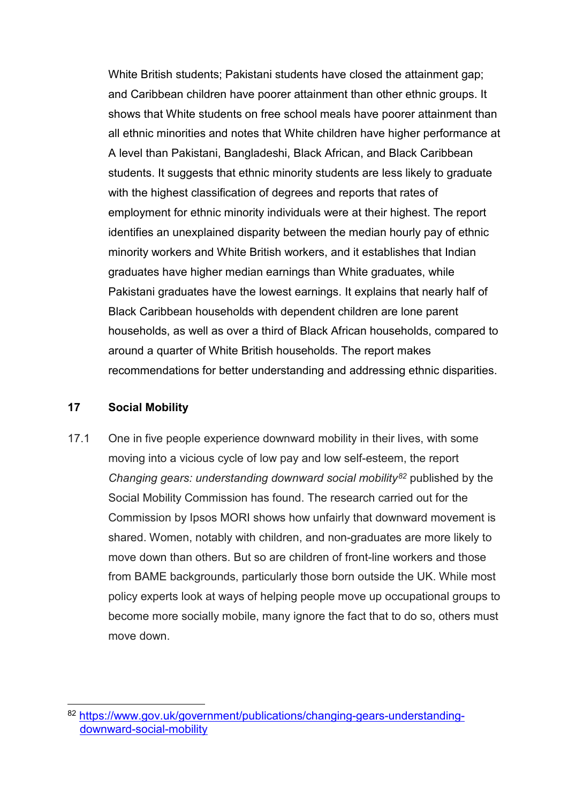White British students; Pakistani students have closed the attainment gap; and Caribbean children have poorer attainment than other ethnic groups. It shows that White students on free school meals have poorer attainment than all ethnic minorities and notes that White children have higher performance at A level than Pakistani, Bangladeshi, Black African, and Black Caribbean students. It suggests that ethnic minority students are less likely to graduate with the highest classification of degrees and reports that rates of employment for ethnic minority individuals were at their highest. The report identifies an unexplained disparity between the median hourly pay of ethnic minority workers and White British workers, and it establishes that Indian graduates have higher median earnings than White graduates, while Pakistani graduates have the lowest earnings. It explains that nearly half of Black Caribbean households with dependent children are lone parent households, as well as over a third of Black African households, compared to around a quarter of White British households. The report makes recommendations for better understanding and addressing ethnic disparities.

#### **17 Social Mobility**

17.1 One in five people experience downward mobility in their lives, with some moving into a vicious cycle of low pay and low self-esteem, the report *Changing gears: understanding downward social mobility[82](#page-29-0)* published by the Social Mobility Commission has found. The research carried out for the Commission by Ipsos MORI shows how unfairly that downward movement is shared. Women, notably with children, and non-graduates are more likely to move down than others. But so are children of front-line workers and those from BAME backgrounds, particularly those born outside the UK. While most policy experts look at ways of helping people move up occupational groups to become more socially mobile, many ignore the fact that to do so, others must move down.

<span id="page-29-0"></span><sup>82</sup> [https://www.gov.uk/government/publications/changing-gears-understanding](https://www.gov.uk/government/publications/changing-gears-understanding-downward-social-mobility)[downward-social-mobility](https://www.gov.uk/government/publications/changing-gears-understanding-downward-social-mobility)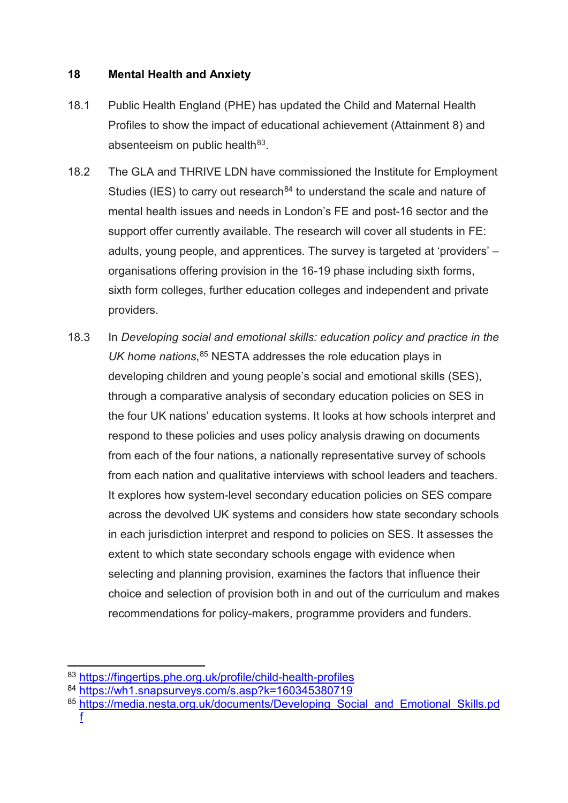#### **18 Mental Health and Anxiety**

- 18.1 Public Health England (PHE) has updated the Child and Maternal Health Profiles to show the impact of educational achievement (Attainment 8) and absenteeism on public health $83$ .
- 18.2 The GLA and THRIVE LDN have commissioned the Institute for Employment Studies (IES) to carry out research<sup>[84](#page-30-1)</sup> to understand the scale and nature of mental health issues and needs in London's FE and post-16 sector and the support offer currently available. The research will cover all students in FE: adults, young people, and apprentices. The survey is targeted at 'providers' – organisations offering provision in the 16-19 phase including sixth forms, sixth form colleges, further education colleges and independent and private providers.
- 18.3 In *Developing social and emotional skills: education policy and practice in the UK home nations*, [85](#page-30-2) NESTA addresses the role education plays in developing children and young people's social and emotional skills (SES), through a comparative analysis of secondary education policies on SES in the four UK nations' education systems. It looks at how schools interpret and respond to these policies and uses policy analysis drawing on documents from each of the four nations, a nationally representative survey of schools from each nation and qualitative interviews with school leaders and teachers. It explores how system-level secondary education policies on SES compare across the devolved UK systems and considers how state secondary schools in each jurisdiction interpret and respond to policies on SES. It assesses the extent to which state secondary schools engage with evidence when selecting and planning provision, examines the factors that influence their choice and selection of provision both in and out of the curriculum and makes recommendations for policy-makers, programme providers and funders.

<span id="page-30-0"></span><sup>83</sup> https://fingertips.phe.org.uk/profile/child-health-profiles

<span id="page-30-1"></span><sup>84</sup> <https://wh1.snapsurveys.com/s.asp?k=160345380719>

<span id="page-30-2"></span><sup>85</sup> https://media.nesta.org.uk/documents/Developing\_Social\_and\_Emotional\_Skills.pd [f](https://media.nesta.org.uk/documents/Developing_Social_and_Emotional_Skills.pdf)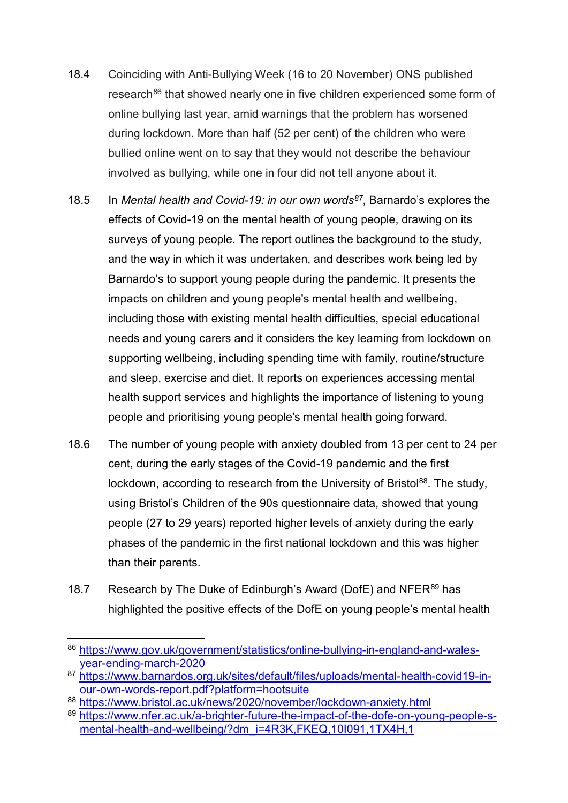- 18.4 Coinciding with Anti-Bullying Week (16 to 20 November) ONS published research<sup>[86](#page-31-0)</sup> that showed nearly one in five children experienced some form of online bullying last year, amid warnings that the problem has worsened during lockdown. More than half (52 per cent) of the children who were bullied online went on to say that they would not describe the behaviour involved as bullying, while one in four did not tell anyone about it.
- 18.5 In *Mental health and Covid-19: in our own words[87](#page-31-1)*, Barnardo's explores the effects of Covid-19 on the mental health of young people, drawing on its surveys of young people. The report outlines the background to the study, and the way in which it was undertaken, and describes work being led by Barnardo's to support young people during the pandemic. It presents the impacts on children and young people's mental health and wellbeing, including those with existing mental health difficulties, special educational needs and young carers and it considers the key learning from lockdown on supporting wellbeing, including spending time with family, routine/structure and sleep, exercise and diet. It reports on experiences accessing mental health support services and highlights the importance of listening to young people and prioritising young people's mental health going forward.
- 18.6 The number of young people with anxiety doubled from 13 per cent to 24 per cent, during the early stages of the Covid-19 pandemic and the first lockdown, according to research from the University of Bristol<sup>88</sup>. The study, using Bristol's Children of the 90s questionnaire data, showed that young people (27 to 29 years) reported higher levels of anxiety during the early phases of the pandemic in the first national lockdown and this was higher than their parents.
- 18.7 Research by The Duke of Edinburgh's Award (DofE) and NFER<sup>[89](#page-31-3)</sup> has highlighted the positive effects of the DofE on young people's mental health

<span id="page-31-2"></span><sup>88</sup> <https://www.bristol.ac.uk/news/2020/november/lockdown-anxiety.html>

<span id="page-31-0"></span> <sup>86</sup> [https://www.gov.uk/government/statistics/online-bullying-in-england-and-wales](https://www.gov.uk/government/statistics/online-bullying-in-england-and-wales-year-ending-march-2020)[year-ending-march-2020](https://www.gov.uk/government/statistics/online-bullying-in-england-and-wales-year-ending-march-2020)

<span id="page-31-1"></span><sup>87</sup> [https://www.barnardos.org.uk/sites/default/files/uploads/mental-health-covid19-in](https://www.barnardos.org.uk/sites/default/files/uploads/mental-health-covid19-in-our-own-words-report.pdf?platform=hootsuite)[our-own-words-report.pdf?platform=hootsuite](https://www.barnardos.org.uk/sites/default/files/uploads/mental-health-covid19-in-our-own-words-report.pdf?platform=hootsuite)

<span id="page-31-3"></span><sup>89</sup> [https://www.nfer.ac.uk/a-brighter-future-the-impact-of-the-dofe-on-young-people-s](https://www.nfer.ac.uk/a-brighter-future-the-impact-of-the-dofe-on-young-people-s-mental-health-and-wellbeing/?dm_i=4R3K,FKEQ,10I091,1TX4H,1)[mental-health-and-wellbeing/?dm\\_i=4R3K,FKEQ,10I091,1TX4H,1](https://www.nfer.ac.uk/a-brighter-future-the-impact-of-the-dofe-on-young-people-s-mental-health-and-wellbeing/?dm_i=4R3K,FKEQ,10I091,1TX4H,1)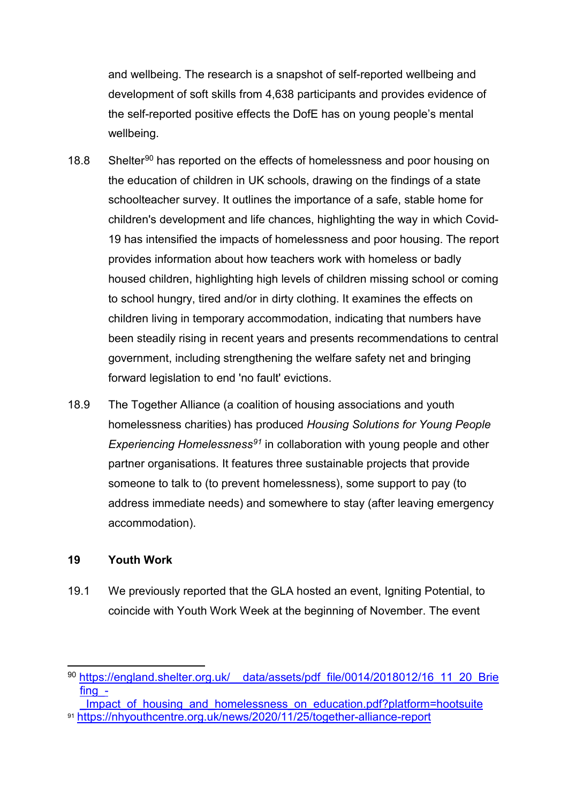and wellbeing. The research is a snapshot of self-reported wellbeing and development of soft skills from 4,638 participants and provides evidence of the self-reported positive effects the DofE has on young people's mental wellbeing.

- 18.8 Shelter<sup>[90](#page-32-0)</sup> has reported on the effects of homelessness and poor housing on the education of children in UK schools, drawing on the findings of a state schoolteacher survey. It outlines the importance of a safe, stable home for children's development and life chances, highlighting the way in which Covid-19 has intensified the impacts of homelessness and poor housing. The report provides information about how teachers work with homeless or badly housed children, highlighting high levels of children missing school or coming to school hungry, tired and/or in dirty clothing. It examines the effects on children living in temporary accommodation, indicating that numbers have been steadily rising in recent years and presents recommendations to central government, including strengthening the welfare safety net and bringing forward legislation to end 'no fault' evictions.
- 18.9 The Together Alliance (a coalition of housing associations and youth homelessness charities) has produced *Housing Solutions for Young People Experiencing Homelessness[91](#page-32-1)* in collaboration with young people and other partner organisations. It features three sustainable projects that provide someone to talk to (to prevent homelessness), some support to pay (to address immediate needs) and somewhere to stay (after leaving emergency accommodation).

#### **19 Youth Work**

19.1 We previously reported that the GLA hosted an event, Igniting Potential, to coincide with Youth Work Week at the beginning of November. The event

<span id="page-32-0"></span><sup>90</sup> https://england.shelter.org.uk/ data/assets/pdf\_file/0014/2018012/16\_11\_20\_Brie [fing\\_-](https://england.shelter.org.uk/__data/assets/pdf_file/0014/2018012/16_11_20_Briefing_-_Impact_of_housing_and_homelessness_on_education.pdf?platform=hootsuite)

<span id="page-32-1"></span>Impact of housing and homelessness on education.pdf?platform=hootsuite <sup>91</sup> <https://nhyouthcentre.org.uk/news/2020/11/25/together-alliance-report>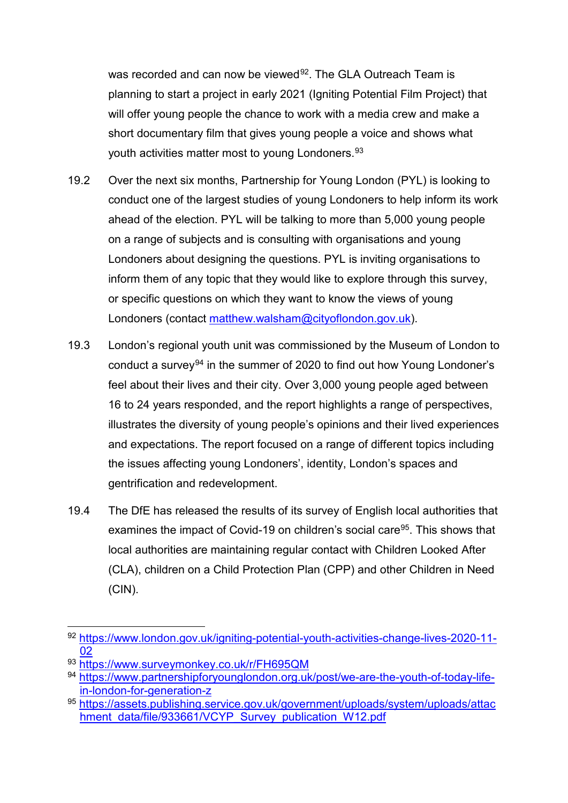was recorded and can now be viewed<sup>92</sup>. The GLA Outreach Team is planning to start a project in early 2021 (Igniting Potential Film Project) that will offer young people the chance to work with a media crew and make a short documentary film that gives young people a voice and shows what youth activities matter most to young Londoners.<sup>[93](#page-33-1)</sup>

- 19.2 Over the next six months, Partnership for Young London (PYL) is looking to conduct one of the largest studies of young Londoners to help inform its work ahead of the election. PYL will be talking to more than 5,000 young people on a range of subjects and is consulting with organisations and young Londoners about designing the questions. PYL is inviting organisations to inform them of any topic that they would like to explore through this survey, or specific questions on which they want to know the views of young Londoners (contact [matthew.walsham@cityoflondon.gov.uk\)](mailto:matthew.walsham@cityoflondon.gov.uk).
- 19.3 London's regional youth unit was commissioned by the Museum of London to conduct a survey<sup>[94](#page-33-2)</sup> in the summer of 2020 to find out how Young Londoner's feel about their lives and their city. Over 3,000 young people aged between 16 to 24 years responded, and the report highlights a range of perspectives, illustrates the diversity of young people's opinions and their lived experiences and expectations. The report focused on a range of different topics including the issues affecting young Londoners', identity, London's spaces and gentrification and redevelopment.
- 19.4 The DfE has released the results of its survey of English local authorities that examines the impact of Covid-19 on children's social care<sup>[95](#page-33-3)</sup>. This shows that local authorities are maintaining regular contact with Children Looked After (CLA), children on a Child Protection Plan (CPP) and other Children in Need (CIN).

<span id="page-33-0"></span> <sup>92</sup> [https://www.london.gov.uk/igniting-potential-youth-activities-change-lives-2020-11-](https://www.london.gov.uk/igniting-potential-youth-activities-change-lives-2020-11-02) [02](https://www.london.gov.uk/igniting-potential-youth-activities-change-lives-2020-11-02)

<span id="page-33-1"></span><sup>93</sup> <https://www.surveymonkey.co.uk/r/FH695QM>

<span id="page-33-2"></span><sup>94</sup> [https://www.partnershipforyounglondon.org.uk/post/we-are-the-youth-of-today-life](https://www.partnershipforyounglondon.org.uk/post/we-are-the-youth-of-today-life-in-london-for-generation-z)[in-london-for-generation-z](https://www.partnershipforyounglondon.org.uk/post/we-are-the-youth-of-today-life-in-london-for-generation-z)

<span id="page-33-3"></span><sup>95</sup>[.https://assets.publishing.service.gov.uk/government/uploads/system/uploads/attac](https://assets.publishing.service.gov.uk/government/uploads/system/uploads/attachment_data/file/933661/VCYP_Survey_publication_W12.pdf) [hment\\_data/file/933661/VCYP\\_Survey\\_publication\\_W12.pdf](https://assets.publishing.service.gov.uk/government/uploads/system/uploads/attachment_data/file/933661/VCYP_Survey_publication_W12.pdf)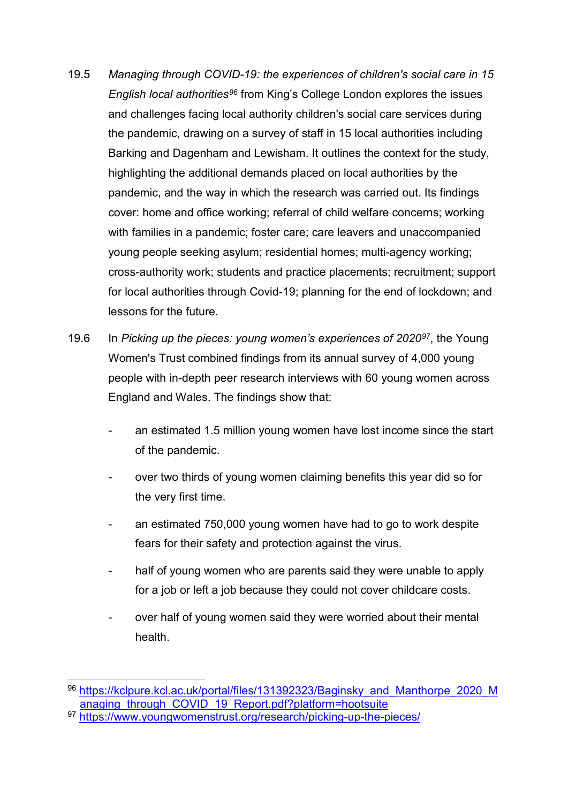- 19.5 *Managing through COVID-19: the experiences of children's social care in 15 English local authorities[96](#page-34-0)* from King's College London explores the issues and challenges facing local authority children's social care services during the pandemic, drawing on a survey of staff in 15 local authorities including Barking and Dagenham and Lewisham. It outlines the context for the study, highlighting the additional demands placed on local authorities by the pandemic, and the way in which the research was carried out. Its findings cover: home and office working; referral of child welfare concerns; working with families in a pandemic; foster care; care leavers and unaccompanied young people seeking asylum; residential homes; multi-agency working; cross-authority work; students and practice placements; recruitment; support for local authorities through Covid-19; planning for the end of lockdown; and lessons for the future.
- 19.6 In *Picking up the pieces: young women's experiences of 2020[97](#page-34-1)*, the Young Women's Trust combined findings from its annual survey of 4,000 young people with in-depth peer research interviews with 60 young women across England and Wales. The findings show that:
	- an estimated 1.5 million young women have lost income since the start of the pandemic.
	- over two thirds of young women claiming benefits this year did so for the very first time.
	- an estimated 750,000 young women have had to go to work despite fears for their safety and protection against the virus.
	- half of young women who are parents said they were unable to apply for a job or left a job because they could not cover childcare costs.
	- over half of young women said they were worried about their mental health.

<span id="page-34-0"></span><sup>96</sup> https://kclpure.kcl.ac.uk/portal/files/131392323/Baginsky and Manthorpe 2020 M anaging through COVID 19 Report.pdf?platform=hootsuite

<span id="page-34-1"></span><sup>97</sup> <https://www.youngwomenstrust.org/research/picking-up-the-pieces/>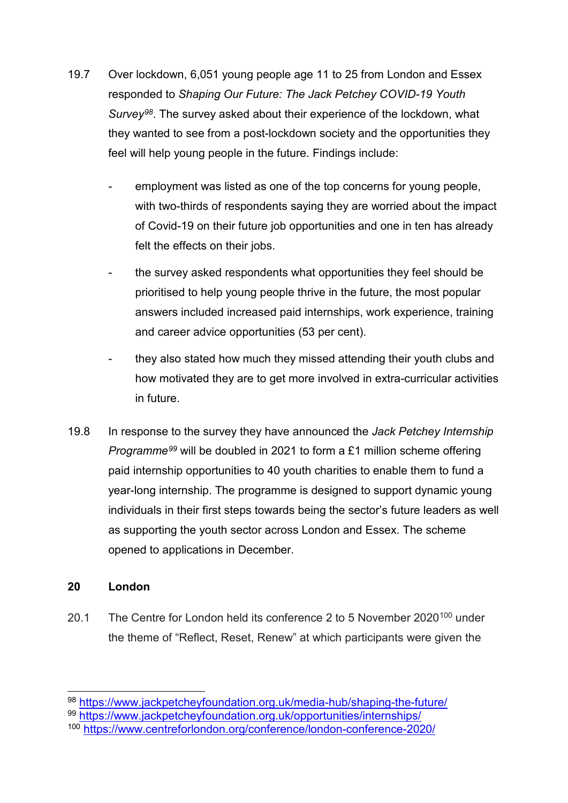- 19.7 Over lockdown, 6,051 young people age 11 to 25 from London and Essex responded to *Shaping Our Future: The Jack Petchey COVID-19 Youth Survey[98](#page-35-0)*. The survey asked about their experience of the lockdown, what they wanted to see from a post-lockdown society and the opportunities they feel will help young people in the future. Findings include:
	- employment was listed as one of the top concerns for young people, with two-thirds of respondents saying they are worried about the impact of Covid-19 on their future job opportunities and one in ten has already felt the effects on their jobs.
	- the survey asked respondents what opportunities they feel should be prioritised to help young people thrive in the future, the most popular answers included increased paid internships, work experience, training and career advice opportunities (53 per cent).
	- they also stated how much they missed attending their youth clubs and how motivated they are to get more involved in extra-curricular activities in future.
- 19.8 In response to the survey they have announced the *Jack Petchey Internship Programme[99](#page-35-1)* will be doubled in 2021 to form a £1 million scheme offering paid internship opportunities to 40 youth charities to enable them to fund a year-long internship. The programme is designed to support dynamic young individuals in their first steps towards being the sector's future leaders as well as supporting the youth sector across London and Essex. The scheme opened to applications in December.

#### **20 London**

20.1 The Centre for London held its conference 2 to 5 November 2020<sup>[100](#page-35-2)</sup> under the theme of "Reflect, Reset, Renew" at which participants were given the

<span id="page-35-1"></span><sup>99</sup> <https://www.jackpetcheyfoundation.org.uk/opportunities/internships/>

<span id="page-35-0"></span> <sup>98</sup> <https://www.jackpetcheyfoundation.org.uk/media-hub/shaping-the-future/>

<span id="page-35-2"></span><sup>100</sup> <https://www.centreforlondon.org/conference/london-conference-2020/>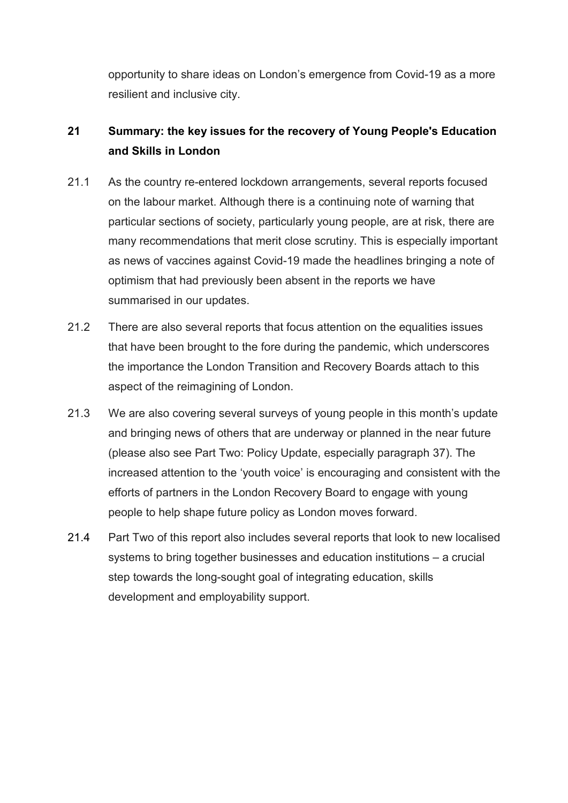opportunity to share ideas on London's emergence from Covid-19 as a more resilient and inclusive city.

# **21 Summary: the key issues for the recovery of Young People's Education and Skills in London**

- 21.1 As the country re-entered lockdown arrangements, several reports focused on the labour market. Although there is a continuing note of warning that particular sections of society, particularly young people, are at risk, there are many recommendations that merit close scrutiny. This is especially important as news of vaccines against Covid-19 made the headlines bringing a note of optimism that had previously been absent in the reports we have summarised in our updates.
- 21.2 There are also several reports that focus attention on the equalities issues that have been brought to the fore during the pandemic, which underscores the importance the London Transition and Recovery Boards attach to this aspect of the reimagining of London.
- 21.3 We are also covering several surveys of young people in this month's update and bringing news of others that are underway or planned in the near future (please also see Part Two: Policy Update, especially paragraph [37\)](#page-47-0). The increased attention to the 'youth voice' is encouraging and consistent with the efforts of partners in the London Recovery Board to engage with young people to help shape future policy as London moves forward.
- 21.4 Part Two of this report also includes several reports that look to new localised systems to bring together businesses and education institutions – a crucial step towards the long-sought goal of integrating education, skills development and employability support.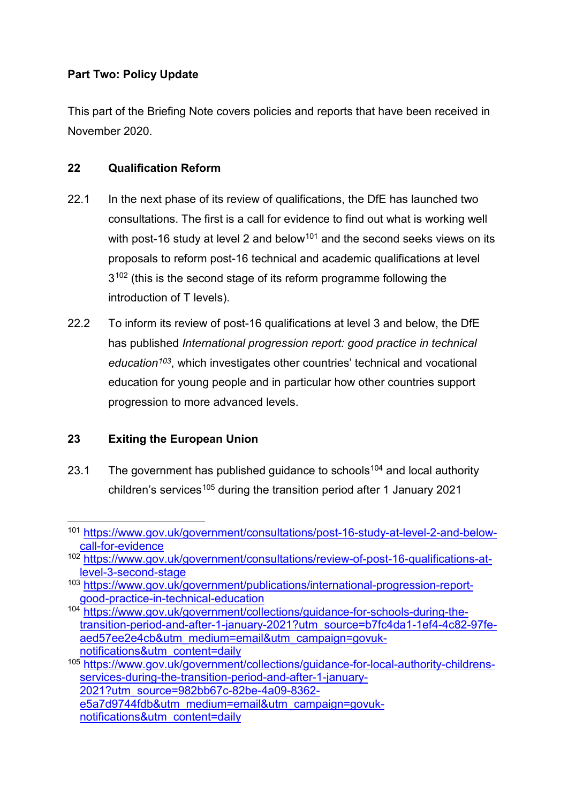## **Part Two: Policy Update**

This part of the Briefing Note covers policies and reports that have been received in November 2020.

# **22 Qualification Reform**

- 22.1 In the next phase of its review of qualifications, the DfE has launched two consultations. The first is a call for evidence to find out what is working well with post-16 study at level 2 and below<sup>[101](#page-37-0)</sup> and the second seeks views on its proposals to reform post-16 technical and academic qualifications at level  $3^{102}$  $3^{102}$  $3^{102}$  (this is the second stage of its reform programme following the introduction of T levels).
- 22.2 To inform its review of post-16 qualifications at level 3 and below, the DfE has published *International progression report: good practice in technical education[103](#page-37-2)*, which investigates other countries' technical and vocational education for young people and in particular how other countries support progression to more advanced levels.

# **23 Exiting the European Union**

23.1 The government has published guidance to schools<sup>[104](#page-37-3)</sup> and local authority children's services<sup>[105](#page-37-4)</sup> during the transition period after 1 January 2021

<span id="page-37-0"></span> <sup>101</sup> [https://www.gov.uk/government/consultations/post-16-study-at-level-2-and-below](https://www.gov.uk/government/consultations/post-16-study-at-level-2-and-below-call-for-evidence)[call-for-evidence](https://www.gov.uk/government/consultations/post-16-study-at-level-2-and-below-call-for-evidence)

<span id="page-37-1"></span><sup>102</sup> [https://www.gov.uk/government/consultations/review-of-post-16-qualifications-at](https://www.gov.uk/government/consultations/review-of-post-16-qualifications-at-level-3-second-stage)[level-3-second-stage](https://www.gov.uk/government/consultations/review-of-post-16-qualifications-at-level-3-second-stage)

<span id="page-37-2"></span><sup>103</sup> [https://www.gov.uk/government/publications/international-progression-report](https://www.gov.uk/government/publications/international-progression-report-good-practice-in-technical-education)[good-practice-in-technical-education](https://www.gov.uk/government/publications/international-progression-report-good-practice-in-technical-education)

<span id="page-37-3"></span><sup>104</sup> [https://www.gov.uk/government/collections/guidance-for-schools-during-the](https://www.gov.uk/government/collections/guidance-for-schools-during-the-transition-period-and-after-1-january-2021?utm_source=b7fc4da1-1ef4-4c82-97fe-aed57ee2e4cb&utm_medium=email&utm_campaign=govuk-notifications&utm_content=daily)[transition-period-and-after-1-january-2021?utm\\_source=b7fc4da1-1ef4-4c82-97fe](https://www.gov.uk/government/collections/guidance-for-schools-during-the-transition-period-and-after-1-january-2021?utm_source=b7fc4da1-1ef4-4c82-97fe-aed57ee2e4cb&utm_medium=email&utm_campaign=govuk-notifications&utm_content=daily)[aed57ee2e4cb&utm\\_medium=email&utm\\_campaign=govuk](https://www.gov.uk/government/collections/guidance-for-schools-during-the-transition-period-and-after-1-january-2021?utm_source=b7fc4da1-1ef4-4c82-97fe-aed57ee2e4cb&utm_medium=email&utm_campaign=govuk-notifications&utm_content=daily)[notifications&utm\\_content=daily](https://www.gov.uk/government/collections/guidance-for-schools-during-the-transition-period-and-after-1-january-2021?utm_source=b7fc4da1-1ef4-4c82-97fe-aed57ee2e4cb&utm_medium=email&utm_campaign=govuk-notifications&utm_content=daily)

<span id="page-37-4"></span><sup>105</sup> [https://www.gov.uk/government/collections/guidance-for-local-authority-childrens](https://www.gov.uk/government/collections/guidance-for-local-authority-childrens-services-during-the-transition-period-and-after-1-january-2021?utm_source=982bb67c-82be-4a09-8362-e5a7d9744fdb&utm_medium=email&utm_campaign=govuk-notifications&utm_content=daily)[services-during-the-transition-period-and-after-1-january-](https://www.gov.uk/government/collections/guidance-for-local-authority-childrens-services-during-the-transition-period-and-after-1-january-2021?utm_source=982bb67c-82be-4a09-8362-e5a7d9744fdb&utm_medium=email&utm_campaign=govuk-notifications&utm_content=daily)[2021?utm\\_source=982bb67c-82be-4a09-8362-](https://www.gov.uk/government/collections/guidance-for-local-authority-childrens-services-during-the-transition-period-and-after-1-january-2021?utm_source=982bb67c-82be-4a09-8362-e5a7d9744fdb&utm_medium=email&utm_campaign=govuk-notifications&utm_content=daily)

[e5a7d9744fdb&utm\\_medium=email&utm\\_campaign=govuk](https://www.gov.uk/government/collections/guidance-for-local-authority-childrens-services-during-the-transition-period-and-after-1-january-2021?utm_source=982bb67c-82be-4a09-8362-e5a7d9744fdb&utm_medium=email&utm_campaign=govuk-notifications&utm_content=daily)[notifications&utm\\_content=daily](https://www.gov.uk/government/collections/guidance-for-local-authority-childrens-services-during-the-transition-period-and-after-1-january-2021?utm_source=982bb67c-82be-4a09-8362-e5a7d9744fdb&utm_medium=email&utm_campaign=govuk-notifications&utm_content=daily)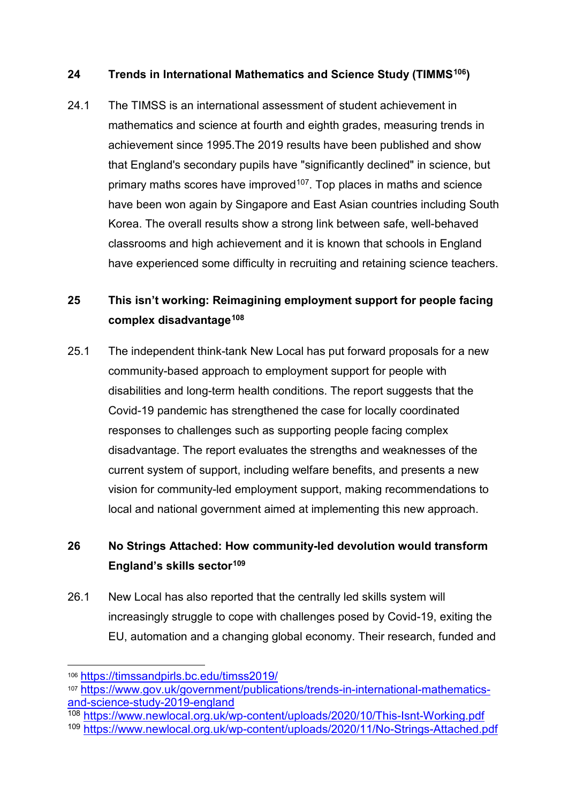## **24 Trends in International Mathematics and Science Study (TIMMS[106\)](#page-38-0)**

24.1 The TIMSS is an international assessment of student achievement in mathematics and science at fourth and eighth grades, measuring trends in achievement since 1995.The 2019 results have been published and show that England's secondary pupils have "significantly declined" in science, but primary maths scores have improved $107$ . Top places in maths and science have been won again by Singapore and East Asian countries including South Korea. The overall results show a strong link between safe, well-behaved classrooms and high achievement and it is known that schools in England have experienced some difficulty in recruiting and retaining science teachers.

# **25 This isn't working: Reimagining employment support for people facing complex disadvantage[108](#page-38-2)**

25.1 The independent think-tank New Local has put forward proposals for a new community-based approach to employment support for people with disabilities and long-term health conditions. The report suggests that the Covid-19 pandemic has strengthened the case for locally coordinated responses to challenges such as supporting people facing complex disadvantage. The report evaluates the strengths and weaknesses of the current system of support, including welfare benefits, and presents a new vision for community-led employment support, making recommendations to local and national government aimed at implementing this new approach.

# **26 No Strings Attached: How community-led devolution would transform England's skills sector[109](#page-38-3)**

26.1 New Local has also reported that the centrally led skills system will increasingly struggle to cope with challenges posed by Covid-19, exiting the EU, automation and a changing global economy. Their research, funded and

<span id="page-38-2"></span><sup>108</sup> <https://www.newlocal.org.uk/wp-content/uploads/2020/10/This-Isnt-Working.pdf>

<span id="page-38-0"></span> <sup>106</sup> <https://timssandpirls.bc.edu/timss2019/>

<span id="page-38-1"></span><sup>107</sup> [https://www.gov.uk/government/publications/trends-in-international-mathematics](https://www.gov.uk/government/publications/trends-in-international-mathematics-and-science-study-2019-england)[and-science-study-2019-england](https://www.gov.uk/government/publications/trends-in-international-mathematics-and-science-study-2019-england)

<span id="page-38-3"></span><sup>109</sup> <https://www.newlocal.org.uk/wp-content/uploads/2020/11/No-Strings-Attached.pdf>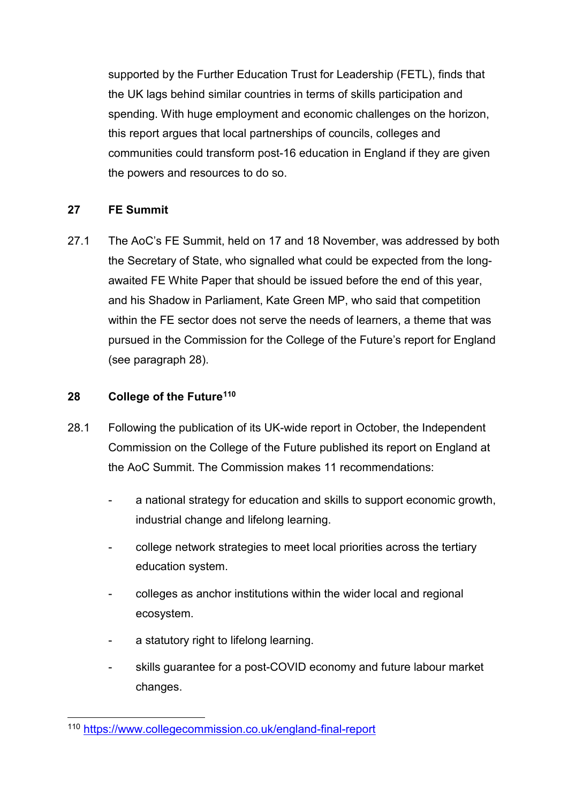supported by the Further Education Trust for Leadership (FETL), finds that the UK lags behind similar countries in terms of skills participation and spending. With huge employment and economic challenges on the horizon, this report argues that local partnerships of councils, colleges and communities could transform post-16 education in England if they are given the powers and resources to do so.

# **27 FE Summit**

27.1 The AoC's FE Summit, held on 17 and 18 November, was addressed by both the Secretary of State, who signalled what could be expected from the longawaited FE White Paper that should be issued before the end of this year, and his Shadow in Parliament, Kate Green MP, who said that competition within the FE sector does not serve the needs of learners, a theme that was pursued in the Commission for the College of the Future's report for England (see paragraph 28).

#### **28 College of the Future[110](#page-39-0)**

- 28.1 Following the publication of its UK-wide report in October, the Independent Commission on the College of the Future published its report on England at the AoC Summit. The Commission makes 11 recommendations:
	- a national strategy for education and skills to support economic growth, industrial change and lifelong learning.
	- college network strategies to meet local priorities across the tertiary education system.
	- colleges as anchor institutions within the wider local and regional ecosystem.
	- a statutory right to lifelong learning.
	- skills guarantee for a post-COVID economy and future labour market changes.

<span id="page-39-0"></span> <sup>110</sup> <https://www.collegecommission.co.uk/england-final-report>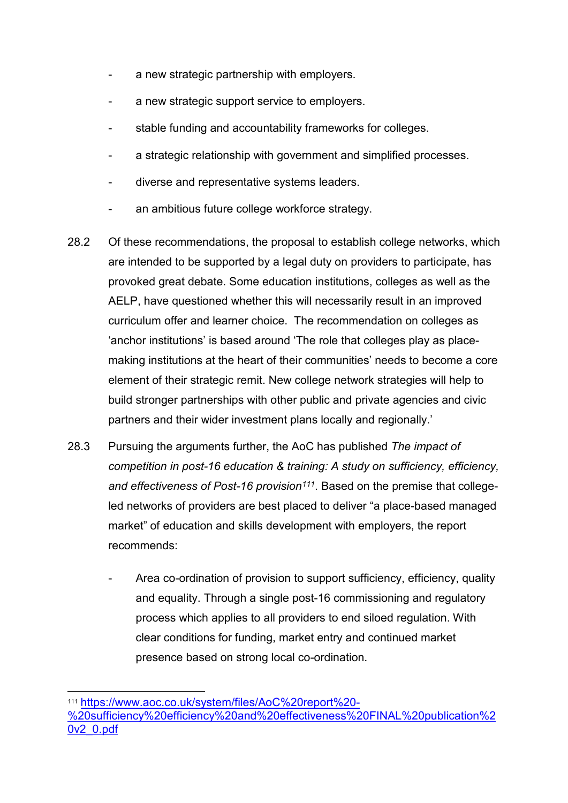- a new strategic partnership with employers.
- a new strategic support service to employers.
- stable funding and accountability frameworks for colleges.
- a strategic relationship with government and simplified processes.
- diverse and representative systems leaders.
- an ambitious future college workforce strategy.
- 28.2 Of these recommendations, the proposal to establish college networks, which are intended to be supported by a legal duty on providers to participate, has provoked great debate. Some education institutions, colleges as well as the AELP, have questioned whether this will necessarily result in an improved curriculum offer and learner choice. The recommendation on colleges as 'anchor institutions' is based around 'The role that colleges play as placemaking institutions at the heart of their communities' needs to become a core element of their strategic remit. New college network strategies will help to build stronger partnerships with other public and private agencies and civic partners and their wider investment plans locally and regionally.'
- 28.3 Pursuing the arguments further, the AoC has published *The impact of competition in post-16 education & training: A study on sufficiency, efficiency, and effectiveness of Post-16 provision[111](#page-40-0)*. Based on the premise that collegeled networks of providers are best placed to deliver "a place-based managed market" of education and skills development with employers, the report recommends:
	- Area co-ordination of provision to support sufficiency, efficiency, quality and equality. Through a single post-16 commissioning and regulatory process which applies to all providers to end siloed regulation. With clear conditions for funding, market entry and continued market presence based on strong local co-ordination.

<span id="page-40-0"></span> <sup>111</sup> [https://www.aoc.co.uk/system/files/AoC%20report%20-](https://www.aoc.co.uk/system/files/AoC%20report%20-%20sufficiency%20efficiency%20and%20effectiveness%20FINAL%20publication%20v2_0.pdf) [%20sufficiency%20efficiency%20and%20effectiveness%20FINAL%20publication%2](https://www.aoc.co.uk/system/files/AoC%20report%20-%20sufficiency%20efficiency%20and%20effectiveness%20FINAL%20publication%20v2_0.pdf) [0v2\\_0.pdf](https://www.aoc.co.uk/system/files/AoC%20report%20-%20sufficiency%20efficiency%20and%20effectiveness%20FINAL%20publication%20v2_0.pdf)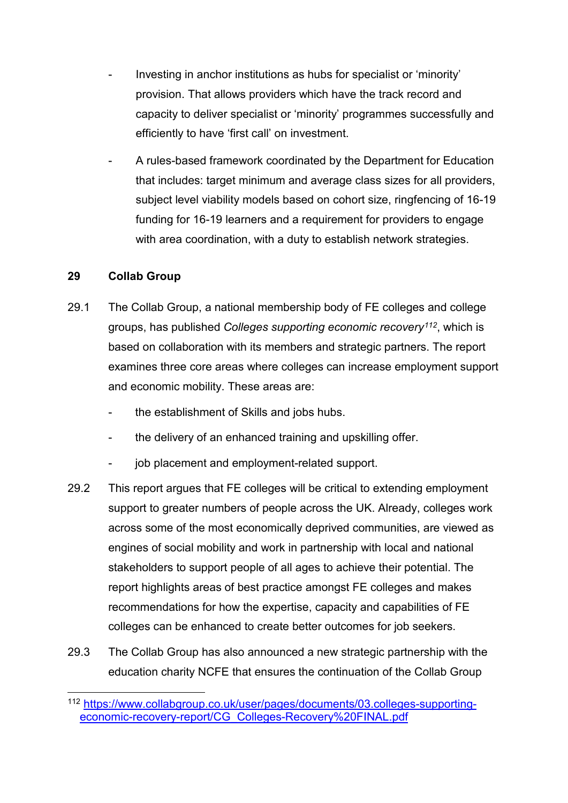- Investing in anchor institutions as hubs for specialist or 'minority' provision. That allows providers which have the track record and capacity to deliver specialist or 'minority' programmes successfully and efficiently to have 'first call' on investment.
- A rules-based framework coordinated by the Department for Education that includes: target minimum and average class sizes for all providers, subject level viability models based on cohort size, ringfencing of 16-19 funding for 16-19 learners and a requirement for providers to engage with area coordination, with a duty to establish network strategies.

#### **29 Collab Group**

- 29.1 The Collab Group, a national membership body of FE colleges and college groups, has published *Colleges supporting economic recovery[112](#page-41-0)*, which is based on collaboration with its members and strategic partners. The report examines three core areas where colleges can increase employment support and economic mobility. These areas are:
	- the establishment of Skills and jobs hubs.
	- the delivery of an enhanced training and upskilling offer.
	- job placement and employment-related support.
- 29.2 This report argues that FE colleges will be critical to extending employment support to greater numbers of people across the UK. Already, colleges work across some of the most economically deprived communities, are viewed as engines of social mobility and work in partnership with local and national stakeholders to support people of all ages to achieve their potential. The report highlights areas of best practice amongst FE colleges and makes recommendations for how the expertise, capacity and capabilities of FE colleges can be enhanced to create better outcomes for job seekers.
- 29.3 The Collab Group has also announced a new strategic partnership with the education charity NCFE that ensures the continuation of the Collab Group

<span id="page-41-0"></span> <sup>112</sup> [https://www.collabgroup.co.uk/user/pages/documents/03.colleges-supporting](https://www.collabgroup.co.uk/user/pages/documents/03.colleges-supporting-economic-recovery-report/CG_Colleges-Recovery%20FINAL.pdf)[economic-recovery-report/CG\\_Colleges-Recovery%20FINAL.pdf](https://www.collabgroup.co.uk/user/pages/documents/03.colleges-supporting-economic-recovery-report/CG_Colleges-Recovery%20FINAL.pdf)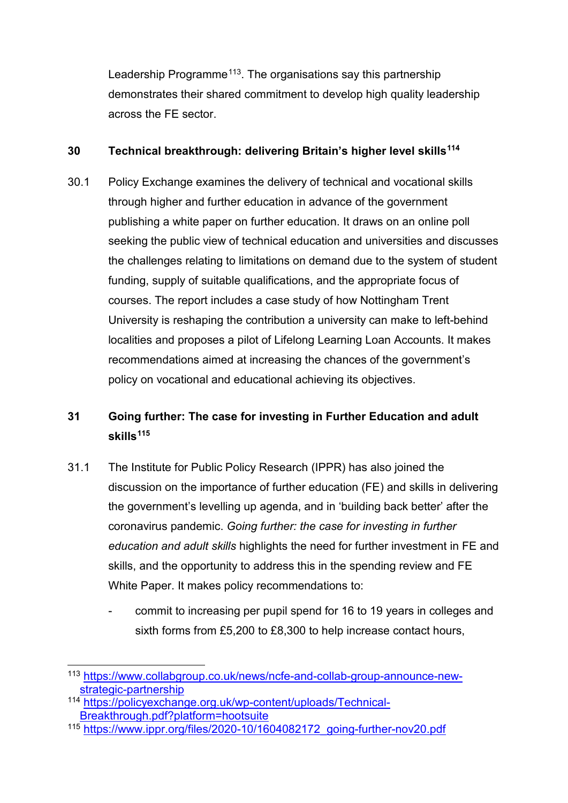Leadership Programme<sup>113</sup>. The organisations say this partnership demonstrates their shared commitment to develop high quality leadership across the FE sector.

#### **30 Technical breakthrough: delivering Britain's higher level skills[114](#page-42-1)**

30.1 Policy Exchange examines the delivery of technical and vocational skills through higher and further education in advance of the government publishing a white paper on further education. It draws on an online poll seeking the public view of technical education and universities and discusses the challenges relating to limitations on demand due to the system of student funding, supply of suitable qualifications, and the appropriate focus of courses. The report includes a case study of how Nottingham Trent University is reshaping the contribution a university can make to left-behind localities and proposes a pilot of Lifelong Learning Loan Accounts. It makes recommendations aimed at increasing the chances of the government's policy on vocational and educational achieving its objectives.

# **31 Going further: The case for investing in Further Education and adult skills[115](#page-42-2)**

- 31.1 The Institute for Public Policy Research (IPPR) has also joined the discussion on the importance of further education (FE) and skills in delivering the government's levelling up agenda, and in 'building back better' after the coronavirus pandemic. *Going further: the case for investing in further education and adult skills* highlights the need for further investment in FE and skills, and the opportunity to address this in the spending review and FE White Paper. It makes policy recommendations to:
	- commit to increasing per pupil spend for 16 to 19 years in colleges and sixth forms from £5,200 to £8,300 to help increase contact hours,

<span id="page-42-0"></span> <sup>113</sup> [https://www.collabgroup.co.uk/news/ncfe-and-collab-group-announce-new](https://www.collabgroup.co.uk/news/ncfe-and-collab-group-announce-new-strategic-partnership)[strategic-partnership](https://www.collabgroup.co.uk/news/ncfe-and-collab-group-announce-new-strategic-partnership)

<span id="page-42-1"></span><sup>114</sup> [https://policyexchange.org.uk/wp-content/uploads/Technical-](https://policyexchange.org.uk/wp-content/uploads/Technical-Breakthrough.pdf?platform=hootsuite)[Breakthrough.pdf?platform=hootsuite](https://policyexchange.org.uk/wp-content/uploads/Technical-Breakthrough.pdf?platform=hootsuite)

<span id="page-42-2"></span><sup>115</sup> [https://www.ippr.org/files/2020-10/1604082172\\_going-further-nov20.pdf](https://www.ippr.org/files/2020-10/1604082172_going-further-nov20.pdf)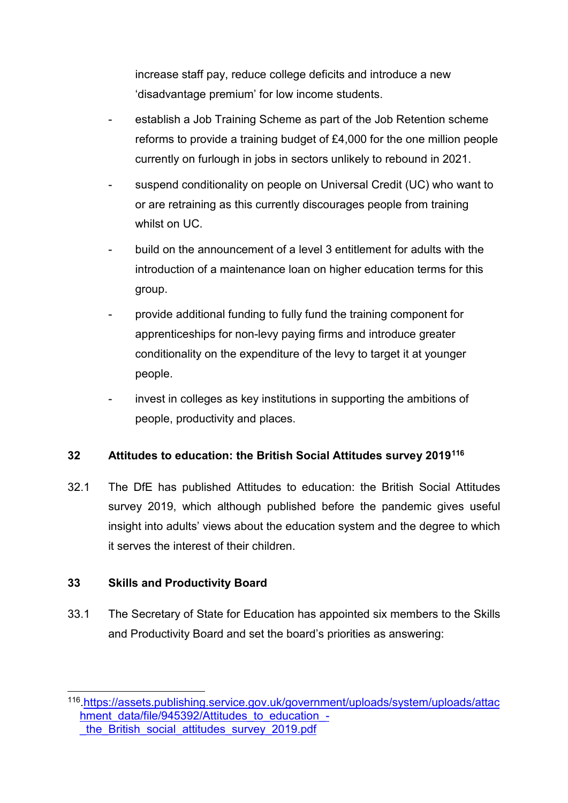increase staff pay, reduce college deficits and introduce a new 'disadvantage premium' for low income students.

- establish a Job Training Scheme as part of the Job Retention scheme reforms to provide a training budget of £4,000 for the one million people currently on furlough in jobs in sectors unlikely to rebound in 2021.
- suspend conditionality on people on Universal Credit (UC) who want to or are retraining as this currently discourages people from training whilst on UC.
- build on the announcement of a level 3 entitlement for adults with the introduction of a maintenance loan on higher education terms for this group.
- provide additional funding to fully fund the training component for apprenticeships for non-levy paying firms and introduce greater conditionality on the expenditure of the levy to target it at younger people.
- invest in colleges as key institutions in supporting the ambitions of people, productivity and places.

# **32 Attitudes to education: the British Social Attitudes survey 2019[116](#page-43-0)**

32.1 The DfE has published Attitudes to education: the British Social Attitudes survey 2019, which although published before the pandemic gives useful insight into adults' views about the education system and the degree to which it serves the interest of their children.

# **33 Skills and Productivity Board**

33.1 The Secretary of State for Education has appointed six members to the Skills and Productivity Board and set the board's priorities as answering:

<span id="page-43-0"></span> <sup>116</sup>[.https://assets.publishing.service.gov.uk/government/uploads/system/uploads/attac](https://assets.publishing.service.gov.uk/government/uploads/system/uploads/attachment_data/file/945392/Attitudes_to_education_-_the_British_social_attitudes_survey_2019.pdf) [hment\\_data/file/945392/Attitudes\\_to\\_education\\_](https://assets.publishing.service.gov.uk/government/uploads/system/uploads/attachment_data/file/945392/Attitudes_to_education_-_the_British_social_attitudes_survey_2019.pdf) the British social attitudes survey 2019.pdf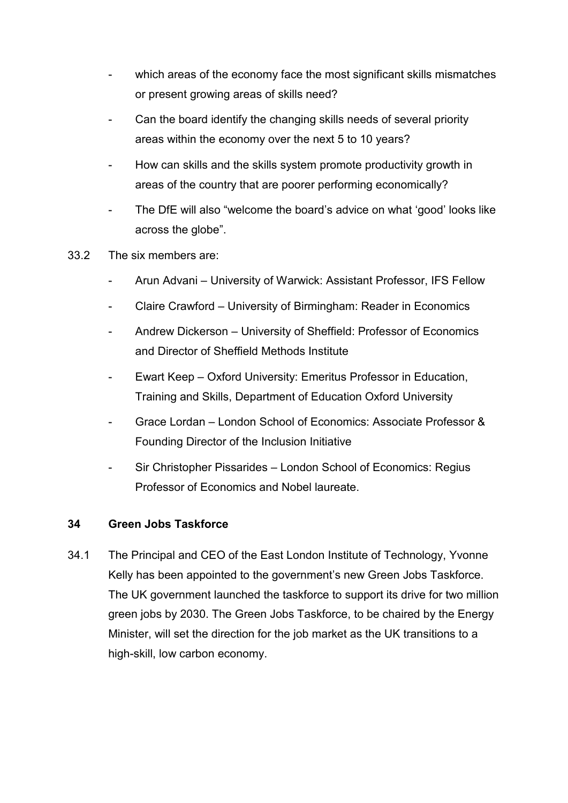- which areas of the economy face the most significant skills mismatches or present growing areas of skills need?
- Can the board identify the changing skills needs of several priority areas within the economy over the next 5 to 10 years?
- How can skills and the skills system promote productivity growth in areas of the country that are poorer performing economically?
- The DfE will also "welcome the board's advice on what 'good' looks like across the globe".
- 33.2 The six members are:
	- Arun Advani University of Warwick: Assistant Professor, IFS Fellow
	- Claire Crawford University of Birmingham: Reader in Economics
	- Andrew Dickerson University of Sheffield: Professor of Economics and Director of Sheffield Methods Institute
	- Ewart Keep Oxford University: Emeritus Professor in Education, Training and Skills, Department of Education Oxford University
	- Grace Lordan London School of Economics: Associate Professor & Founding Director of the Inclusion Initiative
	- Sir Christopher Pissarides London School of Economics: Regius Professor of Economics and Nobel laureate.

#### **34 Green Jobs Taskforce**

34.1 The Principal and CEO of the East London Institute of Technology, Yvonne Kelly has been appointed to the government's new Green Jobs Taskforce. The UK government launched the taskforce to support its drive for two million green jobs by 2030. The Green Jobs Taskforce, to be chaired by the Energy Minister, will set the direction for the job market as the UK transitions to a high-skill, low carbon economy.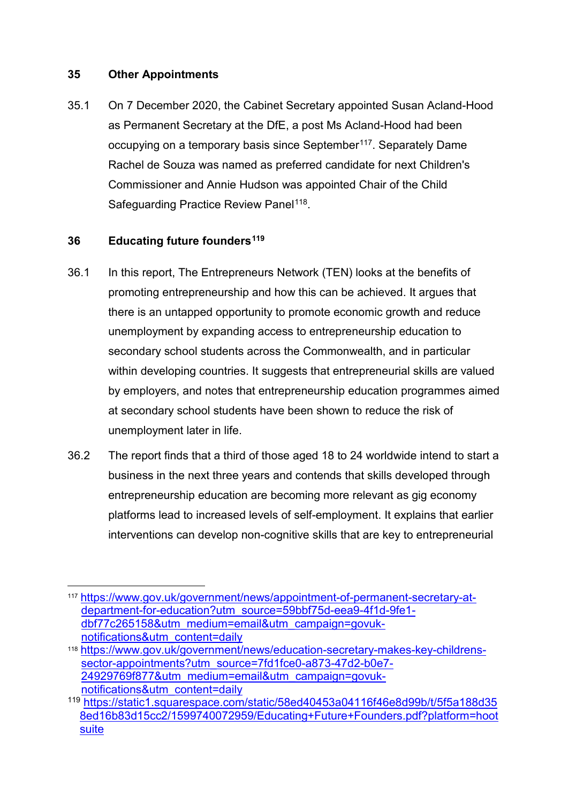#### **35 Other Appointments**

35.1 On 7 December 2020, the Cabinet Secretary appointed Susan Acland-Hood as Permanent Secretary at the DfE, a post Ms Acland-Hood had been occupying on a temporary basis since September<sup>[117](#page-45-0)</sup>. Separately Dame Rachel de Souza was named as preferred candidate for next Children's Commissioner and Annie Hudson was appointed Chair of the Child Safeguarding Practice Review Panel<sup>[118](#page-45-1)</sup>.

#### **36 Educating future founders[119](#page-45-2)**

- 36.1 In this report, The Entrepreneurs Network (TEN) looks at the benefits of promoting entrepreneurship and how this can be achieved. It argues that there is an untapped opportunity to promote economic growth and reduce unemployment by expanding access to entrepreneurship education to secondary school students across the Commonwealth, and in particular within developing countries. It suggests that entrepreneurial skills are valued by employers, and notes that entrepreneurship education programmes aimed at secondary school students have been shown to reduce the risk of unemployment later in life.
- 36.2 The report finds that a third of those aged 18 to 24 worldwide intend to start a business in the next three years and contends that skills developed through entrepreneurship education are becoming more relevant as gig economy platforms lead to increased levels of self-employment. It explains that earlier interventions can develop non-cognitive skills that are key to entrepreneurial

<span id="page-45-0"></span> <sup>117</sup> [https://www.gov.uk/government/news/appointment-of-permanent-secretary-at](https://www.gov.uk/government/news/appointment-of-permanent-secretary-at-department-for-education?utm_source=59bbf75d-eea9-4f1d-9fe1-dbf77c265158&utm_medium=email&utm_campaign=govuk-notifications&utm_content=daily)[department-for-education?utm\\_source=59bbf75d-eea9-4f1d-9fe1](https://www.gov.uk/government/news/appointment-of-permanent-secretary-at-department-for-education?utm_source=59bbf75d-eea9-4f1d-9fe1-dbf77c265158&utm_medium=email&utm_campaign=govuk-notifications&utm_content=daily) [dbf77c265158&utm\\_medium=email&utm\\_campaign=govuk](https://www.gov.uk/government/news/appointment-of-permanent-secretary-at-department-for-education?utm_source=59bbf75d-eea9-4f1d-9fe1-dbf77c265158&utm_medium=email&utm_campaign=govuk-notifications&utm_content=daily)[notifications&utm\\_content=daily](https://www.gov.uk/government/news/appointment-of-permanent-secretary-at-department-for-education?utm_source=59bbf75d-eea9-4f1d-9fe1-dbf77c265158&utm_medium=email&utm_campaign=govuk-notifications&utm_content=daily)

<span id="page-45-1"></span><sup>118</sup> [https://www.gov.uk/government/news/education-secretary-makes-key-childrens](https://www.gov.uk/government/news/education-secretary-makes-key-childrens-sector-appointments?utm_source=7fd1fce0-a873-47d2-b0e7-24929769f877&utm_medium=email&utm_campaign=govuk-notifications&utm_content=daily)[sector-appointments?utm\\_source=7fd1fce0-a873-47d2-b0e7-](https://www.gov.uk/government/news/education-secretary-makes-key-childrens-sector-appointments?utm_source=7fd1fce0-a873-47d2-b0e7-24929769f877&utm_medium=email&utm_campaign=govuk-notifications&utm_content=daily) [24929769f877&utm\\_medium=email&utm\\_campaign=govuk](https://www.gov.uk/government/news/education-secretary-makes-key-childrens-sector-appointments?utm_source=7fd1fce0-a873-47d2-b0e7-24929769f877&utm_medium=email&utm_campaign=govuk-notifications&utm_content=daily)[notifications&utm\\_content=daily](https://www.gov.uk/government/news/education-secretary-makes-key-childrens-sector-appointments?utm_source=7fd1fce0-a873-47d2-b0e7-24929769f877&utm_medium=email&utm_campaign=govuk-notifications&utm_content=daily)

<span id="page-45-2"></span><sup>119</sup>[.https://static1.squarespace.com/static/58ed40453a04116f46e8d99b/t/5f5a188d35](https://static1.squarespace.com/static/58ed40453a04116f46e8d99b/t/5f5a188d358ed16b83d15cc2/1599740072959/Educating+Future+Founders.pdf?platform=hootsuite) [8ed16b83d15cc2/1599740072959/Educating+Future+Founders.pdf?platform=hoot](https://static1.squarespace.com/static/58ed40453a04116f46e8d99b/t/5f5a188d358ed16b83d15cc2/1599740072959/Educating+Future+Founders.pdf?platform=hootsuite) [suite](https://static1.squarespace.com/static/58ed40453a04116f46e8d99b/t/5f5a188d358ed16b83d15cc2/1599740072959/Educating+Future+Founders.pdf?platform=hootsuite)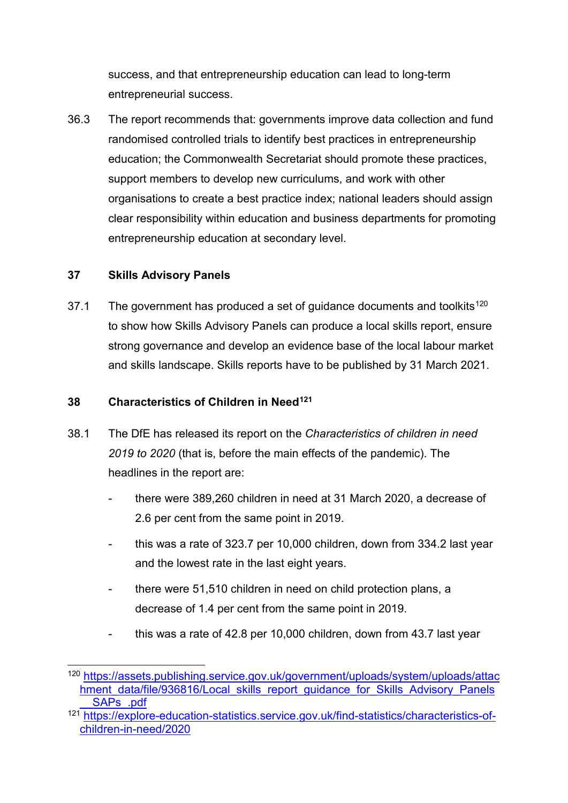success, and that entrepreneurship education can lead to long-term entrepreneurial success.

36.3 The report recommends that: governments improve data collection and fund randomised controlled trials to identify best practices in entrepreneurship education; the Commonwealth Secretariat should promote these practices, support members to develop new curriculums, and work with other organisations to create a best practice index; national leaders should assign clear responsibility within education and business departments for promoting entrepreneurship education at secondary level.

#### **37 Skills Advisory Panels**

37.1 The government has produced a set of guidance documents and toolkits<sup>[120](#page-46-0)</sup> to show how Skills Advisory Panels can produce a local skills report, ensure strong governance and develop an evidence base of the local labour market and skills landscape. Skills reports have to be published by 31 March 2021.

#### **38 Characteristics of Children in Need[121](#page-46-1)**

- 38.1 The DfE has released its report on the *Characteristics of children in need 2019 to 2020* (that is, before the main effects of the pandemic). The headlines in the report are:
	- there were 389,260 children in need at 31 March 2020, a decrease of 2.6 per cent from the same point in 2019.
	- this was a rate of 323.7 per 10,000 children, down from 334.2 last year and the lowest rate in the last eight years.
	- there were 51,510 children in need on child protection plans, a decrease of 1.4 per cent from the same point in 2019.
	- this was a rate of 42.8 per 10,000 children, down from 43.7 last year

<span id="page-46-0"></span> <sup>120</sup>[.https://assets.publishing.service.gov.uk/government/uploads/system/uploads/attac](https://assets.publishing.service.gov.uk/government/uploads/system/uploads/attachment_data/file/936816/Local_skills_report_guidance_for_Skills_Advisory_Panels__SAPs_.pdf) hment data/file/936816/Local skills report quidance for Skills Advisory Panels [\\_\\_SAPs\\_.pdf](https://assets.publishing.service.gov.uk/government/uploads/system/uploads/attachment_data/file/936816/Local_skills_report_guidance_for_Skills_Advisory_Panels__SAPs_.pdf)

<span id="page-46-1"></span><sup>&</sup>lt;sup>121</sup> https://explore-education-statistics.service.gov.uk/find-statistics/characteristics-of[children-in-need/2020](https://explore-education-statistics.service.gov.uk/find-statistics/characteristics-of-children-in-need/2020)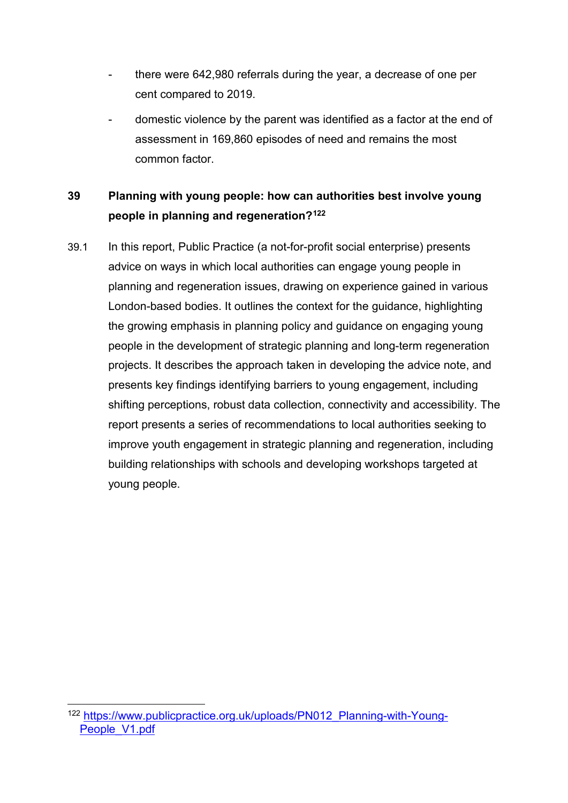- there were 642,980 referrals during the year, a decrease of one per cent compared to 2019.
- domestic violence by the parent was identified as a factor at the end of assessment in 169,860 episodes of need and remains the most common factor.

# <span id="page-47-0"></span>**39 Planning with young people: how can authorities best involve young people in planning and regeneration?[122](#page-47-1)**

39.1 In this report, Public Practice (a not-for-profit social enterprise) presents advice on ways in which local authorities can engage young people in planning and regeneration issues, drawing on experience gained in various London-based bodies. It outlines the context for the guidance, highlighting the growing emphasis in planning policy and guidance on engaging young people in the development of strategic planning and long-term regeneration projects. It describes the approach taken in developing the advice note, and presents key findings identifying barriers to young engagement, including shifting perceptions, robust data collection, connectivity and accessibility. The report presents a series of recommendations to local authorities seeking to improve youth engagement in strategic planning and regeneration, including building relationships with schools and developing workshops targeted at young people.

<span id="page-47-1"></span> <sup>122</sup> [https://www.publicpractice.org.uk/uploads/PN012\\_Planning-with-Young-](https://www.publicpractice.org.uk/uploads/PN012_Planning-with-Young-People_V1.pdf)People V1.pdf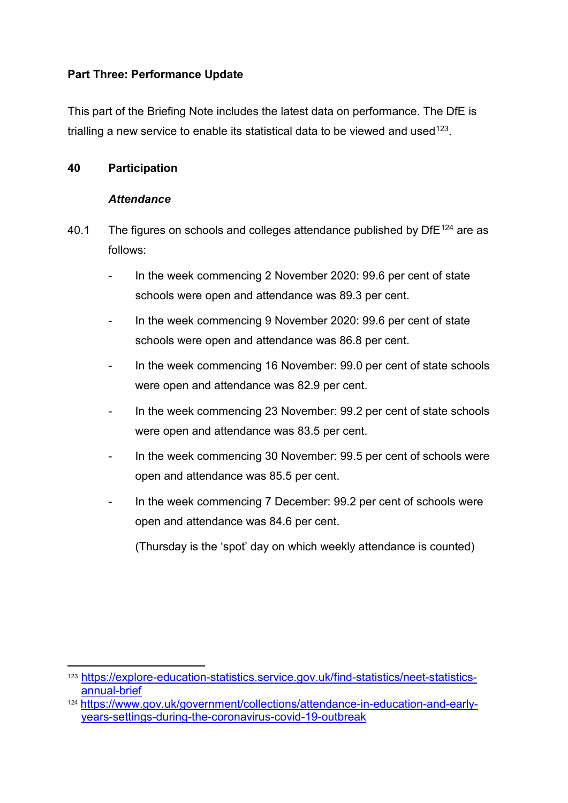#### **Part Three: Performance Update**

This part of the Briefing Note includes the latest data on performance. The DfE is trialling a new service to enable its statistical data to be viewed and used  $123$ .

#### **40 Participation**

#### *Attendance*

- 40.1 The figures on schools and colleges attendance published by  $DFE^{124}$  $DFE^{124}$  $DFE^{124}$  are as follows:
	- In the week commencing 2 November 2020: 99.6 per cent of state schools were open and attendance was 89.3 per cent.
	- In the week commencing 9 November 2020: 99.6 per cent of state schools were open and attendance was 86.8 per cent.
	- In the week commencing 16 November: 99.0 per cent of state schools were open and attendance was 82.9 per cent.
	- In the week commencing 23 November: 99.2 per cent of state schools were open and attendance was 83.5 per cent.
	- In the week commencing 30 November: 99.5 per cent of schools were open and attendance was 85.5 per cent.
	- In the week commencing 7 December: 99.2 per cent of schools were open and attendance was 84.6 per cent.

(Thursday is the 'spot' day on which weekly attendance is counted)

<span id="page-48-0"></span> <sup>123</sup> [https://explore-education-statistics.service.gov.uk/find-statistics/neet-statistics](https://explore-education-statistics.service.gov.uk/find-statistics/neet-statistics-annual-brief)[annual-brief](https://explore-education-statistics.service.gov.uk/find-statistics/neet-statistics-annual-brief)

<span id="page-48-1"></span><sup>124</sup> [https://www.gov.uk/government/collections/attendance-in-education-and-early](https://www.gov.uk/government/collections/attendance-in-education-and-early-years-settings-during-the-coronavirus-covid-19-outbreak)[years-settings-during-the-coronavirus-covid-19-outbreak](https://www.gov.uk/government/collections/attendance-in-education-and-early-years-settings-during-the-coronavirus-covid-19-outbreak)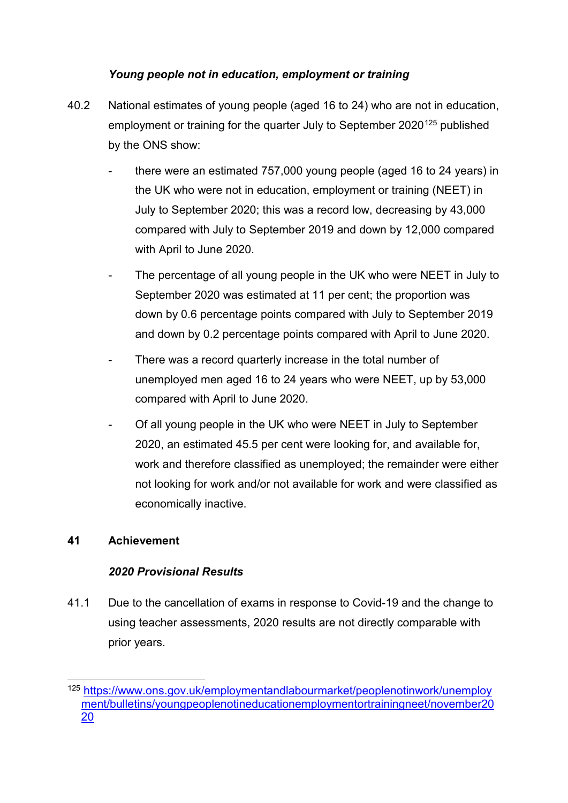# *Young people not in education, employment or training*

- 40.2 National estimates of young people (aged 16 to 24) who are not in education, employment or training for the quarter July to September 2020<sup>[125](#page-49-0)</sup> published by the ONS show:
	- there were an estimated 757,000 young people (aged 16 to 24 years) in the UK who were not in education, employment or training (NEET) in July to September 2020; this was a record low, decreasing by 43,000 compared with July to September 2019 and down by 12,000 compared with April to June 2020.
	- The percentage of all young people in the UK who were NEET in July to September 2020 was estimated at 11 per cent; the proportion was down by 0.6 percentage points compared with July to September 2019 and down by 0.2 percentage points compared with April to June 2020.
	- There was a record quarterly increase in the total number of unemployed men aged 16 to 24 years who were NEET, up by 53,000 compared with April to June 2020.
	- Of all young people in the UK who were NEET in July to September 2020, an estimated 45.5 per cent were looking for, and available for, work and therefore classified as unemployed; the remainder were either not looking for work and/or not available for work and were classified as economically inactive.

#### **41 Achievement**

# *2020 Provisional Results*

41.1 Due to the cancellation of exams in response to Covid-19 and the change to using teacher assessments, 2020 results are not directly comparable with prior years.

<span id="page-49-0"></span> <sup>125</sup>[.https://www.ons.gov.uk/employmentandlabourmarket/peoplenotinwork/unemploy](https://www.ons.gov.uk/employmentandlabourmarket/peoplenotinwork/unemployment/bulletins/youngpeoplenotineducationemploymentortrainingneet/november2020) [ment/bulletins/youngpeoplenotineducationemploymentortrainingneet/november20](https://www.ons.gov.uk/employmentandlabourmarket/peoplenotinwork/unemployment/bulletins/youngpeoplenotineducationemploymentortrainingneet/november2020) [20](https://www.ons.gov.uk/employmentandlabourmarket/peoplenotinwork/unemployment/bulletins/youngpeoplenotineducationemploymentortrainingneet/november2020)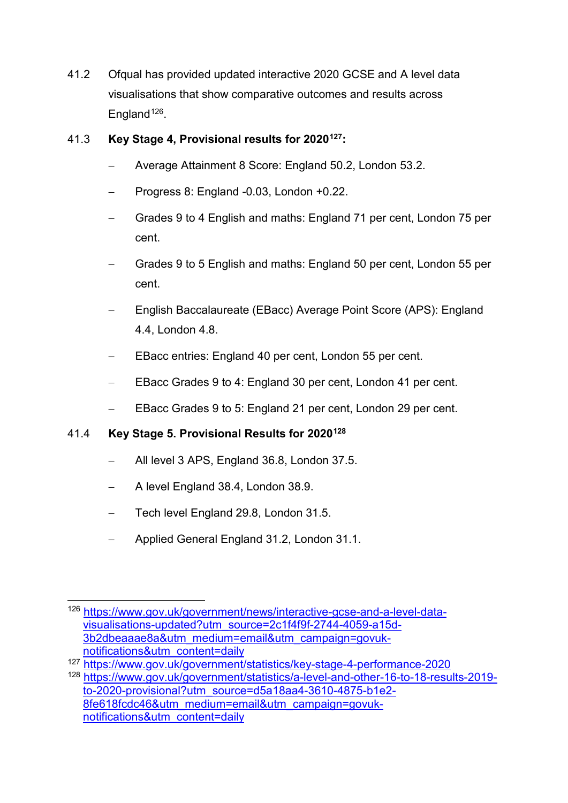41.2 Ofqual has provided updated interactive 2020 GCSE and A level data visualisations that show comparative outcomes and results across England<sup>[126](#page-50-0)</sup>.

# 41.3 **Key Stage 4, Provisional results for 202[0127:](#page-50-1)**

- − Average Attainment 8 Score: England 50.2, London 53.2.
- − Progress 8: England -0.03, London +0.22.
- − Grades 9 to 4 English and maths: England 71 per cent, London 75 per cent.
- − Grades 9 to 5 English and maths: England 50 per cent, London 55 per cent.
- − English Baccalaureate (EBacc) Average Point Score (APS): England 4.4, London 4.8.
- EBacc entries: England 40 per cent, London 55 per cent.
- EBacc Grades 9 to 4: England 30 per cent, London 41 per cent.
- EBacc Grades 9 to 5: England 21 per cent, London 29 per cent.

# 41.4 **Key Stage 5. Provisional Results for 202[0128](#page-50-2)**

- − All level 3 APS, England 36.8, London 37.5.
- − A level England 38.4, London 38.9.
- − Tech level England 29.8, London 31.5.
- − Applied General England 31.2, London 31.1.

<span id="page-50-0"></span> <sup>126</sup> [https://www.gov.uk/government/news/interactive-gcse-and-a-level-data](https://www.gov.uk/government/news/interactive-gcse-and-a-level-data-visualisations-updated?utm_source=2c1f4f9f-2744-4059-a15d-3b2dbeaaae8a&utm_medium=email&utm_campaign=govuk-notifications&utm_content=daily)[visualisations-updated?utm\\_source=2c1f4f9f-2744-4059-a15d-](https://www.gov.uk/government/news/interactive-gcse-and-a-level-data-visualisations-updated?utm_source=2c1f4f9f-2744-4059-a15d-3b2dbeaaae8a&utm_medium=email&utm_campaign=govuk-notifications&utm_content=daily)[3b2dbeaaae8a&utm\\_medium=email&utm\\_campaign=govuk](https://www.gov.uk/government/news/interactive-gcse-and-a-level-data-visualisations-updated?utm_source=2c1f4f9f-2744-4059-a15d-3b2dbeaaae8a&utm_medium=email&utm_campaign=govuk-notifications&utm_content=daily)[notifications&utm\\_content=daily](https://www.gov.uk/government/news/interactive-gcse-and-a-level-data-visualisations-updated?utm_source=2c1f4f9f-2744-4059-a15d-3b2dbeaaae8a&utm_medium=email&utm_campaign=govuk-notifications&utm_content=daily)

<span id="page-50-2"></span><span id="page-50-1"></span><sup>127</sup> <https://www.gov.uk/government/statistics/key-stage-4-performance-2020> <sup>128</sup> [https://www.gov.uk/government/statistics/a-level-and-other-16-to-18-results-2019](https://www.gov.uk/government/statistics/a-level-and-other-16-to-18-results-2019-to-2020-provisional?utm_source=d5a18aa4-3610-4875-b1e2-8fe618fcdc46&utm_medium=email&utm_campaign=govuk-notifications&utm_content=daily) [to-2020-provisional?utm\\_source=d5a18aa4-3610-4875-b1e2-](https://www.gov.uk/government/statistics/a-level-and-other-16-to-18-results-2019-to-2020-provisional?utm_source=d5a18aa4-3610-4875-b1e2-8fe618fcdc46&utm_medium=email&utm_campaign=govuk-notifications&utm_content=daily) [8fe618fcdc46&utm\\_medium=email&utm\\_campaign=govuk](https://www.gov.uk/government/statistics/a-level-and-other-16-to-18-results-2019-to-2020-provisional?utm_source=d5a18aa4-3610-4875-b1e2-8fe618fcdc46&utm_medium=email&utm_campaign=govuk-notifications&utm_content=daily)[notifications&utm\\_content=daily](https://www.gov.uk/government/statistics/a-level-and-other-16-to-18-results-2019-to-2020-provisional?utm_source=d5a18aa4-3610-4875-b1e2-8fe618fcdc46&utm_medium=email&utm_campaign=govuk-notifications&utm_content=daily)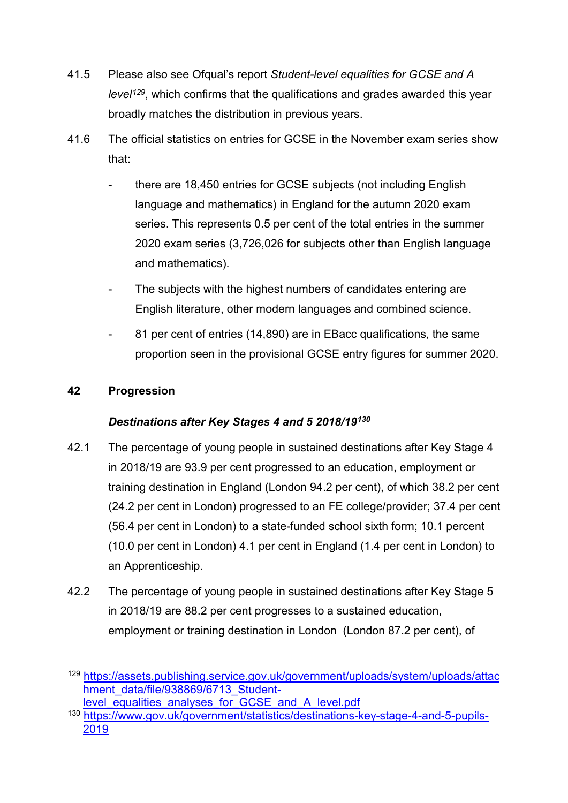- 41.5 Please also see Ofqual's report *Student-level equalities for GCSE and A level[129](#page-51-0)*, which confirms that the qualifications and grades awarded this year broadly matches the distribution in previous years.
- 41.6 The official statistics on entries for GCSE in the November exam series show that:
	- there are 18,450 entries for GCSE subjects (not including English language and mathematics) in England for the autumn 2020 exam series. This represents 0.5 per cent of the total entries in the summer 2020 exam series (3,726,026 for subjects other than English language and mathematics).
	- The subjects with the highest numbers of candidates entering are English literature, other modern languages and combined science.
	- 81 per cent of entries (14,890) are in EBacc qualifications, the same proportion seen in the provisional GCSE entry figures for summer 2020.

# **42 Progression**

# *Destinations after Key Stages 4 and 5 2018/19[130](#page-51-1)*

- 42.1 The percentage of young people in sustained destinations after Key Stage 4 in 2018/19 are 93.9 per cent progressed to an education, employment or training destination in England (London 94.2 per cent), of which 38.2 per cent (24.2 per cent in London) progressed to an FE college/provider; 37.4 per cent (56.4 per cent in London) to a state-funded school sixth form; 10.1 percent (10.0 per cent in London) 4.1 per cent in England (1.4 per cent in London) to an Apprenticeship.
- 42.2 The percentage of young people in sustained destinations after Key Stage 5 in 2018/19 are 88.2 per cent progresses to a sustained education, employment or training destination in London (London 87.2 per cent), of

<span id="page-51-0"></span> <sup>129</sup>[.https://assets.publishing.service.gov.uk/government/uploads/system/uploads/attac](https://assets.publishing.service.gov.uk/government/uploads/system/uploads/attachment_data/file/938869/6713_Student-level_equalities_analyses_for_GCSE_and_A_level.pdf) [hment\\_data/file/938869/6713\\_Student-](https://assets.publishing.service.gov.uk/government/uploads/system/uploads/attachment_data/file/938869/6713_Student-level_equalities_analyses_for_GCSE_and_A_level.pdf)

<span id="page-51-1"></span>level equalities analyses for GCSE and A level.pdf <sup>130</sup> [https://www.gov.uk/government/statistics/destinations-key-stage-4-and-5-pupils-](https://www.gov.uk/government/statistics/destinations-key-stage-4-and-5-pupils-2019)[2019](https://www.gov.uk/government/statistics/destinations-key-stage-4-and-5-pupils-2019)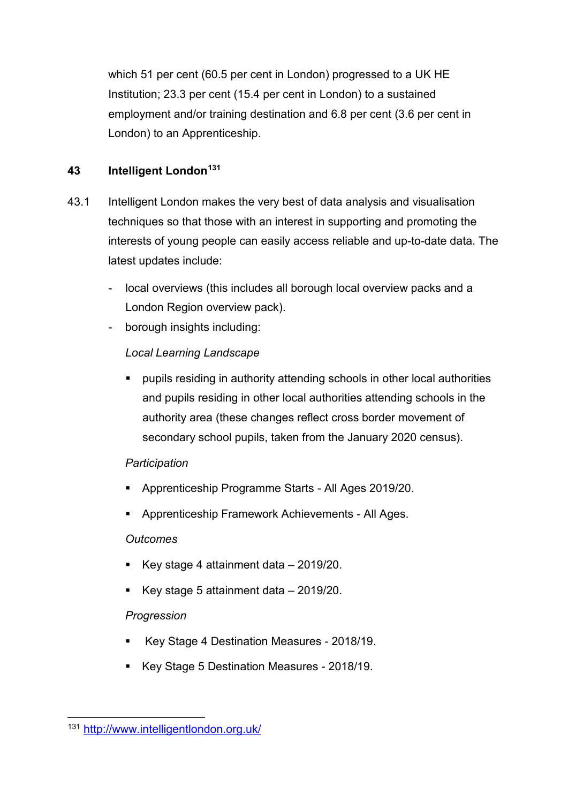which 51 per cent (60.5 per cent in London) progressed to a UK HE Institution; 23.3 per cent (15.4 per cent in London) to a sustained employment and/or training destination and 6.8 per cent (3.6 per cent in London) to an Apprenticeship.

# **43 Intelligent London[131](#page-52-0)**

- 43.1 Intelligent London makes the very best of data analysis and visualisation techniques so that those with an interest in supporting and promoting the interests of young people can easily access reliable and up-to-date data. The latest updates include:
	- local overviews (this includes all borough local overview packs and a London Region overview pack).
	- borough insights including:

# *Local Learning Landscape*

 pupils residing in authority attending schools in other local authorities and pupils residing in other local authorities attending schools in the authority area (these changes reflect cross border movement of secondary school pupils, taken from the January 2020 census).

# *Participation*

- Apprenticeship Programme Starts All Ages 2019/20.
- Apprenticeship Framework Achievements All Ages.

# *Outcomes*

- Key stage 4 attainment data 2019/20.
- Key stage 5 attainment data 2019/20.

# *Progression*

- Key Stage 4 Destination Measures 2018/19.
- Key Stage 5 Destination Measures 2018/19.

<span id="page-52-0"></span> <sup>131</sup> <http://www.intelligentlondon.org.uk/>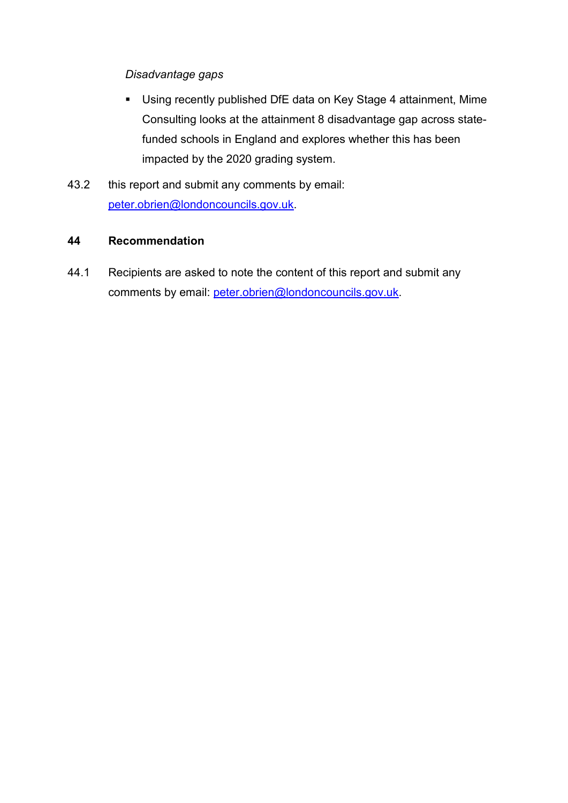*Disadvantage gaps*

- Using recently published DfE data on Key Stage 4 attainment, Mime Consulting looks at the attainment 8 disadvantage gap across statefunded schools in England and explores whether this has been impacted by the 2020 grading system.
- 43.2 this report and submit any comments by email: [peter.obrien@londoncouncils.gov.uk.](mailto:peter.obrien@londoncouncils.gov.uk)

#### **44 Recommendation**

44.1 Recipients are asked to note the content of this report and submit any comments by email: [peter.obrien@londoncouncils.gov.uk.](mailto:peter.obrien@londoncouncils.gov.uk)